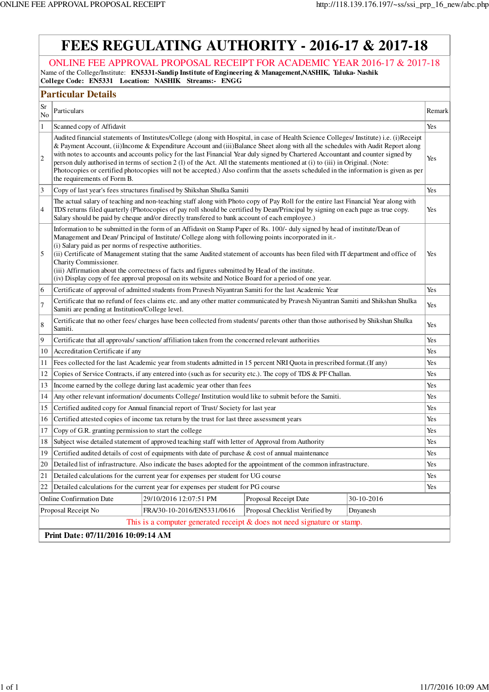$\mathbf{I}$ 

| <b>FEES REGULATING AUTHORITY - 2016-17 &amp; 2017-18</b>                                                                                                                                                                                                                                                                                                                                                                                                                                                                                                                                                                                                                                                                                           |  |  |  |  |  |  |  |  |
|----------------------------------------------------------------------------------------------------------------------------------------------------------------------------------------------------------------------------------------------------------------------------------------------------------------------------------------------------------------------------------------------------------------------------------------------------------------------------------------------------------------------------------------------------------------------------------------------------------------------------------------------------------------------------------------------------------------------------------------------------|--|--|--|--|--|--|--|--|
| ONLINE FEE APPROVAL PROPOSAL RECEIPT FOR ACADEMIC YEAR 2016-17 & 2017-18<br>Name of the College/Institute: EN5331-Sandip Institute of Engineering & Management, NASHIK, Taluka-Nashik<br>College Code: EN5331 Location: NASHIK Streams:- ENGG                                                                                                                                                                                                                                                                                                                                                                                                                                                                                                      |  |  |  |  |  |  |  |  |
| <b>Particular Details</b>                                                                                                                                                                                                                                                                                                                                                                                                                                                                                                                                                                                                                                                                                                                          |  |  |  |  |  |  |  |  |
| Sr<br>Particulars<br>Remark<br>No                                                                                                                                                                                                                                                                                                                                                                                                                                                                                                                                                                                                                                                                                                                  |  |  |  |  |  |  |  |  |
| $\mathbf{1}$<br>Yes<br>Scanned copy of Affidavit                                                                                                                                                                                                                                                                                                                                                                                                                                                                                                                                                                                                                                                                                                   |  |  |  |  |  |  |  |  |
| Audited financial statements of Institutes/College (along with Hospital, in case of Health Science Colleges/ Institute) i.e. (i)Receipt<br>& Payment Account, (ii) Income & Expenditure Account and (iii) Balance Sheet along with all the schedules with Audit Report along<br>with notes to accounts and accounts policy for the last Financial Year duly signed by Chartered Accountant and counter signed by<br>$\overline{2}$<br>Yes<br>person duly authorised in terms of section 2 (1) of the Act. All the statements mentioned at (i) to (iii) in Original. (Note:<br>Photocopies or certified photocopies will not be accepted.) Also confirm that the assets scheduled in the information is given as per<br>the requirements of Form B. |  |  |  |  |  |  |  |  |
| 3<br>Copy of last year's fees structures finalised by Shikshan Shulka Samiti<br>Yes                                                                                                                                                                                                                                                                                                                                                                                                                                                                                                                                                                                                                                                                |  |  |  |  |  |  |  |  |
| The actual salary of teaching and non-teaching staff along with Photo copy of Pay Roll for the entire last Financial Year along with<br>4<br>TDS returns filed quarterly (Photocopies of pay roll should be certified by Dean/Principal by signing on each page as true copy.<br>Yes<br>Salary should be paid by cheque and/or directly transfered to bank account of each employee.)                                                                                                                                                                                                                                                                                                                                                              |  |  |  |  |  |  |  |  |
| Information to be submitted in the form of an Affidavit on Stamp Paper of Rs. 100/- duly signed by head of institute/Dean of<br>Management and Dean/ Principal of Institute/ College along with following points incorporated in it.-<br>(i) Salary paid as per norms of respective authorities.<br>5<br>(ii) Certificate of Management stating that the same Audited statement of accounts has been filed with IT department and office of<br>Yes<br>Charity Commissioner.<br>(iii) Affirmation about the correctness of facts and figures submitted by Head of the institute.<br>(iv) Display copy of fee approval proposal on its website and Notice Board for a period of one year.                                                            |  |  |  |  |  |  |  |  |
| Certificate of approval of admitted students from Pravesh Niyantran Samiti for the last Academic Year<br>6<br>Yes                                                                                                                                                                                                                                                                                                                                                                                                                                                                                                                                                                                                                                  |  |  |  |  |  |  |  |  |
| Certificate that no refund of fees claims etc. and any other matter communicated by Pravesh Niyantran Samiti and Shikshan Shulka<br>7<br>Yes<br>Samiti are pending at Institution/College level.                                                                                                                                                                                                                                                                                                                                                                                                                                                                                                                                                   |  |  |  |  |  |  |  |  |
| Certificate that no other fees/ charges have been collected from students/ parents other than those authorised by Shikshan Shulka<br>8<br>Yes<br>Samiti.                                                                                                                                                                                                                                                                                                                                                                                                                                                                                                                                                                                           |  |  |  |  |  |  |  |  |
| 9<br>Certificate that all approvals/sanction/affiliation taken from the concerned relevant authorities<br>Yes                                                                                                                                                                                                                                                                                                                                                                                                                                                                                                                                                                                                                                      |  |  |  |  |  |  |  |  |
| Accreditation Certificate if any<br>10<br>Yes                                                                                                                                                                                                                                                                                                                                                                                                                                                                                                                                                                                                                                                                                                      |  |  |  |  |  |  |  |  |
| Fees collected for the last Academic year from students admitted in 15 percent NRI Quota in prescribed format.(If any)<br>Yes<br>11                                                                                                                                                                                                                                                                                                                                                                                                                                                                                                                                                                                                                |  |  |  |  |  |  |  |  |
| Copies of Service Contracts, if any entered into (such as for security etc.). The copy of TDS & PF Challan.<br>12<br>Yes                                                                                                                                                                                                                                                                                                                                                                                                                                                                                                                                                                                                                           |  |  |  |  |  |  |  |  |
| Income earned by the college during last academic year other than fees<br>13<br>Yes                                                                                                                                                                                                                                                                                                                                                                                                                                                                                                                                                                                                                                                                |  |  |  |  |  |  |  |  |
| Any other relevant information/ documents College/ Institution would like to submit before the Samiti.<br>14<br>Yes                                                                                                                                                                                                                                                                                                                                                                                                                                                                                                                                                                                                                                |  |  |  |  |  |  |  |  |
| Certified audited copy for Annual financial report of Trust/Society for last year<br>Yes<br>15                                                                                                                                                                                                                                                                                                                                                                                                                                                                                                                                                                                                                                                     |  |  |  |  |  |  |  |  |
| Certified attested copies of income tax return by the trust for last three assessment years<br>Yes<br>16                                                                                                                                                                                                                                                                                                                                                                                                                                                                                                                                                                                                                                           |  |  |  |  |  |  |  |  |
| Copy of G.R. granting permission to start the college<br>17<br>Yes                                                                                                                                                                                                                                                                                                                                                                                                                                                                                                                                                                                                                                                                                 |  |  |  |  |  |  |  |  |
| Subject wise detailed statement of approved teaching staff with letter of Approval from Authority<br>18<br>Yes                                                                                                                                                                                                                                                                                                                                                                                                                                                                                                                                                                                                                                     |  |  |  |  |  |  |  |  |
| Certified audited details of cost of equipments with date of purchase $\&$ cost of annual maintenance<br>19<br>Yes                                                                                                                                                                                                                                                                                                                                                                                                                                                                                                                                                                                                                                 |  |  |  |  |  |  |  |  |
| Detailed list of infrastructure. Also indicate the bases adopted for the appointment of the common infrastructure.<br>20<br>Yes                                                                                                                                                                                                                                                                                                                                                                                                                                                                                                                                                                                                                    |  |  |  |  |  |  |  |  |
| 21<br>Detailed calculations for the current year for expenses per student for UG course<br>Yes                                                                                                                                                                                                                                                                                                                                                                                                                                                                                                                                                                                                                                                     |  |  |  |  |  |  |  |  |
| Detailed calculations for the current year for expenses per student for PG course<br>22<br>Yes                                                                                                                                                                                                                                                                                                                                                                                                                                                                                                                                                                                                                                                     |  |  |  |  |  |  |  |  |
| 29/10/2016 12:07:51 PM<br><b>Online Confirmation Date</b><br>Proposal Receipt Date<br>30-10-2016                                                                                                                                                                                                                                                                                                                                                                                                                                                                                                                                                                                                                                                   |  |  |  |  |  |  |  |  |
| FRA/30-10-2016/EN5331/0616<br>Proposal Checklist Verified by<br>Proposal Receipt No<br>Dnyanesh                                                                                                                                                                                                                                                                                                                                                                                                                                                                                                                                                                                                                                                    |  |  |  |  |  |  |  |  |
| This is a computer generated receipt & does not need signature or stamp.                                                                                                                                                                                                                                                                                                                                                                                                                                                                                                                                                                                                                                                                           |  |  |  |  |  |  |  |  |
| Print Date: 07/11/2016 10:09:14 AM                                                                                                                                                                                                                                                                                                                                                                                                                                                                                                                                                                                                                                                                                                                 |  |  |  |  |  |  |  |  |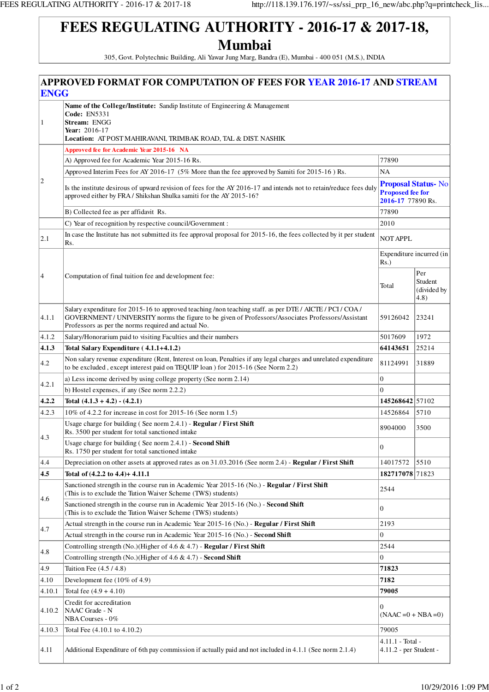305, Govt. Polytechnic Building, Ali Yawar Jung Marg, Bandra (E), Mumbai - 400 051 (M.S.), INDIA

|                | <b>APPROVED FORMAT FOR COMPUTATION OF FEES FOR YEAR 2016-17 AND STREAM</b>                                                                                                                                                                                             |                                              |                                       |  |  |  |  |  |
|----------------|------------------------------------------------------------------------------------------------------------------------------------------------------------------------------------------------------------------------------------------------------------------------|----------------------------------------------|---------------------------------------|--|--|--|--|--|
| <b>ENGG</b>    |                                                                                                                                                                                                                                                                        |                                              |                                       |  |  |  |  |  |
| 1              | Name of the College/Institute: Sandip Institute of Engineering & Management<br><b>Code: EN5331</b><br>Stream: ENGG<br>Year: $2016-17$<br>Location: AT POST MAHIRAVANI, TRIMBAK ROAD, TAL & DIST. NASHIK                                                                |                                              |                                       |  |  |  |  |  |
|                | Approved fee for Academic Year 2015-16 NA                                                                                                                                                                                                                              |                                              |                                       |  |  |  |  |  |
|                | A) Approved fee for Academic Year 2015-16 Rs.                                                                                                                                                                                                                          | 77890                                        |                                       |  |  |  |  |  |
|                | Approved Interim Fees for AY 2016-17 (5% More than the fee approved by Samiti for 2015-16) Rs.                                                                                                                                                                         | NA                                           |                                       |  |  |  |  |  |
| $ 2\rangle$    |                                                                                                                                                                                                                                                                        | <b>Proposal Status-No</b>                    |                                       |  |  |  |  |  |
|                | Is the institute desirous of upward revision of fees for the AY 2016-17 and intends not to retain/reduce fees duly<br>approved either by FRA / Shikshan Shulka samiti for the AY 2015-16?                                                                              | <b>Proposed fee for</b><br>2016-17 77890 Rs. |                                       |  |  |  |  |  |
|                | B) Collected fee as per affidavit Rs.                                                                                                                                                                                                                                  | 77890                                        |                                       |  |  |  |  |  |
|                | C) Year of recognition by respective council/Government :                                                                                                                                                                                                              | 2010                                         |                                       |  |  |  |  |  |
| 2.1            | In case the Institute has not submitted its fee approval proposal for 2015-16, the fees collected by it per student<br>Rs.                                                                                                                                             | <b>NOT APPL</b>                              |                                       |  |  |  |  |  |
|                |                                                                                                                                                                                                                                                                        |                                              |                                       |  |  |  |  |  |
| $\overline{4}$ | Computation of final tuition fee and development fee:                                                                                                                                                                                                                  | Total                                        | Per<br>Student<br>(divided by<br>4.8) |  |  |  |  |  |
| 4.1.1          | Salary expenditure for 2015-16 to approved teaching /non teaching staff. as per DTE / AICTE / PCI / COA /<br>GOVERNMENT / UNIVERSITY norms the figure to be given of Professors/Associates Professors/Assistant<br>Professors as per the norms required and actual No. | 59126042                                     | 23241                                 |  |  |  |  |  |
| 4.1.2          | Salary/Honorarium paid to visiting Faculties and their numbers                                                                                                                                                                                                         | 5017609                                      | 1972                                  |  |  |  |  |  |
| 4.1.3          | Total Salary Expenditure (4.1.1+4.1.2)                                                                                                                                                                                                                                 | 64143651                                     | 25214                                 |  |  |  |  |  |
| 4.2            | Non salary revenue expenditure (Rent, Interest on loan, Penalties if any legal charges and unrelated expenditure<br>to be excluded, except interest paid on TEQUIP loan ) for 2015-16 (See Norm 2.2)                                                                   | 81124991                                     | 31889                                 |  |  |  |  |  |
| 4.2.1          | a) Less income derived by using college property (See norm 2.14)                                                                                                                                                                                                       | $\overline{0}$                               |                                       |  |  |  |  |  |
|                | b) Hostel expenses, if any (See norm 2.2.2)                                                                                                                                                                                                                            | $\Omega$                                     |                                       |  |  |  |  |  |
| 4.2.2          | Total $(4.1.3 + 4.2) - (4.2.1)$                                                                                                                                                                                                                                        | 145268642 57102                              |                                       |  |  |  |  |  |
| 4.2.3          | 10% of 4.2.2 for increase in cost for 2015-16 (See norm 1.5)                                                                                                                                                                                                           | 14526864                                     | 5710                                  |  |  |  |  |  |
| 4.3            | Usage charge for building (See norm 2.4.1) - Regular / First Shift<br>Rs. 3500 per student for total sanctioned intake                                                                                                                                                 | 8904000                                      | 3500                                  |  |  |  |  |  |
|                | Usage charge for building (See norm 2.4.1) - Second Shift<br>Rs. 1750 per student for total sanctioned intake                                                                                                                                                          | $\boldsymbol{0}$                             |                                       |  |  |  |  |  |
| 4.4            | Depreciation on other assets at approved rates as on 31.03.2016 (See norm 2.4) - Regular / First Shift                                                                                                                                                                 | 14017572                                     | 5510                                  |  |  |  |  |  |
| 4.5            | Total of (4.2.2 to 4.4)+ 4.11.1                                                                                                                                                                                                                                        | 182717078 71823                              |                                       |  |  |  |  |  |
| 4.6            | Sanctioned strength in the course run in Academic Year 2015-16 (No.) - Regular / First Shift<br>(This is to exclude the Tution Waiver Scheme (TWS) students)                                                                                                           | 2544                                         |                                       |  |  |  |  |  |
|                | Sanctioned strength in the course run in Academic Year 2015-16 (No.) - Second Shift<br>(This is to exclude the Tution Waiver Scheme (TWS) students)                                                                                                                    | $\boldsymbol{0}$                             |                                       |  |  |  |  |  |
| 4.7            | Actual strength in the course run in Academic Year 2015-16 (No.) - Regular / First Shift                                                                                                                                                                               | 2193                                         |                                       |  |  |  |  |  |
|                | Actual strength in the course run in Academic Year 2015-16 (No.) - Second Shift                                                                                                                                                                                        | 0                                            |                                       |  |  |  |  |  |
| 4.8            | Controlling strength (No.)(Higher of $4.6 \& 4.7$ ) - Regular / First Shift                                                                                                                                                                                            | 2544                                         |                                       |  |  |  |  |  |
|                | Controlling strength (No.)(Higher of 4.6 $\&$ 4.7) - Second Shift                                                                                                                                                                                                      | $\overline{0}$                               |                                       |  |  |  |  |  |
| 4.9            | Tuition Fee (4.5 / 4.8)                                                                                                                                                                                                                                                | 71823                                        |                                       |  |  |  |  |  |
| 4.10           | Development fee (10% of 4.9)                                                                                                                                                                                                                                           | 7182                                         |                                       |  |  |  |  |  |
| 4.10.1         | Total fee $(4.9 + 4.10)$                                                                                                                                                                                                                                               | 79005                                        |                                       |  |  |  |  |  |
| 4.10.2         | Credit for accreditation<br>NAAC Grade - N<br>NBA Courses - 0%                                                                                                                                                                                                         | 0<br>$(NAAC = 0 + NBA = 0)$                  |                                       |  |  |  |  |  |
| 4.10.3         | Total Fee (4.10.1 to 4.10.2)                                                                                                                                                                                                                                           | 79005                                        |                                       |  |  |  |  |  |
| 4.11           | Additional Expenditure of 6th pay commission if actually paid and not included in 4.1.1 (See norm 2.1.4)                                                                                                                                                               | 4.11.1 - Total -<br>4.11.2 - per Student -   |                                       |  |  |  |  |  |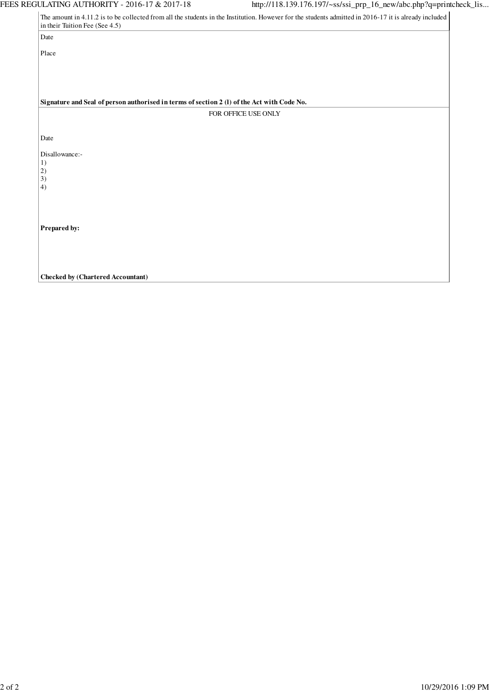| Date                                                                                                                                                                                                                                                                                                                                                                                                         |  |
|--------------------------------------------------------------------------------------------------------------------------------------------------------------------------------------------------------------------------------------------------------------------------------------------------------------------------------------------------------------------------------------------------------------|--|
| Place                                                                                                                                                                                                                                                                                                                                                                                                        |  |
|                                                                                                                                                                                                                                                                                                                                                                                                              |  |
|                                                                                                                                                                                                                                                                                                                                                                                                              |  |
|                                                                                                                                                                                                                                                                                                                                                                                                              |  |
| The amount in 4.11.2 is to be collected from all the students in the Institution. However for the students admitted in 2016-17 it is already included<br>in their Tuition Fee (See 4.5)<br>Signature and Seal of person authorised in terms of section 2 (1) of the Act with Code No.<br>FOR OFFICE USE ONLY<br>Date<br>Disallowance:-<br>1)<br>$\begin{pmatrix} 2 \\ 3 \end{pmatrix}$<br>4)<br>Prepared by: |  |
|                                                                                                                                                                                                                                                                                                                                                                                                              |  |
|                                                                                                                                                                                                                                                                                                                                                                                                              |  |
|                                                                                                                                                                                                                                                                                                                                                                                                              |  |
|                                                                                                                                                                                                                                                                                                                                                                                                              |  |
|                                                                                                                                                                                                                                                                                                                                                                                                              |  |
|                                                                                                                                                                                                                                                                                                                                                                                                              |  |
|                                                                                                                                                                                                                                                                                                                                                                                                              |  |
|                                                                                                                                                                                                                                                                                                                                                                                                              |  |
|                                                                                                                                                                                                                                                                                                                                                                                                              |  |
|                                                                                                                                                                                                                                                                                                                                                                                                              |  |
| <b>Checked by (Chartered Accountant)</b>                                                                                                                                                                                                                                                                                                                                                                     |  |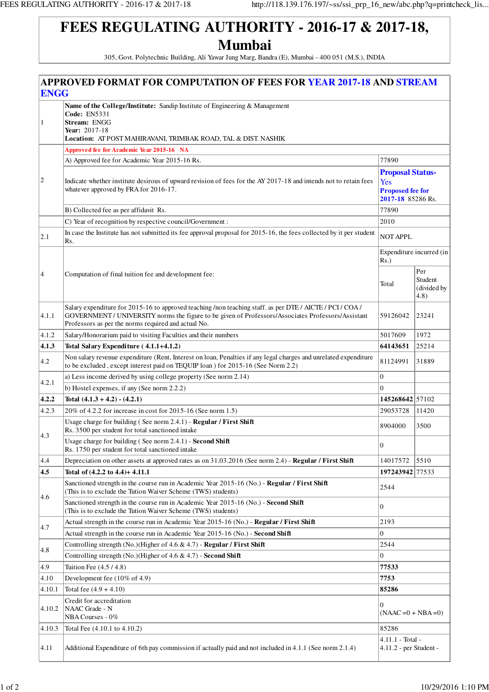305, Govt. Polytechnic Building, Ali Yawar Jung Marg, Bandra (E), Mumbai - 400 051 (M.S.), INDIA

|               | <b>APPROVED FORMAT FOR COMPUTATION OF FEES FOR YEAR 2017-18 AND STREAM</b>                                                                                                                                                                                             |                                                                                |                                       |  |  |
|---------------|------------------------------------------------------------------------------------------------------------------------------------------------------------------------------------------------------------------------------------------------------------------------|--------------------------------------------------------------------------------|---------------------------------------|--|--|
| <b>ENGG</b>   |                                                                                                                                                                                                                                                                        |                                                                                |                                       |  |  |
| 1             | Name of the College/Institute: Sandip Institute of Engineering & Management<br><b>Code: EN5331</b><br>Stream: ENGG<br>Year: 2017-18<br>Location: AT POST MAHIRAVANI, TRIMBAK ROAD, TAL & DIST. NASHIK                                                                  |                                                                                |                                       |  |  |
|               | Approved fee for Academic Year 2015-16 NA                                                                                                                                                                                                                              |                                                                                |                                       |  |  |
|               | A) Approved fee for Academic Year 2015-16 Rs.                                                                                                                                                                                                                          | 77890                                                                          |                                       |  |  |
|               |                                                                                                                                                                                                                                                                        |                                                                                |                                       |  |  |
| $ 2\rangle$   | Indicate whether institute desirous of upward revision of fees for the AY 2017-18 and intends not to retain fees<br>whatever approved by FRA for 2016-17.                                                                                                              | <b>Proposal Status-</b><br>Yes<br><b>Proposed fee for</b><br>2017-18 85286 Rs. |                                       |  |  |
|               | B) Collected fee as per affidavit Rs.                                                                                                                                                                                                                                  | 77890                                                                          |                                       |  |  |
|               | C) Year of recognition by respective council/Government :                                                                                                                                                                                                              | 2010                                                                           |                                       |  |  |
| $ 2.1\rangle$ | In case the Institute has not submitted its fee approval proposal for 2015-16, the fees collected by it per student<br>Rs.                                                                                                                                             | <b>NOT APPL</b>                                                                |                                       |  |  |
|               |                                                                                                                                                                                                                                                                        | $Rs.$ )                                                                        | Expenditure incurred (in              |  |  |
| 4             | Computation of final tuition fee and development fee:                                                                                                                                                                                                                  | Total                                                                          | Per<br>Student<br>(divided by<br>4.8) |  |  |
| 4.1.1         | Salary expenditure for 2015-16 to approved teaching /non teaching staff. as per DTE / AICTE / PCI / COA /<br>GOVERNMENT / UNIVERSITY norms the figure to be given of Professors/Associates Professors/Assistant<br>Professors as per the norms required and actual No. | 59126042                                                                       | 23241                                 |  |  |
| 4.1.2         | Salary/Honorarium paid to visiting Faculties and their numbers                                                                                                                                                                                                         | 5017609                                                                        | 1972                                  |  |  |
| 4.1.3         | Total Salary Expenditure (4.1.1+4.1.2)                                                                                                                                                                                                                                 | 64143651                                                                       | 25214                                 |  |  |
| 4.2           | Non salary revenue expenditure (Rent, Interest on loan, Penalties if any legal charges and unrelated expenditure<br>to be excluded, except interest paid on TEQUIP loan) for 2015-16 (See Norm 2.2)                                                                    | 81124991                                                                       | 31889                                 |  |  |
| 4.2.1         | a) Less income derived by using college property (See norm 2.14)                                                                                                                                                                                                       | $\overline{0}$                                                                 |                                       |  |  |
|               | b) Hostel expenses, if any (See norm 2.2.2)                                                                                                                                                                                                                            | $\Omega$                                                                       |                                       |  |  |
| 4.2.2         | Total $(4.1.3 + 4.2) - (4.2.1)$                                                                                                                                                                                                                                        | 145268642 57102                                                                |                                       |  |  |
| 4.2.3         | 20% of 4.2.2 for increase in cost for 2015-16 (See norm 1.5)                                                                                                                                                                                                           | 29053728                                                                       | 11420                                 |  |  |
| 4.3           | Usage charge for building (See norm 2.4.1) - Regular / First Shift<br>Rs. 3500 per student for total sanctioned intake                                                                                                                                                 | 8904000                                                                        | 3500                                  |  |  |
|               | Usage charge for building (See norm 2.4.1) - Second Shift<br>Rs. 1750 per student for total sanctioned intake                                                                                                                                                          | $\boldsymbol{0}$                                                               |                                       |  |  |
| 4.4           | Depreciation on other assets at approved rates as on 31.03.2016 (See norm 2.4) - Regular / First Shift                                                                                                                                                                 | 14017572                                                                       | 5510                                  |  |  |
| 4.5           | Total of (4.2.2 to 4.4)+ 4.11.1                                                                                                                                                                                                                                        | 197243942 77533                                                                |                                       |  |  |
| 4.6           | Sanctioned strength in the course run in Academic Year 2015-16 (No.) - Regular / First Shift<br>(This is to exclude the Tution Waiver Scheme (TWS) students)                                                                                                           | 2544                                                                           |                                       |  |  |
|               | Sanctioned strength in the course run in Academic Year 2015-16 (No.) - Second Shift<br>(This is to exclude the Tution Waiver Scheme (TWS) students)                                                                                                                    | $\overline{0}$                                                                 |                                       |  |  |
| 4.7           | Actual strength in the course run in Academic Year 2015-16 (No.) - Regular / First Shift                                                                                                                                                                               | 2193                                                                           |                                       |  |  |
|               | Actual strength in the course run in Academic Year 2015-16 (No.) - Second Shift                                                                                                                                                                                        | $\Omega$                                                                       |                                       |  |  |
| 4.8           | Controlling strength (No.)(Higher of $4.6 \& 4.7$ ) - Regular / First Shift                                                                                                                                                                                            | 2544                                                                           |                                       |  |  |
|               | Controlling strength (No.)(Higher of $4.6 \& 4.7$ ) - Second Shift                                                                                                                                                                                                     | $\mathbf{0}$                                                                   |                                       |  |  |
| 4.9           | Tuition Fee (4.5/4.8)                                                                                                                                                                                                                                                  | 77533                                                                          |                                       |  |  |
| 4.10          | Development fee $(10\% \text{ of } 4.9)$                                                                                                                                                                                                                               | 7753                                                                           |                                       |  |  |
| 4.10.1        | Total fee $(4.9 + 4.10)$                                                                                                                                                                                                                                               | 85286                                                                          |                                       |  |  |
| 4.10.2        | Credit for accreditation<br>NAAC Grade - N<br>NBA Courses - 0%                                                                                                                                                                                                         | $\overline{0}$<br>$(NAAC = 0 + NBA = 0)$                                       |                                       |  |  |
| 4.10.3        | Total Fee (4.10.1 to 4.10.2)                                                                                                                                                                                                                                           | 85286                                                                          |                                       |  |  |
| 4.11          | Additional Expenditure of 6th pay commission if actually paid and not included in 4.1.1 (See norm 2.1.4)                                                                                                                                                               | 4.11.1 - Total -<br>4.11.2 - per Student -                                     |                                       |  |  |
|               |                                                                                                                                                                                                                                                                        |                                                                                |                                       |  |  |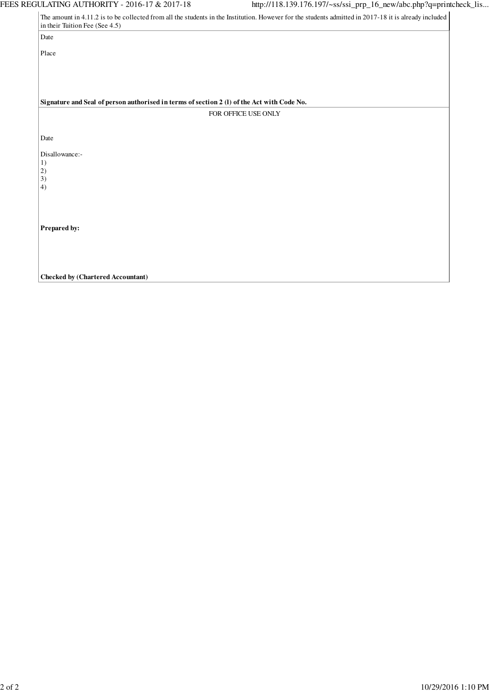| The amount in 4.11.2 is to be collected from all the students in the Institution. However for the students admitted in 2017-18 it is already included |
|-------------------------------------------------------------------------------------------------------------------------------------------------------|
| in their Tuition Fee (See 4.5)<br>Date                                                                                                                |
|                                                                                                                                                       |
| Place                                                                                                                                                 |
|                                                                                                                                                       |
|                                                                                                                                                       |
|                                                                                                                                                       |
| Signature and Seal of person authorised in terms of section 2 (1) of the Act with Code No.                                                            |
| FOR OFFICE USE ONLY                                                                                                                                   |
|                                                                                                                                                       |
| Date                                                                                                                                                  |
| Disallowance:-                                                                                                                                        |
| 1)<br>2)                                                                                                                                              |
| $\overline{3}$                                                                                                                                        |
| 4)                                                                                                                                                    |
|                                                                                                                                                       |
|                                                                                                                                                       |
| Prepared by:                                                                                                                                          |
|                                                                                                                                                       |
|                                                                                                                                                       |
|                                                                                                                                                       |
| <b>Checked by (Chartered Accountant)</b>                                                                                                              |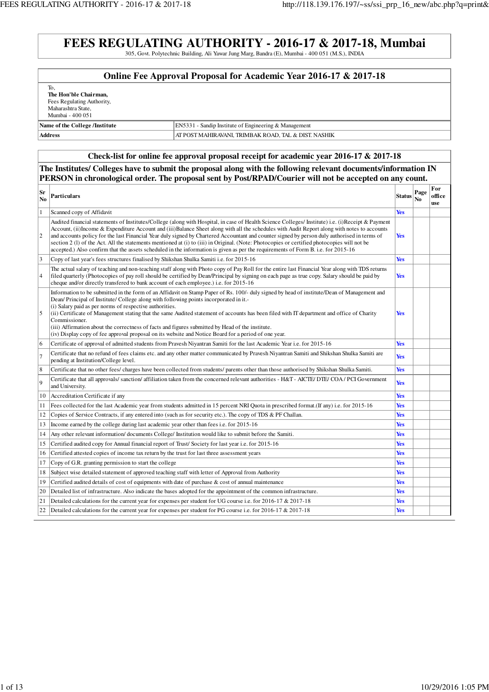### **FEES REGULATING AUTHORITY - 2016-17 & 2017-18, Mumbai** 305, Govt. Polytechnic Building, Ali Yawar Jung Marg, Bandra (E), Mumbai - 400 051 (M.S.), INDIA

### **Online Fee Approval Proposal for Academic Year 2016-17 & 2017-18**

| Nama of the Callage /Institute |  |
|--------------------------------|--|
| Mumbai - 400 051               |  |
| Maharashtra State,             |  |
| Fees Regulating Authority,     |  |
| The Hon'ble Chairman,          |  |
| To.                            |  |

### **Name of the College /Institute** EN5331 - Sandip Institute of Engineering & Management **Address** AT POST MAHIRAVANI, TRIMBAK ROAD, TAL & DIST. NASHIK

### **Check-list for online fee approval proposal receipt for academic year 2016-17 & 2017-18**

### **The Institutes/ Colleges have to submit the proposal along with the following relevant documents/information IN PERSON in chronological order. The proposal sent by Post/RPAD/Courier will not be accepted on any count.**

| Sr<br>N <sub>0</sub> | Particulars                                                                                                                                                                                                                                                                                                                                                                                                                                                                                                                                                                                                                                                                                                                             | <b>Status</b> | Page<br>No | For<br>office<br>use |
|----------------------|-----------------------------------------------------------------------------------------------------------------------------------------------------------------------------------------------------------------------------------------------------------------------------------------------------------------------------------------------------------------------------------------------------------------------------------------------------------------------------------------------------------------------------------------------------------------------------------------------------------------------------------------------------------------------------------------------------------------------------------------|---------------|------------|----------------------|
| $\mathbf{1}$         | Scanned copy of Affidavit                                                                                                                                                                                                                                                                                                                                                                                                                                                                                                                                                                                                                                                                                                               | <b>Yes</b>    |            |                      |
| $\overline{2}$       | Audited financial statements of Institutes/College (along with Hospital, in case of Health Science Colleges/ Institute) i.e. (i)Receipt & Payment<br>Account, (ii) Income & Expenditure Account and (iii) Balance Sheet along with all the schedules with Audit Report along with notes to accounts<br>and accounts policy for the last Financial Year duly signed by Chartered Accountant and counter signed by person duly authorised in terms of<br>section 2 (1) of the Act. All the statements mentioned at (i) to (iii) in Original. (Note: Photocopies or certified photocopies will not be<br>accepted.) Also confirm that the assets scheduled in the information is given as per the requirements of Form B. i.e. for 2015-16 | <b>Yes</b>    |            |                      |
| $\vert$ 3            | Copy of last year's fees structures finalised by Shikshan Shulka Samiti i.e. for 2015-16                                                                                                                                                                                                                                                                                                                                                                                                                                                                                                                                                                                                                                                | <b>Yes</b>    |            |                      |
| $\vert 4$            | The actual salary of teaching and non-teaching staff along with Photo copy of Pay Roll for the entire last Financial Year along with TDS returns<br>filed quarterly (Photocopies of pay roll should be certified by Dean/Principal by signing on each page as true copy. Salary should be paid by<br>cheque and/or directly transfered to bank account of each employee.) i.e. for 2015-16                                                                                                                                                                                                                                                                                                                                              | <b>Yes</b>    |            |                      |
| 5                    | Information to be submitted in the form of an Affidavit on Stamp Paper of Rs. 100/- duly signed by head of institute/Dean of Management and<br>Dean/Principal of Institute/College along with following points incorporated in it.-<br>(i) Salary paid as per norms of respective authorities.<br>(ii) Certificate of Management stating that the same Audited statement of accounts has been filed with IT department and office of Charity<br>Commissioner.<br>(iii) Affirmation about the correctness of facts and figures submitted by Head of the institute.<br>(iv) Display copy of fee approval proposal on its website and Notice Board for a period of one year.                                                               | <b>Yes</b>    |            |                      |
| 6                    | Certificate of approval of admitted students from Pravesh Niyantran Samiti for the last Academic Year i.e. for 2015-16                                                                                                                                                                                                                                                                                                                                                                                                                                                                                                                                                                                                                  | <b>Yes</b>    |            |                      |
| $\overline{7}$       | Certificate that no refund of fees claims etc. and any other matter communicated by Pravesh Niyantran Samiti and Shikshan Shulka Samiti are<br>pending at Institution/College level.                                                                                                                                                                                                                                                                                                                                                                                                                                                                                                                                                    | <b>Yes</b>    |            |                      |
| $\overline{8}$       | Certificate that no other fees/ charges have been collected from students/ parents other than those authorised by Shikshan Shulka Samiti.                                                                                                                                                                                                                                                                                                                                                                                                                                                                                                                                                                                               | <b>Yes</b>    |            |                      |
| 9                    | Certificate that all approvals/sanction/affiliation taken from the concerned relevant authorities - H&T - AICTE/DTE/COA/PCI Government<br>and University.                                                                                                                                                                                                                                                                                                                                                                                                                                                                                                                                                                               | <b>Yes</b>    |            |                      |
| 10                   | Accreditation Certificate if any                                                                                                                                                                                                                                                                                                                                                                                                                                                                                                                                                                                                                                                                                                        | <b>Yes</b>    |            |                      |
| 11                   | Fees collected for the last Academic year from students admitted in 15 percent NRI Quota in prescribed format. (If any) i.e. for 2015-16                                                                                                                                                                                                                                                                                                                                                                                                                                                                                                                                                                                                | <b>Yes</b>    |            |                      |
| 12                   | Copies of Service Contracts, if any entered into (such as for security etc.). The copy of TDS & PF Challan.                                                                                                                                                                                                                                                                                                                                                                                                                                                                                                                                                                                                                             | <b>Yes</b>    |            |                      |
| 13                   | Income earned by the college during last academic year other than fees i.e. for 2015-16                                                                                                                                                                                                                                                                                                                                                                                                                                                                                                                                                                                                                                                 | <b>Yes</b>    |            |                      |
| 14                   | Any other relevant information/documents College/Institution would like to submit before the Samiti.                                                                                                                                                                                                                                                                                                                                                                                                                                                                                                                                                                                                                                    | <b>Yes</b>    |            |                      |
| 15                   | Certified audited copy for Annual financial report of Trust/Society for last year i.e. for 2015-16                                                                                                                                                                                                                                                                                                                                                                                                                                                                                                                                                                                                                                      | <b>Yes</b>    |            |                      |
| 16                   | Certified attested copies of income tax return by the trust for last three assessment years                                                                                                                                                                                                                                                                                                                                                                                                                                                                                                                                                                                                                                             | <b>Yes</b>    |            |                      |
| 17                   | Copy of G.R. granting permission to start the college                                                                                                                                                                                                                                                                                                                                                                                                                                                                                                                                                                                                                                                                                   | <b>Yes</b>    |            |                      |
| 18                   | Subject wise detailed statement of approved teaching staff with letter of Approval from Authority                                                                                                                                                                                                                                                                                                                                                                                                                                                                                                                                                                                                                                       | <b>Yes</b>    |            |                      |
| 19                   | Certified audited details of cost of equipments with date of purchase & cost of annual maintenance                                                                                                                                                                                                                                                                                                                                                                                                                                                                                                                                                                                                                                      | <b>Yes</b>    |            |                      |
| 20                   | Detailed list of infrastructure. Also indicate the bases adopted for the appointment of the common infrastructure.                                                                                                                                                                                                                                                                                                                                                                                                                                                                                                                                                                                                                      | <b>Yes</b>    |            |                      |
| 21                   | Detailed calculations for the current year for expenses per student for UG course i.e. for 2016-17 & 2017-18                                                                                                                                                                                                                                                                                                                                                                                                                                                                                                                                                                                                                            | <b>Yes</b>    |            |                      |
| 22                   | Detailed calculations for the current year for expenses per student for PG course i.e. for 2016-17 & 2017-18                                                                                                                                                                                                                                                                                                                                                                                                                                                                                                                                                                                                                            | <b>Yes</b>    |            |                      |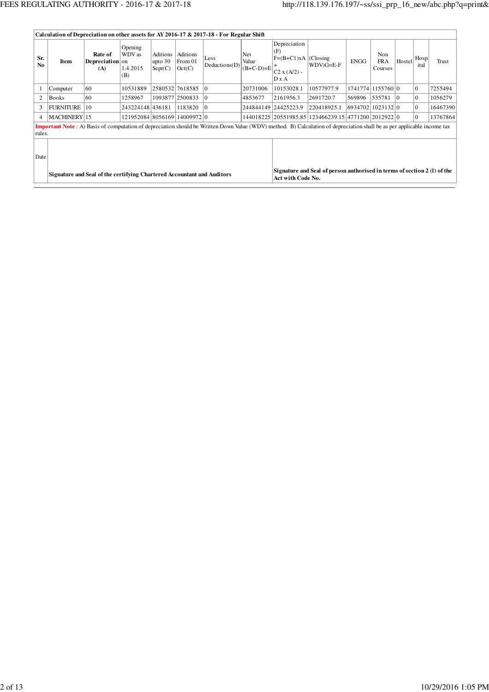|                       | Calculation of Depreciation on other assets for AY 2016-17 & 2017-18 - For Regular Shift |                                   |                                      |                                  |                               |                       |                             |                                                                        |                                                                                                                                                                                 |             |                              |                |                |          |
|-----------------------|------------------------------------------------------------------------------------------|-----------------------------------|--------------------------------------|----------------------------------|-------------------------------|-----------------------|-----------------------------|------------------------------------------------------------------------|---------------------------------------------------------------------------------------------------------------------------------------------------------------------------------|-------------|------------------------------|----------------|----------------|----------|
| Sr.<br>N <sub>0</sub> | Item                                                                                     | Rate of<br>Depreciation on<br>(A) | Opening<br>WDV as<br>1.4.2015<br>(B) | Aditions<br>upto $30$<br>Sept(C) | Aditions<br>From 01<br>Oct(C) | Less<br>Deductions(D) | Net<br>Value<br>$(B+C-D)=E$ | Depreciation<br>(F)<br>$F=(B+C1)xA$ (Closing<br>$ C2 x (A/2) -$<br>DxA | $WDV)G=E-F$                                                                                                                                                                     | <b>ENGG</b> | Non<br><b>FRA</b><br>Courses | Hostel         | Hosp<br>ital   | Trust    |
|                       | Computer                                                                                 | 60                                | 10531889                             |                                  | 2580532 7618585 0             |                       | 20731006                    | 10153028.1                                                             | 10577977.9                                                                                                                                                                      |             | 1741774 1155760 0            |                | 0              | 7255494  |
| 2                     | <b>Books</b>                                                                             | 60                                | 1258967                              |                                  | 1093877 2500833               | 10                    | 4853677                     | 2161956.3                                                              | 2691720.7                                                                                                                                                                       | 569896      | 535781                       | $\overline{0}$ | 10             | 1056279  |
| 3                     | <b>FURNITURE</b>                                                                         | 10                                | 243224148 436181                     |                                  | 1183820                       | 10                    |                             | 244844149 24425223.9                                                   | 220418925.1                                                                                                                                                                     |             | 6934702 1023132 0            |                | $\overline{0}$ | 16467390 |
| 4                     | MACHINERY 15                                                                             |                                   | 121952084 8056169 14009972 0         |                                  |                               |                       |                             |                                                                        | 144018225 20551985.85 123466239.15 4771200 2012922 0                                                                                                                            |             |                              |                | 10             | 13767864 |
| rules.                |                                                                                          |                                   |                                      |                                  |                               |                       |                             |                                                                        | <b>Important Note</b> : A) Basis of computation of depreciation should be Written Down Value (WDV) method. B) Calculation of depreciation shall be as per applicable income tax |             |                              |                |                |          |
| Date                  |                                                                                          |                                   |                                      |                                  |                               |                       |                             |                                                                        | Signature and Seal of person authorised in terms of section 2 (1) of the                                                                                                        |             |                              |                |                |          |
|                       | Signature and Seal of the certifying Chartered Accountant and Auditors                   |                                   |                                      |                                  |                               |                       |                             | Act with Code No.                                                      |                                                                                                                                                                                 |             |                              |                |                |          |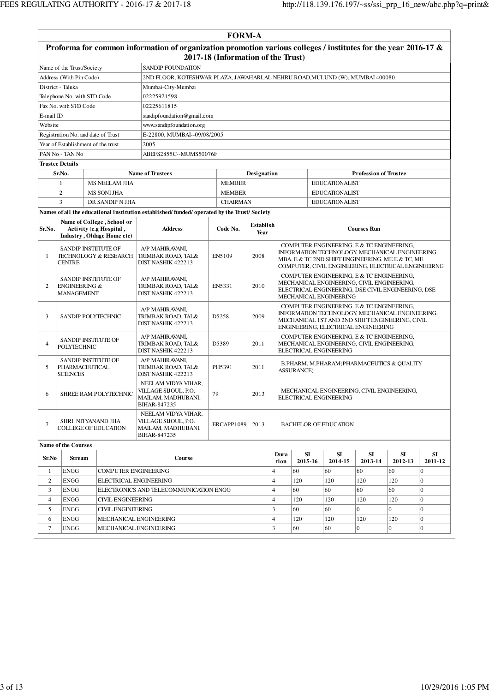|                                                                           | <b>FORM-A</b>                                            |                                                                                     |                                                                                                                   |                                    |                                                                              |                                                                                                                                                                                                         |                                                                                                                                                                                        |                                                                      |                              |                |                |  |  |  |
|---------------------------------------------------------------------------|----------------------------------------------------------|-------------------------------------------------------------------------------------|-------------------------------------------------------------------------------------------------------------------|------------------------------------|------------------------------------------------------------------------------|---------------------------------------------------------------------------------------------------------------------------------------------------------------------------------------------------------|----------------------------------------------------------------------------------------------------------------------------------------------------------------------------------------|----------------------------------------------------------------------|------------------------------|----------------|----------------|--|--|--|
|                                                                           |                                                          |                                                                                     | Proforma for common information of organization promotion various colleges / institutes for the year 2016-17 $\&$ | 2017-18 (Information of the Trust) |                                                                              |                                                                                                                                                                                                         |                                                                                                                                                                                        |                                                                      |                              |                |                |  |  |  |
|                                                                           | Name of the Trust/Society                                |                                                                                     | SANDIP FOUNDATION                                                                                                 |                                    |                                                                              |                                                                                                                                                                                                         |                                                                                                                                                                                        |                                                                      |                              |                |                |  |  |  |
|                                                                           | Address (With Pin Code)                                  |                                                                                     |                                                                                                                   |                                    | 2ND FLOOR, KOTESHWAR PLAZA, JAWAHARLAL NEHRU ROAD, MULUND (W), MUMBAI 400080 |                                                                                                                                                                                                         |                                                                                                                                                                                        |                                                                      |                              |                |                |  |  |  |
|                                                                           | District - Taluka                                        |                                                                                     | Mumbai-City-Mumbai                                                                                                |                                    |                                                                              |                                                                                                                                                                                                         |                                                                                                                                                                                        |                                                                      |                              |                |                |  |  |  |
|                                                                           | Telephone No. with STD Code                              |                                                                                     | 02225921598                                                                                                       |                                    |                                                                              |                                                                                                                                                                                                         |                                                                                                                                                                                        |                                                                      |                              |                |                |  |  |  |
|                                                                           | Fax No. with STD Code                                    |                                                                                     | 02225611815                                                                                                       |                                    |                                                                              |                                                                                                                                                                                                         |                                                                                                                                                                                        |                                                                      |                              |                |                |  |  |  |
| E-mail ID                                                                 |                                                          |                                                                                     | sandipfoundation@gmail.com                                                                                        |                                    |                                                                              |                                                                                                                                                                                                         |                                                                                                                                                                                        |                                                                      |                              |                |                |  |  |  |
| Website                                                                   |                                                          |                                                                                     | www.sandipfoundation.org                                                                                          |                                    |                                                                              |                                                                                                                                                                                                         |                                                                                                                                                                                        |                                                                      |                              |                |                |  |  |  |
|                                                                           | Registration No. and date of Trust                       |                                                                                     |                                                                                                                   | E-22800, MUMBAI--09/08/2005        |                                                                              |                                                                                                                                                                                                         |                                                                                                                                                                                        |                                                                      |                              |                |                |  |  |  |
|                                                                           | Year of Establishment of the trust                       |                                                                                     | 2005                                                                                                              |                                    |                                                                              |                                                                                                                                                                                                         |                                                                                                                                                                                        |                                                                      |                              |                |                |  |  |  |
|                                                                           | PAN No - TAN No                                          |                                                                                     | ABEFS2855C--MUMS50076F                                                                                            |                                    |                                                                              |                                                                                                                                                                                                         |                                                                                                                                                                                        |                                                                      |                              |                |                |  |  |  |
|                                                                           | <b>Trustee Details</b>                                   |                                                                                     |                                                                                                                   |                                    |                                                                              |                                                                                                                                                                                                         |                                                                                                                                                                                        |                                                                      |                              |                |                |  |  |  |
|                                                                           | Sr.No.                                                   |                                                                                     | <b>Name of Trustees</b>                                                                                           |                                    | Designation                                                                  |                                                                                                                                                                                                         |                                                                                                                                                                                        |                                                                      | <b>Profession of Trustee</b> |                |                |  |  |  |
|                                                                           | 1                                                        | MS NEELAM JHA                                                                       |                                                                                                                   | <b>MEMBER</b>                      |                                                                              |                                                                                                                                                                                                         |                                                                                                                                                                                        | <b>EDUCATIONALIST</b>                                                |                              |                |                |  |  |  |
|                                                                           | $\overline{2}$                                           | <b>MS SONI JHA</b>                                                                  |                                                                                                                   | <b>MEMBER</b>                      |                                                                              |                                                                                                                                                                                                         |                                                                                                                                                                                        | <b>EDUCATIONALIST</b>                                                |                              |                |                |  |  |  |
|                                                                           | $\overline{3}$                                           | DR SANDIP N JHA                                                                     |                                                                                                                   | <b>CHAIRMAN</b>                    |                                                                              |                                                                                                                                                                                                         |                                                                                                                                                                                        | <b>EDUCATIONALIST</b>                                                |                              |                |                |  |  |  |
|                                                                           |                                                          |                                                                                     | Names of all the educational institution established/funded/operated by the Trust/Society                         |                                    |                                                                              |                                                                                                                                                                                                         |                                                                                                                                                                                        |                                                                      |                              |                |                |  |  |  |
| Sr.No.                                                                    |                                                          | Name of College, School or<br>Activity (e.g Hospital,<br>Industry, Oldage Home etc) | <b>Address</b>                                                                                                    | Code No.                           | Establish<br>Year                                                            |                                                                                                                                                                                                         |                                                                                                                                                                                        |                                                                      | <b>Courses Run</b>           |                |                |  |  |  |
| 1                                                                         | <b>SANDIP INSTIITUTE OF</b><br><b>CENTRE</b>             | TECHNOLOGY & RESEARCH                                                               | A/P MAHIRAVANI,<br>TRIMBAK ROAD, TAL&<br>DIST NASHIK 422213                                                       | EN5109                             | 2008                                                                         | COMPUTER ENGINEERING, E & TC ENGINEERING,<br>INFORMATION TECHNOLOGY, MECHANICAL ENGINEERING,<br>MBA, E & TC 2ND SHIFT ENGINEERING, ME E & TC, ME<br>COMPUTER, CIVIL ENGINEERING, ELECTRICAL ENGINEEIRNG |                                                                                                                                                                                        |                                                                      |                              |                |                |  |  |  |
| SANDIP INSTITUTE OF<br>2<br><b>ENGINEERING &amp;</b><br><b>MANAGEMENT</b> |                                                          |                                                                                     | A/P MAHIRAVANI,<br>TRIMBAK ROAD, TAL&<br>DIST NASHIK 422213                                                       | EN5331                             | 2010                                                                         |                                                                                                                                                                                                         | COMPUTER ENGINEERING, E & TC ENGINEERING,<br>MECHANICAL ENGINEERING, CIVIL ENGINEERING,<br>ELECTRICAL ENGINEERING, DSE CIVIL ENGINEERING, DSE<br>MECHANICAL ENGINEERING                |                                                                      |                              |                |                |  |  |  |
| 3                                                                         | SANDIP POLYTECHNIC                                       |                                                                                     | A/P MAHIRAVANI,<br>TRIMBAK ROAD, TAL&<br>DIST NASHIK 422213                                                       | D5258                              | 2009                                                                         |                                                                                                                                                                                                         | COMPUTER ENGINEERING, E & TC ENGINEERING,<br>INFORMATION TECHNOLOGY, MECHANICAL ENGINEERING,<br>MECHANICAL 1ST AND 2ND SHIFT ENGINEERING, CIVIL<br>ENGINEERING, ELECTRICAL ENGINEERING |                                                                      |                              |                |                |  |  |  |
| $\overline{4}$                                                            | SANDIP INSTITUTE OF<br><b>POLYTECHNIC</b>                |                                                                                     | A/P MAHIRAVANI,<br>TRIMBAK ROAD, TAL&<br>DIST NASHIK 422213                                                       | D5389                              | 2011                                                                         | COMPUTER ENGINEERING, E & TC ENGINEERING,<br>MECHANICAL ENGINEERING, CIVIL ENGINEERING,<br>ELECTRICAL ENGINEERING                                                                                       |                                                                                                                                                                                        |                                                                      |                              |                |                |  |  |  |
| 5                                                                         | SANDIP INSTITUTE OF<br>PHARMACEUTICAL<br><b>SCIENCES</b> |                                                                                     | A/P MAHIRAVANI,<br>TRIMBAK ROAD, TAL&<br>DIST NASHIK 422213                                                       | PH5391                             | 2011                                                                         |                                                                                                                                                                                                         | <b>ASSURANCE)</b>                                                                                                                                                                      | B.PHARM, M.PHARAM(PHARMACEUTICS & QUALITY                            |                              |                |                |  |  |  |
| 6                                                                         |                                                          | SHREE RAM POLYTECHNIC                                                               | NEELAM VIDYA VIHAR,<br>VILLAGE SIJOUL, P.O.<br>MAILAM, MADHUBANI<br>BIHAR-847235                                  | 79                                 | 2013                                                                         |                                                                                                                                                                                                         |                                                                                                                                                                                        | MECHANICAL ENGINEERING, CIVIL ENGINEERING,<br>ELECTRICAL ENGINEERING |                              |                |                |  |  |  |
| $\overline{7}$                                                            | SHRI. NITYANAND JHA                                      | <b>COLLEGE OF EDUCATION</b>                                                         | NEELAM VIDYA VIHAR,<br>VILLAGE SIJOUL, P.O.<br>MAILAM, MADHUBANI,<br>BIHAR-847235                                 | ERCAPP1089                         | 2013                                                                         |                                                                                                                                                                                                         |                                                                                                                                                                                        | <b>BACHELOR OF EDUCATION</b>                                         |                              |                |                |  |  |  |
|                                                                           | <b>Name of the Courses</b>                               |                                                                                     |                                                                                                                   |                                    |                                                                              |                                                                                                                                                                                                         |                                                                                                                                                                                        |                                                                      |                              |                |                |  |  |  |
| Sr.No                                                                     | <b>Stream</b>                                            |                                                                                     | Course                                                                                                            |                                    |                                                                              | Dura<br>tion                                                                                                                                                                                            | SI<br>2015-16                                                                                                                                                                          | SI<br>2014-15                                                        | SI<br>2013-14                | SI<br>2012-13  | SI<br>2011-12  |  |  |  |
| $\mathbf{1}$                                                              | <b>ENGG</b><br><b>COMPUTER ENGINEERING</b>               |                                                                                     |                                                                                                                   |                                    | $\overline{\mathcal{L}}$                                                     | 60                                                                                                                                                                                                      | 60                                                                                                                                                                                     | 60                                                                   | 60                           | $\mathbf{0}$   |                |  |  |  |
| 2<br><b>ENGG</b><br>ELECTRICAL ENGINEERING                                |                                                          |                                                                                     |                                                                                                                   |                                    | $\overline{4}$                                                               | 120                                                                                                                                                                                                     | 120                                                                                                                                                                                    | 120                                                                  | 120                          | $\mathbf{0}$   |                |  |  |  |
| 3                                                                         | <b>ENGG</b>                                              | ELECTRONICS AND TELECOMMUNICATION ENGG                                              |                                                                                                                   | 4                                  | 60                                                                           | 60                                                                                                                                                                                                      | 60                                                                                                                                                                                     | 60                                                                   | $\Omega$                     |                |                |  |  |  |
|                                                                           | <b>ENGG</b>                                              | CIVIL ENGINEERING                                                                   |                                                                                                                   |                                    |                                                                              | $\overline{4}$                                                                                                                                                                                          | 120                                                                                                                                                                                    | 120                                                                  | 120                          | 120            | $\overline{0}$ |  |  |  |
| $\overline{4}$                                                            |                                                          |                                                                                     |                                                                                                                   |                                    |                                                                              | 3<br>60<br>60                                                                                                                                                                                           |                                                                                                                                                                                        |                                                                      | $\overline{0}$               | $\overline{0}$ | $\mathbf{0}$   |  |  |  |
| 5                                                                         | <b>ENGG</b>                                              | <b>CIVIL ENGINEERING</b>                                                            |                                                                                                                   |                                    |                                                                              |                                                                                                                                                                                                         |                                                                                                                                                                                        |                                                                      |                              |                |                |  |  |  |
| 6                                                                         | <b>ENGG</b>                                              |                                                                                     | MECHANICAL ENGINEERING                                                                                            |                                    |                                                                              | $\overline{4}$                                                                                                                                                                                          | 120                                                                                                                                                                                    | 120                                                                  | 120                          | 120            | $\mathbf{0}$   |  |  |  |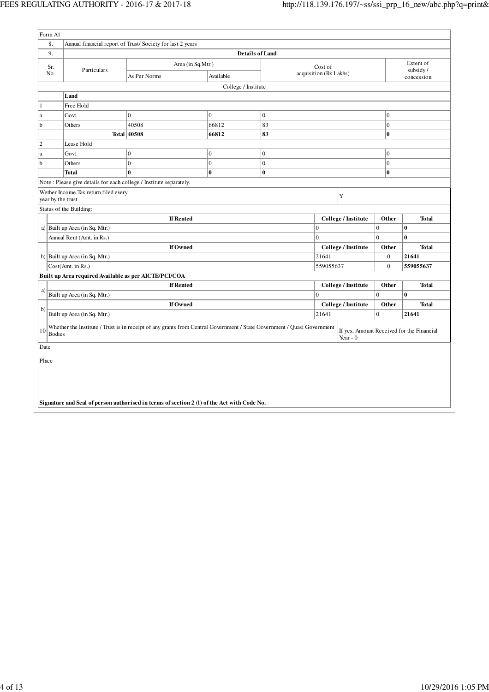| Form A1             |                                                                               |                                                                                                                         |                        |                |                        |                     |                  |                                           |  |
|---------------------|-------------------------------------------------------------------------------|-------------------------------------------------------------------------------------------------------------------------|------------------------|----------------|------------------------|---------------------|------------------|-------------------------------------------|--|
| 8.                  |                                                                               | Annual financial report of Trust/Society for last 2 years                                                               |                        |                |                        |                     |                  |                                           |  |
| 9.                  |                                                                               |                                                                                                                         | <b>Details of Land</b> |                |                        |                     |                  |                                           |  |
| Sr.                 |                                                                               | Area (in Sq.Mtr.)                                                                                                       |                        |                | Cost of                |                     |                  | Extent of                                 |  |
| No.                 | Particulars                                                                   | As Per Norms                                                                                                            | Available              |                | acquisition (Rs Lakhs) |                     |                  | subsidy/<br>concession                    |  |
|                     |                                                                               |                                                                                                                         | College / Institute    |                |                        |                     |                  |                                           |  |
|                     | Land                                                                          |                                                                                                                         |                        |                |                        |                     |                  |                                           |  |
| $\mathbf{1}$        | Free Hold                                                                     |                                                                                                                         |                        |                |                        |                     |                  |                                           |  |
| a                   | $\overline{0}$<br>$\overline{0}$<br>$\overline{0}$<br>$\overline{0}$<br>Govt. |                                                                                                                         |                        |                |                        |                     |                  |                                           |  |
| b                   | Others                                                                        | 40508                                                                                                                   | 66812                  | 83             |                        |                     | $\boldsymbol{0}$ |                                           |  |
|                     |                                                                               | <b>Total 40508</b>                                                                                                      | 66812                  | 83             |                        |                     | $\bf{0}$         |                                           |  |
| $\overline{2}$      | Lease Hold                                                                    |                                                                                                                         |                        |                |                        |                     |                  |                                           |  |
| $\mathbf{a}$        | Govt.                                                                         | $\bf{0}$                                                                                                                | 0                      | 0              |                        |                     | $\overline{0}$   |                                           |  |
| b                   | Others                                                                        | $\overline{0}$                                                                                                          | $\overline{0}$         | $\overline{0}$ |                        |                     | $\overline{0}$   |                                           |  |
|                     | Total                                                                         | $\bf{0}$                                                                                                                | 0                      | $\bf{0}$       |                        |                     | $\bf{0}$         |                                           |  |
|                     | Note: Please give details for each college / Institute separately.            |                                                                                                                         |                        |                |                        |                     |                  |                                           |  |
| year by the trust   | Wether Income Tax return filed every                                          |                                                                                                                         |                        |                |                        | Y                   |                  |                                           |  |
|                     | Status of the Building:                                                       |                                                                                                                         |                        |                |                        |                     |                  |                                           |  |
|                     |                                                                               |                                                                                                                         | College / Institute    | Other          | <b>Total</b>           |                     |                  |                                           |  |
|                     | a) Built up Area (in Sq. Mtr.)                                                |                                                                                                                         | 0                      |                | $\overline{0}$         | $\bf{0}$            |                  |                                           |  |
|                     | Annual Rent (Amt. in Rs.)                                                     |                                                                                                                         | 0                      |                | $\overline{0}$         | $\bf{0}$            |                  |                                           |  |
|                     |                                                                               | If Owned                                                                                                                |                        |                |                        | College / Institute | Other            | <b>Total</b>                              |  |
|                     | b) Built up Area (in Sq. Mtr.)                                                |                                                                                                                         |                        |                | 21641                  |                     | $\boldsymbol{0}$ | 21641                                     |  |
|                     | Cost(Amt. in Rs.)                                                             |                                                                                                                         |                        |                | 559055637              |                     | $\overline{0}$   | 559055637                                 |  |
|                     | Built up Area required Available as per AICTE/PCI/COA                         |                                                                                                                         |                        |                |                        |                     |                  |                                           |  |
|                     |                                                                               | <b>If Rented</b>                                                                                                        |                        |                |                        | College / Institute | Other            | <b>Total</b>                              |  |
| a)                  | Built up Area (in Sq. Mtr.)                                                   |                                                                                                                         |                        |                | $\Omega$               |                     | $\Omega$         | $\mathbf{0}$                              |  |
|                     |                                                                               | If Owned                                                                                                                |                        |                |                        | College / Institute | Other            | <b>Total</b>                              |  |
| b)                  | Built up Area (in Sq. Mtr.)                                                   |                                                                                                                         |                        |                | 21641                  |                     | $\overline{0}$   | 21641                                     |  |
| 10<br><b>Bodies</b> |                                                                               | Whether the Institute / Trust is in receipt of any grants from Central Government / State Government / Quasi Government |                        |                |                        | Year - $0$          |                  | If yes, Amount Received for the Financial |  |
| Date                |                                                                               |                                                                                                                         |                        |                |                        |                     |                  |                                           |  |
| Place               |                                                                               |                                                                                                                         |                        |                |                        |                     |                  |                                           |  |
|                     |                                                                               |                                                                                                                         |                        |                |                        |                     |                  |                                           |  |
|                     |                                                                               | Signature and Seal of person authorised in terms of section 2 (1) of the Act with Code No.                              |                        |                |                        |                     |                  |                                           |  |
|                     |                                                                               |                                                                                                                         |                        |                |                        |                     |                  |                                           |  |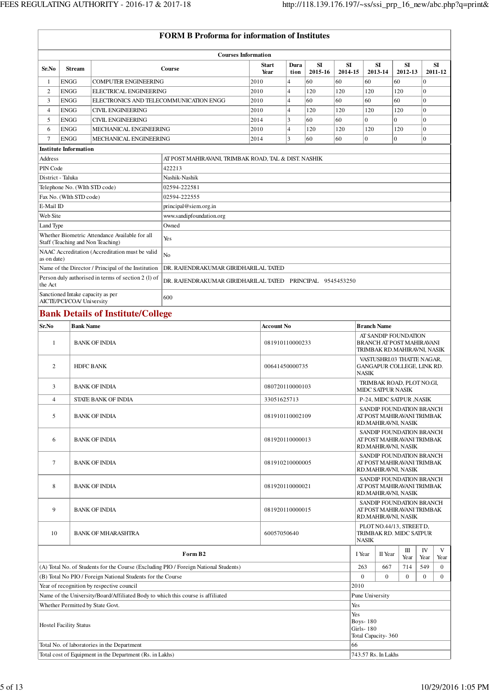|                                                                                                                    |                                                                |                                                          | <b>FORM B Proforma for information of Institutes</b>                                 |                      |                        |                                                           |               |                                                                               |                                                                               |                                                                               |                |                      |  |  |
|--------------------------------------------------------------------------------------------------------------------|----------------------------------------------------------------|----------------------------------------------------------|--------------------------------------------------------------------------------------|----------------------|------------------------|-----------------------------------------------------------|---------------|-------------------------------------------------------------------------------|-------------------------------------------------------------------------------|-------------------------------------------------------------------------------|----------------|----------------------|--|--|
|                                                                                                                    |                                                                |                                                          | <b>Courses Information</b>                                                           |                      |                        |                                                           |               |                                                                               |                                                                               |                                                                               |                |                      |  |  |
| Sr.No                                                                                                              | <b>Stream</b>                                                  |                                                          | Course                                                                               | <b>Start</b><br>Year | Dura                   | SI                                                        | SI<br>2014-15 |                                                                               | SI<br>2013-14                                                                 | SI<br>2012-13                                                                 |                | <b>SI</b><br>2011-12 |  |  |
| -1                                                                                                                 | <b>ENGG</b>                                                    | <b>COMPUTER ENGINEERING</b>                              |                                                                                      | 2010                 | tion<br>$\overline{4}$ | 2015-16<br>60                                             | 60            | 60                                                                            |                                                                               | 60                                                                            | $\mathbf{0}$   |                      |  |  |
| $\overline{2}$                                                                                                     | <b>ENGG</b>                                                    | ELECTRICAL ENGINEERING                                   |                                                                                      | 2010                 | 4                      | 120                                                       | 120           | 120                                                                           |                                                                               | 120                                                                           | $\mathbf{0}$   |                      |  |  |
| 3                                                                                                                  | <b>ENGG</b>                                                    | ELECTRONICS AND TELECOMMUNICATION ENGG                   |                                                                                      | 2010                 | 4                      | 60                                                        | 60            | 60                                                                            |                                                                               | 60                                                                            | $\overline{0}$ |                      |  |  |
| $\overline{4}$                                                                                                     | <b>ENGG</b>                                                    | <b>CIVIL ENGINEERING</b>                                 |                                                                                      | 2010                 | 4                      | 120                                                       | 120           | 120                                                                           |                                                                               | 120                                                                           | $\mathbf{0}$   |                      |  |  |
| 5                                                                                                                  | <b>ENGG</b>                                                    | <b>CIVIL ENGINEERING</b>                                 |                                                                                      | 2014                 | 3                      | 60                                                        | 60            | $\overline{0}$                                                                |                                                                               | $\overline{0}$                                                                | $\mathbf{0}$   |                      |  |  |
| 6                                                                                                                  | <b>ENGG</b>                                                    | MECHANICAL ENGINEERING                                   | 2010                                                                                 | 4                    | 120                    | 120                                                       | 120           |                                                                               | 120<br>$\theta$                                                               | $\mathbf{0}$                                                                  |                |                      |  |  |
| $\overline{7}$                                                                                                     | <b>ENGG</b><br><b>Institute Information</b>                    | MECHANICAL ENGINEERING                                   |                                                                                      | 2014                 | 3                      | 60                                                        | 60            | $\mathbf{0}$                                                                  |                                                                               |                                                                               | $\Omega$       |                      |  |  |
| Address                                                                                                            |                                                                |                                                          | AT POST MAHIRAVANI, TRIMBAK ROAD, TAL & DIST. NASHIK                                 |                      |                        |                                                           |               |                                                                               |                                                                               |                                                                               |                |                      |  |  |
| PIN Code                                                                                                           |                                                                |                                                          | 422213                                                                               |                      |                        |                                                           |               |                                                                               |                                                                               |                                                                               |                |                      |  |  |
| District - Taluka                                                                                                  |                                                                |                                                          | Nashik-Nashik                                                                        |                      |                        |                                                           |               |                                                                               |                                                                               |                                                                               |                |                      |  |  |
|                                                                                                                    | Telephone No. (WIth STD code)                                  |                                                          | 02594-222581                                                                         |                      |                        |                                                           |               |                                                                               |                                                                               |                                                                               |                |                      |  |  |
|                                                                                                                    | Fax No. (WIth STD code)                                        |                                                          | 02594-222555                                                                         |                      |                        |                                                           |               |                                                                               |                                                                               |                                                                               |                |                      |  |  |
| E-Mail ID                                                                                                          |                                                                |                                                          | principal@siem.org.in                                                                |                      |                        |                                                           |               |                                                                               |                                                                               |                                                                               |                |                      |  |  |
| Web Site                                                                                                           |                                                                |                                                          | www.sandipfoundation.org                                                             |                      |                        |                                                           |               |                                                                               |                                                                               |                                                                               |                |                      |  |  |
| Land Type                                                                                                          |                                                                |                                                          | Owned                                                                                |                      |                        |                                                           |               |                                                                               |                                                                               |                                                                               |                |                      |  |  |
|                                                                                                                    | Staff (Teaching and Non Teaching)                              | Whether Biometric Attendance Available for all           | Yes                                                                                  |                      |                        |                                                           |               |                                                                               |                                                                               |                                                                               |                |                      |  |  |
| as on date)                                                                                                        |                                                                | NAAC Accreditation (Accreditation must be valid          | No                                                                                   |                      |                        |                                                           |               |                                                                               |                                                                               |                                                                               |                |                      |  |  |
|                                                                                                                    |                                                                | Name of the Director / Principal of the Institution      | DR. RAJENDRAKUMAR GIRIDHARILAL TATED                                                 |                      |                        |                                                           |               |                                                                               |                                                                               |                                                                               |                |                      |  |  |
| the Act                                                                                                            |                                                                | Person duly authorised in terms of section 2 (1) of      | DR. RAJENDRAKUMAR GIRIDHARILAL TATED PRINCIPAL 9545453250                            |                      |                        |                                                           |               |                                                                               |                                                                               |                                                                               |                |                      |  |  |
|                                                                                                                    | Sanctioned Intake capacity as per<br>AICTE/PCI/COA/ University |                                                          | 600                                                                                  |                      |                        |                                                           |               |                                                                               |                                                                               |                                                                               |                |                      |  |  |
|                                                                                                                    |                                                                | <b>Bank Details of Institute/College</b>                 |                                                                                      |                      |                        |                                                           |               |                                                                               |                                                                               |                                                                               |                |                      |  |  |
| Sr.No                                                                                                              | <b>Bank Name</b>                                               |                                                          |                                                                                      | <b>Account No</b>    |                        |                                                           |               |                                                                               | <b>Branch Name</b>                                                            |                                                                               |                |                      |  |  |
| $\mathbf{1}$                                                                                                       |                                                                | <b>BANK OF INDIA</b>                                     |                                                                                      |                      | 081910110000233        |                                                           |               | AT SANDIP FOUNDATION<br>BRANCH AT POST MAHIRAVANI                             |                                                                               |                                                                               |                |                      |  |  |
|                                                                                                                    |                                                                |                                                          |                                                                                      |                      |                        | TRIMBAK RD.MAHIRAVNI, NASIK<br>VASTUSHRI.03 THATTE NAGAR, |               |                                                                               |                                                                               |                                                                               |                |                      |  |  |
| 2                                                                                                                  |                                                                | <b>HDFC BANK</b>                                         |                                                                                      | 00641450000735       |                        |                                                           |               | GANGAPUR COLLEGE, LINK RD.<br><b>NASIK</b>                                    |                                                                               |                                                                               |                |                      |  |  |
| 3                                                                                                                  |                                                                | <b>BANK OF INDIA</b>                                     |                                                                                      |                      | 080720110000103        |                                                           |               |                                                                               |                                                                               | TRIMBAK ROAD, PLOT NO.GI,<br><b>MIDC SATPUR NASIK</b>                         |                |                      |  |  |
| $\overline{4}$                                                                                                     |                                                                | STATE BANK OF INDIA                                      |                                                                                      |                      | 33051625713            |                                                           |               |                                                                               | P-24, MIDC SATPUR , NASIK                                                     |                                                                               |                |                      |  |  |
| 5                                                                                                                  |                                                                | <b>BANK OF INDIA</b>                                     |                                                                                      |                      | 081910110002109        |                                                           |               |                                                                               | SANDIP FOUNDATION BRANCH<br>AT POST MAHIRAVANI TRIMBAK<br>RD.MAHIRAVNI, NASIK |                                                                               |                |                      |  |  |
| 6                                                                                                                  |                                                                | <b>BANK OF INDIA</b>                                     |                                                                                      | 081920110000013      |                        |                                                           |               | SANDIP FOUNDATION BRANCH<br>AT POST MAHIRAVANI TRIMBAK<br>RD.MAHIRAVNI, NASIK |                                                                               |                                                                               |                |                      |  |  |
| $\tau$                                                                                                             |                                                                | BANK OF INDIA                                            |                                                                                      |                      | 081910210000005        |                                                           |               |                                                                               |                                                                               | SANDIP FOUNDATION BRANCH<br>AT POST MAHIRAVANI TRIMBAK                        |                |                      |  |  |
|                                                                                                                    |                                                                |                                                          |                                                                                      |                      |                        |                                                           |               |                                                                               |                                                                               | RD.MAHIRAVNI, NASIK                                                           |                |                      |  |  |
| 8                                                                                                                  |                                                                | <b>BANK OF INDIA</b>                                     |                                                                                      |                      | 081920110000021        |                                                           |               | SANDIP FOUNDATION BRANCH<br>AT POST MAHIRAVANI TRIMBAK<br>RD.MAHIRAVNI, NASIK |                                                                               |                                                                               |                |                      |  |  |
| 9                                                                                                                  |                                                                | <b>BANK OF INDIA</b>                                     |                                                                                      |                      | 081920110000015        |                                                           |               |                                                                               |                                                                               | SANDIP FOUNDATION BRANCH<br>AT POST MAHIRAVANI TRIMBAK<br>RD.MAHIRAVNI, NASIK |                |                      |  |  |
| 10                                                                                                                 |                                                                | <b>BANK OF MHARASHTRA</b>                                |                                                                                      | 60057050640          |                        |                                                           |               | NASIK                                                                         |                                                                               | PLOT NO.44/13, STREET D,<br>TRIMBAK RD. MIDC SATPUR                           |                |                      |  |  |
|                                                                                                                    |                                                                |                                                          | Form B2                                                                              |                      |                        |                                                           |               | I Year                                                                        | II Year                                                                       | Ш<br>Year                                                                     | IV<br>Year     | V<br>Year            |  |  |
|                                                                                                                    |                                                                |                                                          | (A) Total No. of Students for the Course (Excluding PIO / Foreign National Students) |                      |                        |                                                           |               | 263                                                                           | 667                                                                           | 714                                                                           | 549            | $\boldsymbol{0}$     |  |  |
| $\mathbf{0}$<br>(B) Total No PIO / Foreign National Students for the Course<br>$\overline{0}$<br>$\mathbf{0}$<br>0 |                                                                |                                                          |                                                                                      |                      |                        |                                                           |               |                                                                               | $\overline{0}$                                                                |                                                                               |                |                      |  |  |
|                                                                                                                    |                                                                | Year of recognition by respective council                |                                                                                      |                      |                        |                                                           | 2010          |                                                                               |                                                                               |                                                                               |                |                      |  |  |
| Name of the University/Board/Affiliated Body to which this course is affiliated<br>Pune University                 |                                                                |                                                          |                                                                                      |                      |                        |                                                           |               |                                                                               |                                                                               |                                                                               |                |                      |  |  |
|                                                                                                                    | Whether Permitted by State Govt.                               |                                                          |                                                                                      |                      |                        |                                                           | Yes           |                                                                               |                                                                               |                                                                               |                |                      |  |  |
|                                                                                                                    | <b>Hostel Facility Status</b>                                  |                                                          |                                                                                      |                      |                        |                                                           |               |                                                                               |                                                                               | Yes<br><b>Boys-180</b><br><b>Girls-180</b><br>Total Capacity-360              |                |                      |  |  |
|                                                                                                                    |                                                                | Total No. of laboratories in the Department              |                                                                                      |                      |                        |                                                           | 66            |                                                                               |                                                                               |                                                                               |                |                      |  |  |
|                                                                                                                    |                                                                | Total cost of Equipment in the Department (Rs. in Lakhs) |                                                                                      |                      |                        |                                                           |               |                                                                               | 743.57 Rs. In Lakhs                                                           |                                                                               |                |                      |  |  |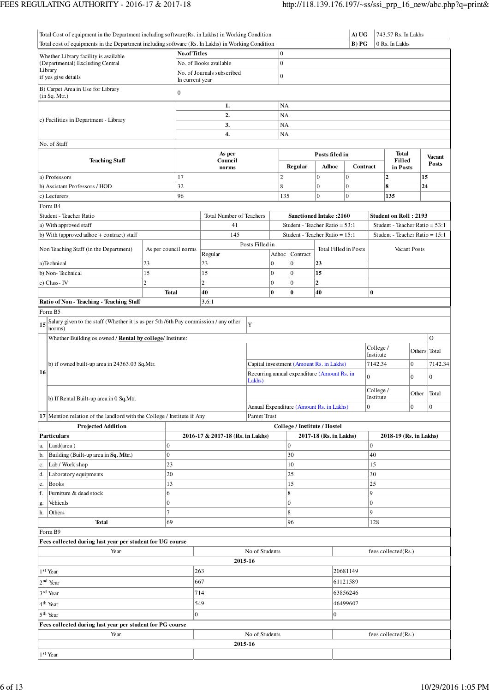| Total Cost of equipment in the Department including software (Rs. in Lakhs) in Working Condition |                                                                                  |                |                                                                                                   |                                                          |                 |                |                                                        |                                  | A) UG<br>743.57 Rs. In Lakhs |                                                  |                                  |              |                |
|--------------------------------------------------------------------------------------------------|----------------------------------------------------------------------------------|----------------|---------------------------------------------------------------------------------------------------|----------------------------------------------------------|-----------------|----------------|--------------------------------------------------------|----------------------------------|------------------------------|--------------------------------------------------|----------------------------------|--------------|----------------|
|                                                                                                  |                                                                                  |                | Total cost of equipments in the Department including software (Rs. In Lakhs) in Working Condition |                                                          |                 |                |                                                        | B) PG<br>0 Rs. In Lakhs          |                              |                                                  |                                  |              |                |
|                                                                                                  | Whether Library facility is available                                            |                | <b>No.of Titles</b>                                                                               |                                                          |                 | $\overline{0}$ |                                                        |                                  |                              |                                                  |                                  |              |                |
|                                                                                                  | (Departmental) Excluding Central                                                 |                |                                                                                                   | No. of Books available                                   |                 |                |                                                        | $\mathbf{0}$                     |                              |                                                  |                                  |              |                |
|                                                                                                  | Library                                                                          |                |                                                                                                   | No. of Journals subscribed<br>$\boldsymbol{0}$           |                 |                |                                                        |                                  |                              |                                                  |                                  |              |                |
|                                                                                                  | if yes give details                                                              |                | In current year                                                                                   |                                                          |                 |                |                                                        |                                  |                              |                                                  |                                  |              |                |
|                                                                                                  | B) Carpet Area in Use for Library<br>(in Sq. Mtr.)                               |                | $\boldsymbol{0}$                                                                                  |                                                          |                 |                |                                                        |                                  |                              |                                                  |                                  |              |                |
|                                                                                                  |                                                                                  |                |                                                                                                   | 1.                                                       |                 | NA             |                                                        |                                  |                              |                                                  |                                  |              |                |
|                                                                                                  | c) Facilities in Department - Library                                            |                |                                                                                                   | 2.                                                       |                 | NA             |                                                        |                                  |                              |                                                  |                                  |              |                |
|                                                                                                  |                                                                                  |                |                                                                                                   | 3.                                                       |                 | NA             |                                                        |                                  |                              |                                                  |                                  |              |                |
|                                                                                                  |                                                                                  |                |                                                                                                   | 4.                                                       |                 | NA             |                                                        |                                  |                              |                                                  |                                  |              |                |
|                                                                                                  | No. of Staff                                                                     |                |                                                                                                   |                                                          |                 |                |                                                        |                                  |                              |                                                  |                                  |              |                |
| <b>Teaching Staff</b>                                                                            |                                                                                  |                |                                                                                                   | As per<br>Council                                        |                 |                |                                                        | Posts filed in                   |                              |                                                  | <b>Total</b><br>Filled           |              | <b>Vacant</b>  |
|                                                                                                  |                                                                                  |                |                                                                                                   | norms                                                    |                 |                | <b>Regular</b>                                         | Adhoc                            | Contract                     |                                                  | in Posts                         |              | Posts          |
|                                                                                                  | a) Professors                                                                    |                | 17                                                                                                |                                                          |                 | $\overline{c}$ |                                                        | $\boldsymbol{0}$                 | $\boldsymbol{0}$             |                                                  | $\mathbf{2}$                     | 15           |                |
|                                                                                                  | 32<br>b) Assistant Professors / HOD                                              |                |                                                                                                   |                                                          |                 | 8              |                                                        | $\mathbf{0}$                     | $\mathbf{0}$                 |                                                  | 8                                | 24           |                |
|                                                                                                  | c) Lecturers                                                                     |                | 96                                                                                                |                                                          |                 | 135            |                                                        | $\overline{0}$                   | $\overline{0}$               |                                                  | 135                              |              |                |
|                                                                                                  | Form B4                                                                          |                |                                                                                                   |                                                          |                 |                |                                                        |                                  |                              |                                                  |                                  |              |                |
|                                                                                                  | Student - Teacher Ratio                                                          |                |                                                                                                   | <b>Total Number of Teachers</b>                          |                 |                |                                                        | <b>Sanctioned Intake: 2160</b>   |                              |                                                  | <b>Student on Roll: 2193</b>     |              |                |
|                                                                                                  | a) With approved staff                                                           |                |                                                                                                   | 41                                                       |                 |                |                                                        | Student - Teacher Ratio = $53:1$ |                              |                                                  | Student - Teacher Ratio = $53:1$ |              |                |
|                                                                                                  | b) With (approved adhoc + contract) staff                                        |                |                                                                                                   | 145                                                      |                 |                |                                                        | Student - Teacher Ratio = 15:1   |                              |                                                  | Student - Teacher Ratio = $15:1$ |              |                |
|                                                                                                  | Non Teaching Staff (in the Department)                                           |                | As per council norms                                                                              |                                                          | Posts Filled in |                |                                                        | <b>Total Filled in Posts</b>     |                              |                                                  |                                  | Vacant Posts |                |
|                                                                                                  |                                                                                  |                |                                                                                                   | Regular                                                  |                 | Adhoc          | Contract                                               |                                  |                              |                                                  |                                  |              |                |
|                                                                                                  | a)Technical                                                                      | 23             |                                                                                                   | 23                                                       |                 | $\overline{0}$ | $\overline{0}$                                         | 23                               |                              |                                                  |                                  |              |                |
|                                                                                                  | b) Non-Technical                                                                 | 15             |                                                                                                   | 15                                                       |                 | $\overline{0}$ | $\mathbf{0}$                                           | 15                               |                              |                                                  |                                  |              |                |
|                                                                                                  | c) Class-IV                                                                      | $\overline{c}$ |                                                                                                   | $\overline{c}$                                           |                 | $\overline{0}$ | $\overline{0}$                                         | $\overline{2}$                   |                              |                                                  |                                  |              |                |
|                                                                                                  |                                                                                  |                | <b>Total</b>                                                                                      | 40                                                       |                 | $\bf{0}$       | $\bf{0}$                                               | 40                               |                              | $\bf{0}$                                         |                                  |              |                |
|                                                                                                  | Ratio of Non - Teaching - Teaching Staff                                         |                |                                                                                                   | 3.6:1                                                    |                 |                |                                                        |                                  |                              |                                                  |                                  |              |                |
|                                                                                                  | Form B5                                                                          |                |                                                                                                   |                                                          |                 |                |                                                        |                                  |                              |                                                  |                                  |              |                |
| 15                                                                                               | Salary given to the staff (Whether it is as per 5th/6th Pay commission/any other |                |                                                                                                   |                                                          | Y               |                |                                                        |                                  |                              |                                                  |                                  |              |                |
|                                                                                                  | norms)                                                                           |                |                                                                                                   |                                                          |                 |                |                                                        |                                  |                              |                                                  |                                  |              | $\overline{O}$ |
|                                                                                                  | Whether Building os owned / Rental by college/ Institute:                        |                |                                                                                                   |                                                          |                 |                |                                                        |                                  |                              | College /                                        |                                  |              |                |
|                                                                                                  |                                                                                  |                |                                                                                                   |                                                          |                 |                |                                                        |                                  | Institute                    |                                                  | Others Total                     |              |                |
|                                                                                                  | b) if owned built-up area in 24363.03 Sq.Mtr.                                    |                | Capital investment (Amount Rs. in Lakhs)                                                          |                                                          |                 |                |                                                        |                                  | 7142.34                      |                                                  | $\boldsymbol{0}$                 | 7142.34      |                |
| 16                                                                                               |                                                                                  |                |                                                                                                   | Recurring annual expenditure (Amount Rs. in              |                 |                |                                                        |                                  | $\overline{0}$               |                                                  | $\overline{0}$                   | $\mathbf{0}$ |                |
|                                                                                                  |                                                                                  |                |                                                                                                   | Lakhs)                                                   |                 |                |                                                        |                                  |                              |                                                  |                                  |              |                |
|                                                                                                  |                                                                                  |                |                                                                                                   |                                                          |                 |                |                                                        |                                  |                              | College /                                        |                                  | Other Total  |                |
|                                                                                                  | b) If Rental Built-up area in 0 Sq.Mtr.                                          |                |                                                                                                   |                                                          |                 |                |                                                        |                                  |                              | Institute<br>$\vert 0 \vert$<br>$\boldsymbol{0}$ |                                  |              | $\overline{0}$ |
|                                                                                                  | 17 Mention relation of the landlord with the College / Institute if Any          |                |                                                                                                   | Annual Expenditure (Amount Rs. in Lakhs)<br>Parent Trust |                 |                |                                                        |                                  |                              |                                                  |                                  |              |                |
|                                                                                                  | <b>Projected Addition</b>                                                        |                |                                                                                                   |                                                          |                 |                |                                                        |                                  |                              |                                                  |                                  |              |                |
|                                                                                                  | Particulars                                                                      |                |                                                                                                   | 2016-17 & 2017-18 (Rs. in Lakhs)                         |                 |                | College / Institute / Hostel<br>2017-18 (Rs. in Lakhs) |                                  |                              | 2018-19 (Rs. in Lakhs)                           |                                  |              |                |
| a.                                                                                               | Land(area)                                                                       | $\overline{0}$ |                                                                                                   |                                                          |                 |                | $\mathbf{0}$                                           |                                  | $\boldsymbol{0}$             |                                                  |                                  |              |                |
| b.                                                                                               | Building (Built-up area in Sq. Mtr.)                                             | $\overline{0}$ |                                                                                                   |                                                          |                 |                | 30                                                     |                                  |                              | 40                                               |                                  |              |                |
| c.                                                                                               | Lab / Work shop                                                                  |                | 23                                                                                                |                                                          |                 |                | 10                                                     |                                  |                              | 15                                               |                                  |              |                |
| d.                                                                                               | Laboratory equipments                                                            |                | 20                                                                                                |                                                          |                 |                | 25                                                     |                                  |                              | 30                                               |                                  |              |                |
| e.                                                                                               | <b>Books</b>                                                                     |                | 13                                                                                                |                                                          |                 |                | 15                                                     |                                  |                              | 25                                               |                                  |              |                |
| f.                                                                                               | Furniture & dead stock                                                           | 6              |                                                                                                   |                                                          |                 |                | 8                                                      |                                  |                              | 9                                                |                                  |              |                |
| g.                                                                                               | Vehicals                                                                         | $\overline{0}$ |                                                                                                   |                                                          |                 |                | $\mathbf{0}$                                           |                                  |                              | $\overline{0}$                                   |                                  |              |                |
| h.                                                                                               | Others                                                                           | 7              |                                                                                                   |                                                          |                 |                | 8                                                      |                                  |                              | 9                                                |                                  |              |                |
|                                                                                                  | <b>Total</b>                                                                     |                | 69                                                                                                |                                                          |                 |                | 96                                                     |                                  |                              | 128                                              |                                  |              |                |
|                                                                                                  | Form B9                                                                          |                |                                                                                                   |                                                          |                 |                |                                                        |                                  |                              |                                                  |                                  |              |                |
|                                                                                                  | Fees collected during last year per student for UG course                        |                |                                                                                                   |                                                          |                 |                |                                                        |                                  |                              |                                                  |                                  |              |                |
|                                                                                                  | Year                                                                             |                |                                                                                                   |                                                          | No of Students  |                |                                                        |                                  |                              |                                                  | fees collected(Rs.)              |              |                |
|                                                                                                  |                                                                                  |                |                                                                                                   | 2015-16                                                  |                 |                |                                                        |                                  |                              |                                                  |                                  |              |                |
|                                                                                                  | 1 <sup>st</sup> Year                                                             |                |                                                                                                   | 263                                                      |                 |                |                                                        |                                  | 20681149                     |                                                  |                                  |              |                |
|                                                                                                  | 2 <sup>nd</sup> Year                                                             |                |                                                                                                   | 667                                                      |                 |                |                                                        |                                  |                              |                                                  |                                  |              |                |
|                                                                                                  |                                                                                  |                | 714                                                                                               |                                                          |                 |                |                                                        | 61121589<br>63856246             |                              |                                                  |                                  |              |                |
|                                                                                                  | 3rd Year                                                                         |                |                                                                                                   |                                                          |                 |                |                                                        |                                  |                              |                                                  |                                  |              |                |
|                                                                                                  | 4 <sup>th</sup> Year                                                             |                | 549                                                                                               |                                                          |                 |                | 46499607                                               |                                  |                              |                                                  |                                  |              |                |
|                                                                                                  | 5 <sup>th</sup> Year                                                             |                | $\overline{0}$                                                                                    |                                                          |                 |                |                                                        | $\boldsymbol{0}$                 |                              |                                                  |                                  |              |                |
|                                                                                                  | Fees collected during last year per student for PG course                        |                |                                                                                                   |                                                          |                 |                |                                                        |                                  |                              |                                                  |                                  |              |                |
|                                                                                                  | Year                                                                             |                |                                                                                                   |                                                          | No of Students  |                |                                                        |                                  |                              |                                                  | fees collected(Rs.)              |              |                |
|                                                                                                  |                                                                                  |                |                                                                                                   | 2015-16                                                  |                 |                |                                                        |                                  |                              |                                                  |                                  |              |                |
|                                                                                                  | 1 <sup>st</sup> Year                                                             |                |                                                                                                   |                                                          |                 |                |                                                        |                                  |                              |                                                  |                                  |              |                |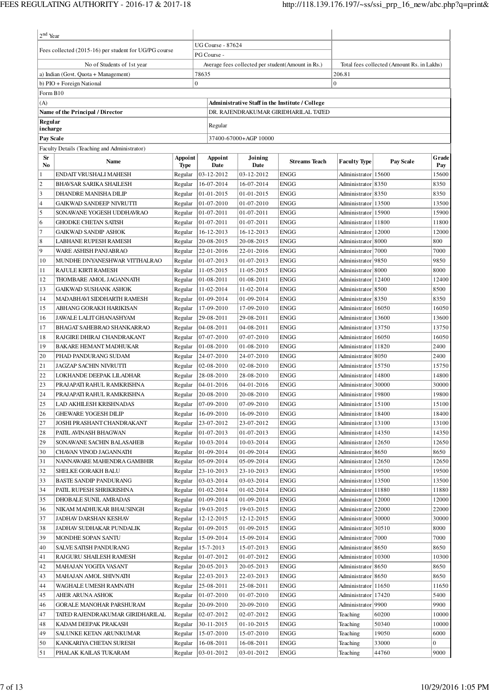| $2nd$ Year     |                                                             |                        |       |                                         |                          |                                                   |                                             |                                            |                |  |
|----------------|-------------------------------------------------------------|------------------------|-------|-----------------------------------------|--------------------------|---------------------------------------------------|---------------------------------------------|--------------------------------------------|----------------|--|
|                |                                                             |                        |       | <b>UG Course - 87624</b>                |                          |                                                   |                                             |                                            |                |  |
|                | Fees collected (2015-16) per student for UG/PG course       |                        |       | PG Course -                             |                          |                                                   |                                             |                                            |                |  |
|                | No of Students of 1st year                                  |                        |       |                                         |                          | Average fees collected per student(Amount in Rs.) |                                             | Total fees collected (Amount Rs. in Lakhs) |                |  |
|                | a) Indian (Govt. Quota + Management)                        |                        | 78635 |                                         |                          |                                                   | 206.81<br>$\boldsymbol{0}$                  |                                            |                |  |
| Form B10       | b) PIO + Foreign National                                   | $\overline{0}$         |       |                                         |                          |                                                   |                                             |                                            |                |  |
| (A)            |                                                             |                        |       |                                         |                          | Administrative Staff in the Institute / College   |                                             |                                            |                |  |
|                | Name of the Principal / Director                            |                        |       |                                         |                          | DR. RAJENDRAKUMAR GIRIDHARILAL TATED              |                                             |                                            |                |  |
| Regular        |                                                             |                        |       |                                         |                          |                                                   |                                             |                                            |                |  |
| incharge       |                                                             |                        |       | Regular                                 |                          |                                                   |                                             |                                            |                |  |
| Pay Scale      |                                                             |                        |       |                                         | 37400-67000+AGP 10000    |                                                   |                                             |                                            |                |  |
|                | Faculty Details (Teaching and Administrator)                |                        |       |                                         |                          |                                                   |                                             |                                            |                |  |
| Sr<br>No.      | <b>Name</b>                                                 | Appoint<br><b>Type</b> |       | Appoint<br>Date                         | Joining<br>Date          | <b>Streams Teach</b>                              | <b>Faculty Type</b>                         | Pay Scale                                  | Grade<br>Pay   |  |
| 1              | ENDAIT VRUSHALI MAHESH                                      | Regular                |       | 03-12-2012                              | 03-12-2012               | <b>ENGG</b>                                       | Administrator 15600                         |                                            | 15600          |  |
| $\sqrt{2}$     | BHAVSAR SARIKA SHAILESH                                     | Regular                |       | 16-07-2014                              | 16-07-2014               | <b>ENGG</b>                                       | Administrator 8350                          |                                            | 8350           |  |
| 3              | DHANDRE MANISHA DILIP                                       | Regular                |       | 01-01-2015                              | 01-01-2015               | <b>ENGG</b>                                       | Administrator 8350                          |                                            | 8350           |  |
| $\overline{4}$ | <b>GAIKWAD SANDEEP NIVRUTTI</b>                             | Regular                |       | 01-07-2010                              | 01-07-2010               | <b>ENGG</b>                                       | Administrator 13500                         |                                            | 13500          |  |
| 5              | SONAWANE YOGESH UDDHAVRAO                                   | Regular                |       | 01-07-2011                              | 01-07-2011               | <b>ENGG</b>                                       | Administrator 15900                         |                                            | 15900          |  |
| 6<br>7         | <b>GHODKE CHETAN SATISH</b><br><b>GAIKWAD SANDIP ASHOK</b>  | Regular                |       | 01-07-2011<br>16-12-2013                | 01-07-2011<br>16-12-2013 | <b>ENGG</b><br><b>ENGG</b>                        | Administrator 11800<br>Administrator 12000  |                                            | 11800<br>12000 |  |
| 8              | LABHANE RUPESH RAMESH                                       | Regular<br>Regular     |       | 20-08-2015                              | 20-08-2015               | <b>ENGG</b>                                       | Administrator                               | 8000                                       | 800            |  |
| 9              | WARE ASHISH PANJABRAO                                       | Regular                |       | 22-01-2016                              | 22-01-2016               | <b>ENGG</b>                                       | Administrator 7000                          |                                            | 7000           |  |
| 10             | MUNDHE DNYANESHWAR VITTHALRAO                               | Regular                |       | 01-07-2013                              | 01-07-2013               | <b>ENGG</b>                                       | Administrator                               | 9850                                       | 9850           |  |
| 11             | RAJULE KIRTI RAMESH                                         | Regular                |       | 11-05-2015                              | 11-05-2015               | <b>ENGG</b>                                       | Administrator 8000                          |                                            | 8000           |  |
| 12             | THOMBARE AMOL JAGANNATH                                     | Regular                |       | 01-08-2011                              | 01-08-2011               | <b>ENGG</b>                                       | Administrator 12400                         |                                            | 12400          |  |
| 13             | GAIKWAD SUSHANK ASHOK                                       | Regular                |       | 11-02-2014                              | 11-02-2014               | <b>ENGG</b>                                       | Administrator 8500                          |                                            | 8500           |  |
| 14             | MADABHAVI SIDDHARTH RAMESH                                  | Regular                |       | 01-09-2014                              | 01-09-2014               | <b>ENGG</b>                                       | Administrator 8350                          |                                            | 8350           |  |
| 15             | ABHANG GORAKH HARIKISAN                                     | Regular                |       | <b>ENGG</b><br>17-09-2010<br>17-09-2010 |                          | Administrator 16050                               |                                             | 16050                                      |                |  |
| 16             | JAWALE LALIT GHANASHYAM                                     | Regular                |       | <b>ENGG</b><br>29-08-2011<br>29-08-2011 |                          | Administrator 13600                               |                                             | 13600                                      |                |  |
| 17             | BHAGAT SAHEBRAO SHANKARRAO                                  | Regular                |       | <b>ENGG</b><br>04-08-2011<br>04-08-2011 |                          | Administrator 13750                               |                                             | 13750                                      |                |  |
| 18<br>19       | RAJGIRE DHIRAJ CHANDRAKANT<br><b>BAKARE HEMANT MADHUKAR</b> | Regular                |       | 07-07-2010<br>01-08-2010                | 07-07-2010<br>01-08-2010 | <b>ENGG</b><br><b>ENGG</b>                        | Administrator 16050<br>Administrator 11820  |                                            | 16050<br>2400  |  |
| 20             | PHAD PANDURANG SUDAM                                        | Regular<br>Regular     |       | 24-07-2010                              | 24-07-2010               | <b>ENGG</b>                                       | Administrator 8050                          |                                            | 2400           |  |
| 21             | <b>JAGZAP SACHIN NIVRUTTI</b>                               | Regular                |       | 02-08-2010                              | 02-08-2010               | <b>ENGG</b>                                       | Administrator 15750                         |                                            | 15750          |  |
| 22             | LOKHANDE DEEPAK LILADHAR                                    | Regular                |       | 28-08-2010                              | 28-08-2010               | <b>ENGG</b>                                       | Administrator 14800                         |                                            | 14800          |  |
| 23             | PRAJAPATI RAHUL RAMKRISHNA                                  | Regular                |       | 04-01-2016                              | 04-01-2016               | <b>ENGG</b>                                       | Administrator 30000                         |                                            | 30000          |  |
| 24             | PRAJAPATI RAHUL RAMKRISHNA                                  | Regular                |       | 20-08-2010                              | 20-08-2010               | <b>ENGG</b>                                       | Administrator 19800                         |                                            | 19800          |  |
| 25             | LAD AKHILESH KRISHNADAS                                     | Regular                |       | 07-09-2010                              | 07-09-2010               | ENGG                                              | Administrator   15100                       |                                            | 15100          |  |
| 26             | <b>GHEWARE YOGESH DILIP</b>                                 | Regular                |       | 16-09-2010                              | 16-09-2010               | ENGG                                              | Administrator 18400                         |                                            | 18400          |  |
| 27             | JOSHI PRASHANT CHANDRAKANT                                  | Regular                |       | 23-07-2012                              | 23-07-2012               | ENGG                                              | Administrator 13100                         |                                            | 13100          |  |
| 28             | PATIL AVINASH BHAGWAN                                       | Regular                |       | 01-07-2013                              | 01-07-2013               | ENGG                                              | Administrator 14350                         |                                            | 14350          |  |
| 29<br>30       | SONAWANE SACHIN BALASAHEB                                   | Regular<br>Regular     |       | 10-03-2014<br>01-09-2014                | 10-03-2014<br>01-09-2014 | <b>ENGG</b><br>ENGG                               | Administrator   12650<br>Administrator 8650 |                                            | 12650<br>8650  |  |
| 31             | CHAVAN VINOD JAGANNATH<br>NANNAWARE MAHENDRA GAMBHIR        | Regular                |       | 05-09-2014                              | 05-09-2014               | ENGG                                              | Administrator   12650                       |                                            | 12650          |  |
| 32             | SHELKE GORAKH BALU                                          | Regular                |       | 23-10-2013                              | 23-10-2013               | ENGG                                              | Administrator 19500                         |                                            | 19500          |  |
| 33             | <b>BASTE SANDIP PANDURANG</b>                               | Regular                |       | 03-03-2014                              | 03-03-2014               | <b>ENGG</b>                                       | Administrator 13500                         |                                            | 13500          |  |
| 34             | PATIL RUPESH SHRIKRISHNA                                    | Regular                |       | 01-02-2014                              | 01-02-2014               | ENGG                                              | Administrator 11880                         |                                            | 11880          |  |
| 35             | DHOBALE SUNIL AMBADAS                                       | Regular                |       | 01-09-2014                              | 01-09-2014               | ENGG                                              | Administrator 12000                         |                                            | 12000          |  |
| 36             | NIKAM MADHUKAR BHAUSINGH                                    | Regular                |       | 19-03-2015                              | 19-03-2015               | ENGG                                              | Administrator 22000                         |                                            | 22000          |  |
| 37             | JADHAV DARSHAN KESHAV                                       | Regular                |       | 12-12-2015                              | 12-12-2015               | ENGG                                              | Administrator 30000                         |                                            | 30000          |  |
| 38             | JADHAV SUDHAKAR PUNDALIK                                    | Regular                |       | 01-09-2015                              | 01-09-2015               | <b>ENGG</b>                                       | Administrator 30510                         |                                            | 8000           |  |
| 39             | MONDHE SOPAN SANTU                                          | Regular                |       | 15-09-2014                              | 15-09-2014               | <b>ENGG</b>                                       | Administrator 7000                          |                                            | 7000           |  |
| 40             | SALVE SATISH PANDURANG                                      | Regular                |       | 15-7-2013                               | 15-07-2013               | ENGG                                              | Administrator 8650                          |                                            | 8650           |  |
| 41<br>42       | RAJGURU SHAILESH RAMESH<br>MAHAJAN YOGITA VASANT            | Regular<br>Regular     |       | 01-07-2012<br>20-05-2013                | 01-07-2012<br>20-05-2013 | ENGG<br>ENGG                                      | Administrator 10300<br>Administrator 8650   |                                            | 10300<br>8650  |  |
| 43             | MAHAJAN AMOL SHIVNATH                                       | Regular                |       | 22-03-2013                              | 22-03-2013               | ENGG                                              | Administrator 8650                          |                                            | 8650           |  |
| 44             | WAGHALE UMESH RAMNATH                                       | Regular                |       | 25-08-2011                              | 25-08-2011               | ENGG                                              | Administrator 11650                         |                                            | 11650          |  |
| 45             | AHER ARUNA ASHOK                                            | Regular                |       | 01-07-2010                              | 01-07-2010               | ENGG                                              | Administrator   17420                       |                                            | 5400           |  |
| 46             | GORALE MANOHAR PARSHURAM                                    | Regular                |       | 20-09-2010                              | 20-09-2010               | ENGG                                              | Administrator   9900                        |                                            | 9900           |  |
| 47             | TATED RAJENDRAKUMAR GIRIDHARILAL                            | Regular                |       | 02-07-2012                              | 02-07-2012               | ENGG                                              | Teaching                                    | 60200                                      | 10000          |  |
| 48             | KADAM DEEPAK PRAKASH                                        | Regular                |       | 30-11-2015                              | 01-10-2015               | ENGG                                              | Teaching                                    | 50340                                      | 10000          |  |
| 49             | SALUNKE KETAN ARUNKUMAR                                     | Regular                |       | 15-07-2010                              | 15-07-2010               | ENGG                                              | Teaching                                    | 19050                                      | 6000           |  |
| 50             | KANKARIYA CHETAN SURESH                                     | Regular                |       | 16-08-2011                              | 16-08-2011               | <b>ENGG</b>                                       | Teaching                                    | 33000                                      | $\overline{0}$ |  |
| 51             | PHALAK KAILAS TUKARAM                                       | Regular                |       | 03-01-2012                              | 03-01-2012               | ENGG                                              | Teaching                                    | 44760                                      | 9000           |  |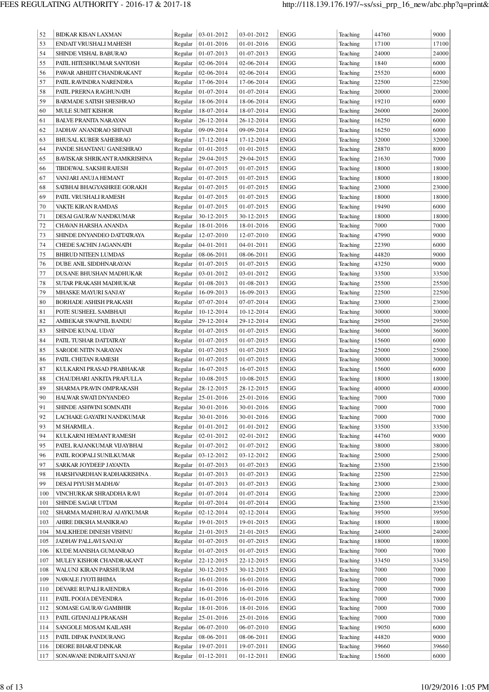| 52  | <b>BIDKAR KISAN LAXMAN</b>     | Regular | 03-01-2012 | 03-01-2012 | <b>ENGG</b> | Teaching | 44760 | 9000  |
|-----|--------------------------------|---------|------------|------------|-------------|----------|-------|-------|
| 53  | ENDAIT VRUSHALI MAHESH         | Regular | 01-01-2016 | 01-01-2016 | <b>ENGG</b> | Teaching | 17100 | 17100 |
| 54  | SHINDE VISHAL BABURAO          | Regular | 01-07-2013 | 01-07-2013 | <b>ENGG</b> | Teaching | 24000 | 24000 |
| 55  | PATIL HITESHKUMAR SANTOSH      | Regular | 02-06-2014 | 02-06-2014 | <b>ENGG</b> | Teaching | 1840  | 6000  |
| 56  | PAWAR ABHIJIT CHANDRAKANT      | Regular | 02-06-2014 | 02-06-2014 | ENGG        | Teaching | 25520 | 6000  |
| 57  | PATIL RAVINDRA NARENDRA        | Regular | 17-06-2014 | 17-06-2014 | <b>ENGG</b> | Teaching | 22500 | 22500 |
| 58  | PATIL PRERNA RAGHUNATH         | Regular | 01-07-2014 | 01-07-2014 | <b>ENGG</b> | Teaching | 20000 | 20000 |
| 59  | <b>BARMADE SATISH SHESHRAO</b> | Regular | 18-06-2014 | 18-06-2014 | <b>ENGG</b> | Teaching | 19210 | 6000  |
| 60  | MULE SUMIT KISHOR              | Regular | 18-07-2014 | 18-07-2014 | ENGG        | Teaching | 26000 | 26000 |
| 61  | <b>BALVE PRANITA NARAYAN</b>   | Regular | 26-12-2014 | 26-12-2014 | ENGG        | Teaching | 16250 | 6000  |
| 62  | JADHAV ANANDRAO SHIVAJI        | Regular | 09-09-2014 | 09-09-2014 | <b>ENGG</b> | Teaching | 16250 | 6000  |
| 63  | <b>BHUSAL KUBER SAHEBRAO</b>   | Regular | 17-12-2014 | 17-12-2014 | <b>ENGG</b> | Teaching | 32000 | 32000 |
| 64  | PANDE SHANTANU GANESHRAO       | Regular | 01-01-2015 | 01-01-2015 | <b>ENGG</b> | Teaching | 28870 | 8000  |
| 65  | BAVISKAR SHRIKANT RAMKRISHNA   | Regular | 29-04-2015 | 29-04-2015 | <b>ENGG</b> | Teaching | 21630 | 7000  |
| 66  | TIBDEWAL SAKSHI RAJESH         | Regular | 01-07-2015 | 01-07-2015 | <b>ENGG</b> | Teaching | 18000 | 18000 |
| 67  | VANJARI ANUJA HEMANT           | Regular | 01-07-2015 | 01-07-2015 | <b>ENGG</b> | Teaching | 18000 | 18000 |
| 68  | SATBHAI BHAGYASHREE GORAKH     | Regular | 01-07-2015 | 01-07-2015 | ENGG        | Teaching | 23000 | 23000 |
| 69  | PATIL VRUSHALI RAMESH          | Regular | 01-07-2015 | 01-07-2015 | <b>ENGG</b> | Teaching | 18000 | 18000 |
| 70  | VAKTE KIRAN RAMDAS             | Regular | 01-07-2015 | 01-07-2015 | <b>ENGG</b> | Teaching | 19490 | 6000  |
| 71  | DESAI GAURAV NANDKUMAR         | Regular | 30-12-2015 | 30-12-2015 | <b>ENGG</b> | Teaching | 18000 | 18000 |
| 72  | CHAVAN HARSHA ANANDA           | Regular | 18-01-2016 | 18-01-2016 | <b>ENGG</b> | Teaching | 7000  | 7000  |
| 73  | SHINDE DNYANDEO DATTATRAYA     | Regular | 12-07-2010 | 12-07-2010 | <b>ENGG</b> | Teaching | 47990 | 9000  |
| 74  | <b>CHEDE SACHIN JAGANNATH</b>  | Regular | 04-01-2011 | 04-01-2011 | <b>ENGG</b> | Teaching | 22390 | 6000  |
| 75  | <b>BHIRUD NITEEN LUMDAS</b>    | Regular | 08-06-2011 | 08-06-2011 | <b>ENGG</b> |          | 44820 | 9000  |
|     |                                |         |            |            |             | Teaching |       |       |
| 76  | DUBE ANIL SIDDHNARAYAN         | Regular | 01-07-2015 | 01-07-2015 | <b>ENGG</b> | Teaching | 43250 | 9000  |
| 77  | DUSANE BHUSHAN MADHUKAR        | Regular | 03-01-2012 | 03-01-2012 | ENGG        | Teaching | 33500 | 33500 |
| 78  | SUTAR PRAKASH MADHUKAR         | Regular | 01-08-2013 | 01-08-2013 | <b>ENGG</b> | Teaching | 25500 | 25500 |
| 79  | <b>MHASKE MAYURI SANJAY</b>    | Regular | 16-09-2013 | 16-09-2013 | <b>ENGG</b> | Teaching | 22500 | 22500 |
| 80  | <b>BORHADE ASHISH PRAKASH</b>  | Regular | 07-07-2014 | 07-07-2014 | <b>ENGG</b> | Teaching | 23000 | 23000 |
| 81  | POTE SUSHEEL SAMBHAJI          | Regular | 10-12-2014 | 10-12-2014 | <b>ENGG</b> | Teaching | 30000 | 30000 |
| 82  | AMBEKAR SWAPNIL BANDU          | Regular | 29-12-2014 | 29-12-2014 | <b>ENGG</b> | Teaching | 29500 | 29500 |
| 83  | SHINDE KUNAL UDAY              | Regular | 01-07-2015 | 01-07-2015 | <b>ENGG</b> | Teaching | 36000 | 36000 |
| 84  | PATIL TUSHAR DATTATRAY         | Regular | 01-07-2015 | 01-07-2015 | <b>ENGG</b> | Teaching | 15600 | 6000  |
| 85  | SARODE NITIN NARAYAN           | Regular | 01-07-2015 | 01-07-2015 | ENGG        | Teaching | 25000 | 25000 |
| 86  | PATIL CHETAN RAMESH            | Regular | 01-07-2015 | 01-07-2015 | ENGG        | Teaching | 30000 | 30000 |
| 87  | KULKARNI PRASAD PRABHAKAR      | Regular | 16-07-2015 | 16-07-2015 | <b>ENGG</b> | Teaching | 15600 | 6000  |
| 88  | CHAUDHARI ANKITA PRAFULLA      | Regular | 10-08-2015 | 10-08-2015 | <b>ENGG</b> | Teaching | 18000 | 18000 |
| 89  | SHARMA PRAVIN OMPRAKASH        | Regular | 28-12-2015 | 28-12-2015 | <b>ENGG</b> | Teaching | 40000 | 40000 |
| 90  | HALWAR SWATI DNYANDEO          | Regular | 25-01-2016 | 25-01-2016 | ENGG        | Teaching | 7000  | 7000  |
| 91  | SHINDE ASHWINI SOMNATH         | Regular | 30-01-2016 | 30-01-2016 | <b>ENGG</b> | Teaching | 7000  | 7000  |
| 92  | LACHAKE GAYATRI NANDKUMAR      | Regular | 30-01-2016 | 30-01-2016 | ENGG        | Teaching | 7000  | 7000  |
| 93  | M SHARMILA.                    | Regular | 01-01-2012 | 01-01-2012 | ENGG        | Teaching | 33500 | 33500 |
| 94  | KULKARNI HEMANT RAMESH         | Regular | 02-01-2012 | 02-01-2012 | ENGG        | Teaching | 44760 | 9000  |
| 95  | PATEL RAJANKUMAR VIJAYBHAI     | Regular | 01-07-2012 | 01-07-2012 | ENGG        | Teaching | 38000 | 38000 |
| 96  | PATIL ROOPALI SUNILKUMAR       | Regular | 03-12-2012 | 03-12-2012 | ENGG        | Teaching | 25000 | 25000 |
| 97  | SARKAR JOYDEEP JAYANTA         | Regular | 01-07-2013 | 01-07-2013 | ENGG        | Teaching | 23500 | 23500 |
| 98  | HARSHVARDHAN RADHAKRISHNA.     | Regular | 01-07-2013 | 01-07-2013 | ENGG        | Teaching | 22500 | 22500 |
| 99  | DESAI PIYUSH MADHAV            | Regular | 01-07-2013 | 01-07-2013 | ENGG        | Teaching | 23000 | 23000 |
| 100 | VINCHURKAR SHRADDHA RAVI       | Regular | 01-07-2014 | 01-07-2014 | ENGG        | Teaching | 22000 | 22000 |
| 101 | SHINDE SAGAR UTTAM             | Regular | 01-07-2014 | 01-07-2014 | ENGG        | Teaching | 23500 | 23500 |
| 102 | SHARMA MADHURAJ AJAYKUMAR      | Regular | 02-12-2014 | 02-12-2014 | ENGG        | Teaching | 39500 | 39500 |
| 103 | AHIRE DIKSHA MANIKRAO          | Regular | 19-01-2015 | 19-01-2015 | ENGG        | Teaching | 18000 | 18000 |
| 104 | MALKHEDE DINESH VISHNU         | Regular | 21-01-2015 | 21-01-2015 | <b>ENGG</b> | Teaching | 24000 | 24000 |
| 105 | JADHAV PALLAVI SANJAY          | Regular | 01-07-2015 | 01-07-2015 | ENGG        | Teaching | 18000 | 18000 |
| 106 | KUDE MANISHA GUMANRAO          | Regular | 01-07-2015 | 01-07-2015 | ENGG        | Teaching | 7000  | 7000  |
| 107 | MULEY KISHOR CHANDRAKANT       | Regular | 22-12-2015 | 22-12-2015 | <b>ENGG</b> | Teaching | 33450 | 33450 |
| 108 | WALUNJ KIRAN PARSHURAM         | Regular | 30-12-2015 | 30-12-2015 | ENGG        | Teaching | 7000  | 7000  |
| 109 | NAWALE JYOTI BHIMA             | Regular | 16-01-2016 | 16-01-2016 | ENGG        | Teaching | 7000  | 7000  |
| 110 | DEVARE RUPALI RAJENDRA         | Regular | 16-01-2016 | 16-01-2016 | ENGG        | Teaching | 7000  | 7000  |
| 111 | PATIL POOJA DEVENDRA           | Regular | 16-01-2016 | 16-01-2016 | ENGG        | Teaching | 7000  | 7000  |
| 112 | SOMASE GAURAV GAMBHIR          | Regular | 18-01-2016 | 18-01-2016 | ENGG        | Teaching | 7000  | 7000  |
| 113 | PATIL GITANJALI PRAKASH        | Regular | 25-01-2016 | 25-01-2016 | <b>ENGG</b> | Teaching | 7000  | 7000  |
| 114 | SANGOLE MOSAM KAILASH          | Regular | 06-07-2010 | 06-07-2010 | ENGG        | Teaching | 19050 | 6000  |
| 115 | PATIL DIPAK PANDURANG          | Regular | 08-06-2011 | 08-06-2011 | <b>ENGG</b> | Teaching | 44820 | 9000  |
| 116 | DEORE BHARAT DINKAR            | Regular | 19-07-2011 | 19-07-2011 | <b>ENGG</b> | Teaching | 39660 | 39660 |
| 117 | SONAWANE INDRAJIT SANJAY       | Regular | 01-12-2011 | 01-12-2011 | ENGG        | Teaching | 15600 | 6000  |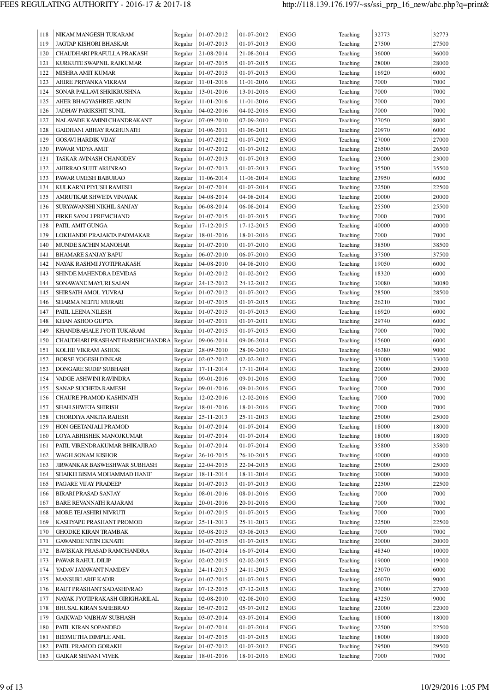| 118 | NIKAM MANGESH TUKARAM            | Regular | 01-07-2012 | 01-07-2012 | <b>ENGG</b> | Teaching | 32773          | 32773 |
|-----|----------------------------------|---------|------------|------------|-------------|----------|----------------|-------|
| 119 | JAGTAP KISHORI BHASKAR           | Regular | 01-07-2013 | 01-07-2013 | <b>ENGG</b> | Teaching | 27500          | 27500 |
| 120 | CHAUDHARI PRAFULLA PRAKASH       | Regular | 21-08-2014 | 21-08-2014 | <b>ENGG</b> | Teaching | 36000          | 36000 |
| 121 | KURKUTE SWAPNIL RAJKUMAR         | Regular | 01-07-2015 | 01-07-2015 | <b>ENGG</b> | Teaching | 28000          | 28000 |
| 122 | MISHRA AMIT KUMAR                | Regular | 01-07-2015 | 01-07-2015 | <b>ENGG</b> | Teaching | 16920          | 6000  |
| 123 | AHIRE PRIYANKA VIKRAM            | Regular | 11-01-2016 | 11-01-2016 | <b>ENGG</b> | Teaching | 7000           | 7000  |
| 124 | SONAR PALLAVI SHRIKRUSHNA        | Regular | 13-01-2016 | 13-01-2016 | <b>ENGG</b> | Teaching | 7000           | 7000  |
| 125 | AHER BHAGYASHREE ARUN            | Regular | 11-01-2016 | 11-01-2016 | <b>ENGG</b> | Teaching | 7000           | 7000  |
| 126 | <b>JADHAV PARIKSHIT SUNIL</b>    | Regular | 04-02-2016 | 04-02-2016 | <b>ENGG</b> | Teaching | 7000           | 7000  |
| 127 | NALAVADE KAMINI CHANDRAKANT      | Regular | 07-09-2010 | 07-09-2010 | <b>ENGG</b> | Teaching | 27050          | 8000  |
| 128 | GAIDHANI ABHAY RAGHUNATH         | Regular | 01-06-2011 | 01-06-2011 | <b>ENGG</b> | Teaching | 20970          | 6000  |
| 129 | <b>GOSAVI HARDIK VIJAY</b>       | Regular | 01-07-2012 | 01-07-2012 | <b>ENGG</b> | Teaching | 27000          | 27000 |
| 130 | PAWAR VIDYA AMIT                 | Regular | 01-07-2012 | 01-07-2012 | <b>ENGG</b> | Teaching | 26500          | 26500 |
| 131 | TASKAR AVINASH CHANGDEV          |         | 01-07-2013 | 01-07-2013 | <b>ENGG</b> |          | 23000          | 23000 |
|     |                                  | Regular |            |            | <b>ENGG</b> | Teaching |                | 35500 |
| 132 | AHIRRAO SUJIT ARUNRAO            | Regular | 01-07-2013 | 01-07-2013 |             | Teaching | 35500<br>23950 | 6000  |
| 133 | PAWAR UMESH BABURAO              | Regular | 11-06-2014 | 11-06-2014 | <b>ENGG</b> | Teaching |                |       |
| 134 | KULKARNI PIYUSH RAMESH           | Regular | 01-07-2014 | 01-07-2014 | <b>ENGG</b> | Teaching | 22500          | 22500 |
| 135 | AMRUTKAR SHWETA VINAYAK          | Regular | 04-08-2014 | 04-08-2014 | <b>ENGG</b> | Teaching | 20000          | 20000 |
| 136 | SURYAWANSHI NIKHIL SANJAY        | Regular | 06-08-2014 | 06-08-2014 | <b>ENGG</b> | Teaching | 25500          | 25500 |
| 137 | FIRKE SAYALI PREMCHAND           | Regular | 01-07-2015 | 01-07-2015 | <b>ENGG</b> | Teaching | 7000           | 7000  |
| 138 | PATIL AMIT GUNGA                 | Regular | 17-12-2015 | 17-12-2015 | <b>ENGG</b> | Teaching | 40000          | 40000 |
| 139 | LOKHANDE PRAJAKTA PADMAKAR       | Regular | 18-01-2016 | 18-01-2016 | <b>ENGG</b> | Teaching | 7000           | 7000  |
| 140 | MUNDE SACHIN MANOHAR             | Regular | 01-07-2010 | 01-07-2010 | <b>ENGG</b> | Teaching | 38500          | 38500 |
| 141 | <b>BHAMARE SANJAY BAPU</b>       | Regular | 06-07-2010 | 06-07-2010 | <b>ENGG</b> | Teaching | 37500          | 37500 |
| 142 | NAYAK RASHMI JYOTIPRAKASH        | Regular | 04-08-2010 | 04-08-2010 | <b>ENGG</b> | Teaching | 19050          | 6000  |
| 143 | SHINDE MAHENDRA DEVIDAS          | Regular | 01-02-2012 | 01-02-2012 | <b>ENGG</b> | Teaching | 18320          | 6000  |
| 144 | SONAWANE MAYURI SAJAN            | Regular | 24-12-2012 | 24-12-2012 | <b>ENGG</b> | Teaching | 30080          | 30080 |
| 145 | SHIRSATH AMOL YUVRAJ             | Regular | 01-07-2012 | 01-07-2012 | <b>ENGG</b> | Teaching | 28500          | 28500 |
| 146 | SHARMA NEETU MURARI              | Regular | 01-07-2015 | 01-07-2015 | <b>ENGG</b> | Teaching | 26210          | 7000  |
| 147 | PATIL LEENA NILESH               | Regular | 01-07-2015 | 01-07-2015 | <b>ENGG</b> | Teaching | 16920          | 6000  |
| 148 | KHAN ASHOO GUPTA                 | Regular | 01-07-2011 | 01-07-2011 | <b>ENGG</b> | Teaching | 29740          | 6000  |
| 149 | KHANDBAHALE JYOTI TUKARAM        | Regular | 01-07-2015 | 01-07-2015 | <b>ENGG</b> | Teaching | 7000           | 7000  |
| 150 | CHAUDHARI PRASHANT HARISHCHANDRA | Regular | 09-06-2014 | 09-06-2014 | <b>ENGG</b> | Teaching | 15600          | 6000  |
| 151 | KOLHE VIKRAM ASHOK               | Regular | 28-09-2010 | 28-09-2010 | <b>ENGG</b> | Teaching | 46380          | 9000  |
| 152 | <b>BORSE YOGESH DINKAR</b>       | Regular | 02-02-2012 | 02-02-2012 | <b>ENGG</b> | Teaching | 33000          | 33000 |
| 153 | DONGARE SUDIP SUBHASH            | Regular | 17-11-2014 | 17-11-2014 | <b>ENGG</b> | Teaching | 20000          | 20000 |
| 154 | VADGE ASHWINI RAVINDRA           | Regular | 09-01-2016 | 09-01-2016 | <b>ENGG</b> | Teaching | 7000           | 7000  |
| 155 | SANAP SUCHETA RAMESH             | Regular | 09-01-2016 | 09-01-2016 | <b>ENGG</b> | Teaching | 7000           | 7000  |
| 156 | CHAURE PRAMOD KASHINATH          | Regular | 12-02-2016 | 12-02-2016 | <b>ENGG</b> | Teaching | 7000           | 7000  |
| 157 | SHAH SHWETA SHIRISH              | Regular | 18-01-2016 | 18-01-2016 | <b>ENGG</b> | Teaching | 7000           | 7000  |
| 158 | CHORDIYA ANKITA RAJESH           | Regular | 25-11-2013 | 25-11-2013 | <b>ENGG</b> | Teaching | 25000          | 25000 |
| 159 | HON GEETANJALI PRAMOD            | Regular | 01-07-2014 | 01-07-2014 | <b>ENGG</b> | Teaching | 18000          | 18000 |
| 160 | LOYA ABHISHEK MANOJKUMAR         | Regular | 01-07-2014 | 01-07-2014 | <b>ENGG</b> | Teaching | 18000          | 18000 |
| 161 | PATIL VIRENDRAKUMAR BHIKAJIRAO   | Regular | 01-07-2014 | 01-07-2014 | <b>ENGG</b> | Teaching | 35800          | 35800 |
| 162 | WAGH SONAM KISHOR                | Regular | 26-10-2015 | 26-10-2015 | <b>ENGG</b> | Teaching | 40000          | 40000 |
| 163 | JIRWANKAR BASWESHWAR SUBHASH     | Regular | 22-04-2015 | 22-04-2015 | <b>ENGG</b> | Teaching | 25000          | 25000 |
| 164 | SHAIKH BISMA MOHAMMAD HANIF      | Regular | 18-11-2014 | 18-11-2014 | <b>ENGG</b> | Teaching | 30000          | 30000 |
| 165 | PAGARE VIJAY PRADEEP             | Regular | 01-07-2013 | 01-07-2013 | <b>ENGG</b> | Teaching | 22500          | 22500 |
| 166 | BIRARI PRASAD SANJAY             | Regular | 08-01-2016 | 08-01-2016 | <b>ENGG</b> | Teaching | 7000           | 7000  |
| 167 |                                  | Regular |            |            | <b>ENGG</b> | Teaching | 7000           | 7000  |
|     | <b>BARE REVANNATH RAJARAM</b>    | Regular | 20-01-2016 | 20-01-2016 |             | Teaching | 7000           | 7000  |
| 168 | MORE TEJASHIRI NIVRUTI           |         | 01-07-2015 | 01-07-2015 | <b>ENGG</b> |          |                |       |
| 169 | KASHYAPE PRASHANT PROMOD         | Regular | 25-11-2013 | 25-11-2013 | <b>ENGG</b> | Teaching | 22500          | 22500 |
| 170 | <b>GHODKE KIRAN TRAMBAK</b>      | Regular | 03-08-2015 | 03-08-2015 | <b>ENGG</b> | Teaching | 7000           | 7000  |
| 171 | <b>GAWANDE NITIN EKNATH</b>      | Regular | 01-07-2015 | 01-07-2015 | <b>ENGG</b> | Teaching | 20000          | 20000 |
| 172 | BAVISKAR PRASAD RAMCHANDRA       | Regular | 16-07-2014 | 16-07-2014 | <b>ENGG</b> | Teaching | 48340          | 10000 |
| 173 | PAWAR RAHUL DILIP                | Regular | 02-02-2015 | 02-02-2015 | <b>ENGG</b> | Teaching | 19000          | 19000 |
| 174 | YADAV JAYAWANT NAMDEV            | Regular | 24-11-2015 | 24-11-2015 | <b>ENGG</b> | Teaching | 23070          | 6000  |
| 175 | <b>MANSURI ARIF KADIR</b>        | Regular | 01-07-2015 | 01-07-2015 | <b>ENGG</b> | Teaching | 46070          | 9000  |
| 176 | RAUT PRASHANT SADASHIVRAO        | Regular | 07-12-2015 | 07-12-2015 | <b>ENGG</b> | Teaching | 27000          | 27000 |
| 177 | NAYAK JYOTIPRAKASH GIRIGHARILAL  | Regular | 02-08-2010 | 02-08-2010 | <b>ENGG</b> | Teaching | 43250          | 9000  |
| 178 | <b>BHUSAL KIRAN SAHEBRAO</b>     | Regular | 05-07-2012 | 05-07-2012 | <b>ENGG</b> | Teaching | 22000          | 22000 |
| 179 | GAIKWAD VAIBHAV SUBHASH          | Regular | 03-07-2014 | 03-07-2014 | <b>ENGG</b> | Teaching | 18000          | 18000 |
| 180 | PATIL KIRAN SOPANDEO             | Regular | 01-07-2014 | 01-07-2014 | <b>ENGG</b> | Teaching | 22500          | 22500 |
| 181 | BEDMUTHA DIMPLE ANIL             | Regular | 01-07-2015 | 01-07-2015 | <b>ENGG</b> | Teaching | 18000          | 18000 |
| 182 | PATIL PRAMOD GORAKH              | Regular | 01-07-2012 | 01-07-2012 | <b>ENGG</b> | Teaching | 29500          | 29500 |
| 183 | <b>GAIKAR SHIVANI VIVEK</b>      | Regular | 18-01-2016 | 18-01-2016 | <b>ENGG</b> | Teaching | 7000           | 7000  |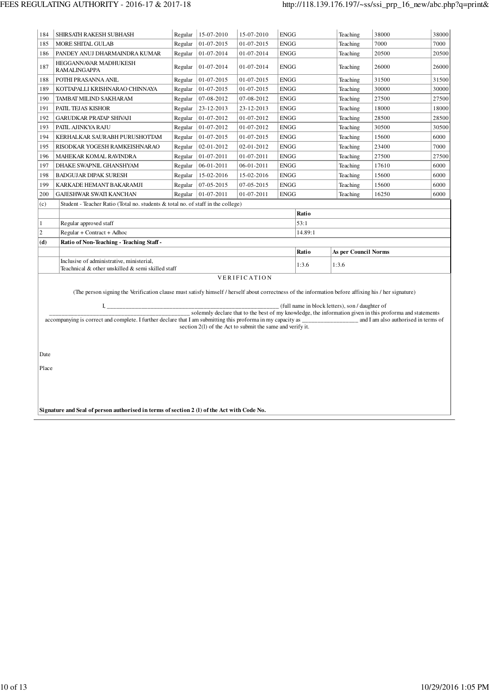| 184                                                                                                       | SHIRSATH RAKESH SUBHASH                                                                                                                                                  | Regular | 15-07-2010       | 15-07-2010                                                | <b>ENGG</b> |         | Teaching                                        | 38000                                                                                                    | 38000 |  |  |
|-----------------------------------------------------------------------------------------------------------|--------------------------------------------------------------------------------------------------------------------------------------------------------------------------|---------|------------------|-----------------------------------------------------------|-------------|---------|-------------------------------------------------|----------------------------------------------------------------------------------------------------------|-------|--|--|
| 185                                                                                                       | MORE SHITAL GULAB                                                                                                                                                        | Regular | $01 - 07 - 2015$ | 01-07-2015                                                | <b>ENGG</b> |         | Teaching                                        | 7000                                                                                                     | 7000  |  |  |
| 186                                                                                                       | PANDEY ANUJ DHARMAINDRA KUMAR                                                                                                                                            | Regular | 01-07-2014       | 01-07-2014                                                | <b>ENGG</b> |         | Teaching                                        | 20500                                                                                                    | 20500 |  |  |
| 187                                                                                                       | HEGGANNAVAR MADHUKESH<br><b>RAMALINGAPPA</b>                                                                                                                             | Regular | 01-07-2014       | 01-07-2014                                                | <b>ENGG</b> |         | Teaching                                        | 26000                                                                                                    | 26000 |  |  |
| 188                                                                                                       | POTHI PRASANNA ANIL                                                                                                                                                      | Regular | 01-07-2015       | 01-07-2015                                                | <b>ENGG</b> |         | Teaching                                        | 31500                                                                                                    | 31500 |  |  |
| 189                                                                                                       | KOTTAPALLI KRISHNARAO CHINNAYA                                                                                                                                           | Regular | 01-07-2015       | 01-07-2015                                                | <b>ENGG</b> |         | Teaching                                        | 30000                                                                                                    | 30000 |  |  |
| 190                                                                                                       | TAMBAT MILIND SAKHARAM                                                                                                                                                   | Regular | 07-08-2012       | 07-08-2012                                                | <b>ENGG</b> |         | Teaching                                        | 27500                                                                                                    | 27500 |  |  |
| 191                                                                                                       | PATIL TEJAS KISHOR                                                                                                                                                       | Regular | 23-12-2013       | 23-12-2013                                                | <b>ENGG</b> |         | Teaching                                        | 18000                                                                                                    | 18000 |  |  |
| 192                                                                                                       | <b>GARUDKAR PRATAP SHIVAJI</b>                                                                                                                                           | Regular | 01-07-2012       | 01-07-2012                                                | <b>ENGG</b> |         | Teaching                                        | 28500                                                                                                    | 28500 |  |  |
| 193                                                                                                       | PATIL AJINKYA RAJU                                                                                                                                                       | Regular | 01-07-2012       | 01-07-2012                                                | <b>ENGG</b> |         | Teaching                                        | 30500                                                                                                    | 30500 |  |  |
| 194                                                                                                       | KERHALKAR SAURABH PURUSHOTTAM                                                                                                                                            | Regular | 01-07-2015       | 01-07-2015                                                | <b>ENGG</b> |         | Teaching                                        | 15600                                                                                                    | 6000  |  |  |
| 195                                                                                                       | RISODKAR YOGESH RAMKEISHNARAO                                                                                                                                            | Regular | 02-01-2012       | 02-01-2012                                                | <b>ENGG</b> |         | Teaching                                        | 23400                                                                                                    | 7000  |  |  |
| 196                                                                                                       | MAHEKAR KOMAL RAVINDRA                                                                                                                                                   | Regular | 01-07-2011       | 01-07-2011                                                | <b>ENGG</b> |         | Teaching                                        | 27500                                                                                                    | 27500 |  |  |
| 197                                                                                                       | DHAKE SWAPNIL GHANSHYAM                                                                                                                                                  | Regular | 06-01-2011       | 06-01-2011                                                | <b>ENGG</b> |         | Teaching                                        | 17610                                                                                                    | 6000  |  |  |
| 198                                                                                                       | <b>BADGUJAR DIPAK SURESH</b>                                                                                                                                             | Regular | 15-02-2016       | 15-02-2016                                                | <b>ENGG</b> |         | Teaching                                        | 15600                                                                                                    | 6000  |  |  |
| 199                                                                                                       | KARKADE HEMANT BAKARAMJI                                                                                                                                                 | Regular | 07-05-2015       | 07-05-2015                                                | <b>ENGG</b> |         | Teaching                                        | 15600                                                                                                    | 6000  |  |  |
| <b>ENGG</b><br>200<br>GAJESHWAR SWATI KANCHAN<br>Regular<br>01-07-2011<br>01-07-2011<br>Teaching<br>16250 |                                                                                                                                                                          |         |                  |                                                           |             |         |                                                 | 6000                                                                                                     |       |  |  |
| (c)                                                                                                       | Student - Teacher Ratio (Total no. students & total no. of staff in the college)                                                                                         |         |                  |                                                           |             |         |                                                 |                                                                                                          |       |  |  |
|                                                                                                           | Ratio                                                                                                                                                                    |         |                  |                                                           |             |         |                                                 |                                                                                                          |       |  |  |
| $\mathbf{1}$                                                                                              | 53:1<br>Regular approved staff                                                                                                                                           |         |                  |                                                           |             |         |                                                 |                                                                                                          |       |  |  |
| $\sqrt{2}$                                                                                                | Regular + Contract + Adhoc                                                                                                                                               |         |                  |                                                           |             | 14.89:1 |                                                 |                                                                                                          |       |  |  |
| (d)                                                                                                       | Ratio of Non-Teaching - Teaching Staff -                                                                                                                                 |         |                  |                                                           |             |         |                                                 |                                                                                                          |       |  |  |
|                                                                                                           |                                                                                                                                                                          |         |                  |                                                           |             | Ratio   | <b>As per Council Norms</b>                     |                                                                                                          |       |  |  |
|                                                                                                           | Inclusive of administrative, ministerial,<br>Teachnical & other unskilled & semi skilled staff                                                                           |         |                  |                                                           |             | 1:3.6   | 1:3.6                                           |                                                                                                          |       |  |  |
|                                                                                                           |                                                                                                                                                                          |         |                  | VERIFICATION                                              |             |         |                                                 |                                                                                                          |       |  |  |
|                                                                                                           | (The person signing the Verification clause must satisfy himself / herself about correctness of the information before affixing his / her signature)                     |         |                  |                                                           |             |         |                                                 |                                                                                                          |       |  |  |
|                                                                                                           |                                                                                                                                                                          |         |                  |                                                           |             |         | (full name in block letters), son / daughter of |                                                                                                          |       |  |  |
|                                                                                                           |                                                                                                                                                                          |         |                  |                                                           |             |         |                                                 | solemnly declare that to the best of my knowledge, the information given in this proforma and statements |       |  |  |
|                                                                                                           | accompanying is correct and complete. I further declare that I am submitting this proforma in my capacity as ______________________ and I am also authorised in terms of |         |                  |                                                           |             |         |                                                 |                                                                                                          |       |  |  |
|                                                                                                           |                                                                                                                                                                          |         |                  | section 2(1) of the Act to submit the same and verify it. |             |         |                                                 |                                                                                                          |       |  |  |
|                                                                                                           |                                                                                                                                                                          |         |                  |                                                           |             |         |                                                 |                                                                                                          |       |  |  |
| Date                                                                                                      |                                                                                                                                                                          |         |                  |                                                           |             |         |                                                 |                                                                                                          |       |  |  |
|                                                                                                           |                                                                                                                                                                          |         |                  |                                                           |             |         |                                                 |                                                                                                          |       |  |  |
|                                                                                                           |                                                                                                                                                                          |         |                  |                                                           |             |         |                                                 |                                                                                                          |       |  |  |
| Place                                                                                                     |                                                                                                                                                                          |         |                  |                                                           |             |         |                                                 |                                                                                                          |       |  |  |
|                                                                                                           |                                                                                                                                                                          |         |                  |                                                           |             |         |                                                 |                                                                                                          |       |  |  |
|                                                                                                           |                                                                                                                                                                          |         |                  |                                                           |             |         |                                                 |                                                                                                          |       |  |  |
|                                                                                                           |                                                                                                                                                                          |         |                  |                                                           |             |         |                                                 |                                                                                                          |       |  |  |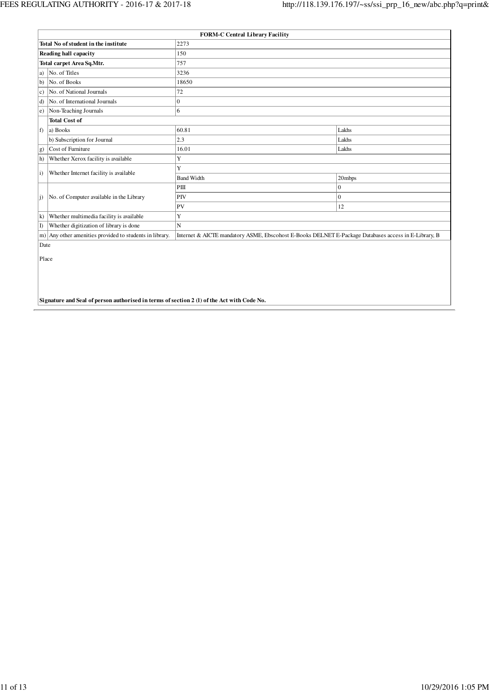|                   |                                                                                                                                                              | <b>FORM-C Central Library Facility</b> |              |  |  |  |  |
|-------------------|--------------------------------------------------------------------------------------------------------------------------------------------------------------|----------------------------------------|--------------|--|--|--|--|
|                   | Total No of student in the institute                                                                                                                         | 2273                                   |              |  |  |  |  |
|                   | Reading hall capacity                                                                                                                                        | 150                                    |              |  |  |  |  |
|                   | Total carpet Area Sq.Mtr.                                                                                                                                    | 757                                    |              |  |  |  |  |
| a)                | No. of Titles                                                                                                                                                | 3236                                   |              |  |  |  |  |
| <sub>b</sub>      | No. of Books                                                                                                                                                 | 18650                                  |              |  |  |  |  |
| c)                | No. of National Journals                                                                                                                                     | 72                                     |              |  |  |  |  |
| $\mathbf{d}$      | No. of International Journals                                                                                                                                | $\theta$                               |              |  |  |  |  |
| $ e\rangle$       | Non-Teaching Journals                                                                                                                                        | 6                                      |              |  |  |  |  |
|                   | <b>Total Cost of</b>                                                                                                                                         |                                        |              |  |  |  |  |
| f)                | a) Books                                                                                                                                                     | 60.81                                  | Lakhs        |  |  |  |  |
|                   | b) Subscription for Journal                                                                                                                                  | 2.3                                    | Lakhs        |  |  |  |  |
| g)                | Cost of Furniture                                                                                                                                            | 16.01                                  | Lakhs        |  |  |  |  |
| h)                | Whether Xerox facility is available                                                                                                                          | Y                                      |              |  |  |  |  |
| $\vert i \rangle$ | Whether Internet facility is available                                                                                                                       | Y                                      |              |  |  |  |  |
|                   |                                                                                                                                                              | <b>Band Width</b>                      | 20mbps       |  |  |  |  |
|                   |                                                                                                                                                              | PIII                                   | $\mathbf{0}$ |  |  |  |  |
| li)               | No. of Computer available in the Library                                                                                                                     | PIV                                    | $\theta$     |  |  |  |  |
|                   |                                                                                                                                                              | PV                                     | 12           |  |  |  |  |
| $\bf k$           | Whether multimedia facility is available                                                                                                                     | Y                                      |              |  |  |  |  |
| D)                | Whether digitization of library is done                                                                                                                      | N                                      |              |  |  |  |  |
| m)                | Any other amenities provided to students in library.<br>Internet & AICTE mandatory ASME, Ebscohost E-Books DELNET E-Package Databases access in E-Library, B |                                        |              |  |  |  |  |
| Date              |                                                                                                                                                              |                                        |              |  |  |  |  |

Place

**Signature and Seal of person authorised in terms of section 2 (l) of the Act with Code No.**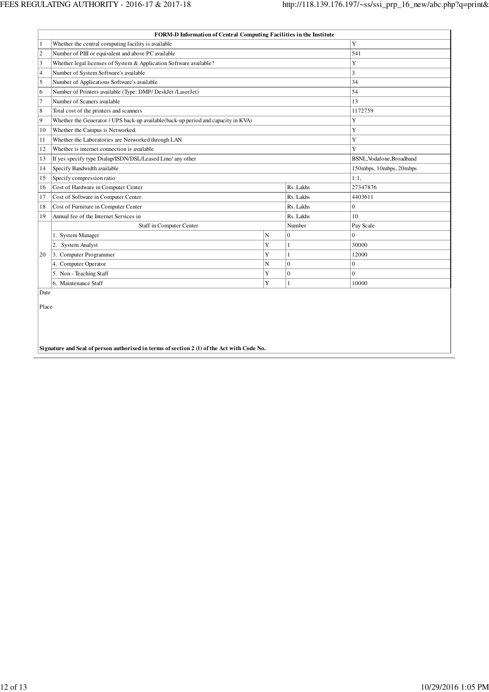|                | FORM-D Information of Central Computing Facilities in the Institute               |           |                           |                |
|----------------|-----------------------------------------------------------------------------------|-----------|---------------------------|----------------|
| $\mathbf{1}$   | Whether the central computing facility is available                               |           |                           | Y              |
| $\overline{2}$ | Number of PIII or equivalent and above PC available                               |           |                           | 541            |
| $\overline{3}$ | Whether legal licenses of System & Application Software available?                |           |                           | Y              |
| $\overline{4}$ | Number of System Software's available                                             |           |                           | 3              |
| 5              | Number of Applications Software's available                                       |           |                           | 34             |
| 6              | Number of Printers available (Type: DMP/ DeskJet /LaserJet)                       |           |                           | 54             |
| $\overline{7}$ | Number of Scaners available                                                       |           |                           | 13             |
| 8              | Total cost of the printers and scanners                                           |           |                           | 1172759        |
| 9              | Whether the Generator / UPS back-up available(back-up period and capacity in KVA) | Y         |                           |                |
| 10             | Whether the Campus is Networked.                                                  |           | Y                         |                |
| 11             | Whether the Laboratories are Networked through LAN                                |           | Y                         |                |
| 12             | Whether is internet connection is available                                       |           | Y                         |                |
| 13             | If yes specify type Dialup/ISDN/DSL/Leased Line/ any other                        |           | BSNL, Vodafone, Broadband |                |
| 14             | Specify Bandwidth available                                                       |           | 150mbps, 10mbps, 20mbps   |                |
| 15             | Specify compression ratio                                                         |           | 1:1.                      |                |
| 16             | Cost of Hardware in Computer Center                                               |           | Rs. Lakhs                 | 27347876       |
| 17             | Cost of Software in Computer Center                                               |           | Rs. Lakhs                 | 4403611        |
| 18             | Cost of Furniture in Computer Center                                              |           | Rs. Lakhs                 | $\overline{0}$ |
| 19             | Annual fee of the Internet Services in                                            |           | Rs. Lakhs                 | 10             |
|                | Staff in Computer Center                                                          |           | Number                    | Pay Scale      |
|                | 1. System Manager                                                                 | ${\bf N}$ | $\mathbf{0}$              | $\Omega$       |
|                | <b>System Analyst</b><br>2.                                                       | Y         | 1                         | 30000          |
| 20             | 3. Computer Programmer                                                            | Ÿ         | 1                         | 12000          |
|                | 4. Computer Operator                                                              | N         | $\mathbf{0}$              | $\mathbf{0}$   |
|                | 5. Non - Teaching Staff                                                           | Y         | $\Omega$                  | $\Omega$       |
|                | 6. Maintenance Staff                                                              | Y         | $\mathbf{1}$              | 10000          |
| Date           |                                                                                   |           |                           |                |
| Place          |                                                                                   |           |                           |                |
|                |                                                                                   |           |                           |                |
|                |                                                                                   |           |                           |                |
|                |                                                                                   |           |                           |                |

**Signature and Seal of person authorised in terms of section 2 (l) of the Act with Code No.**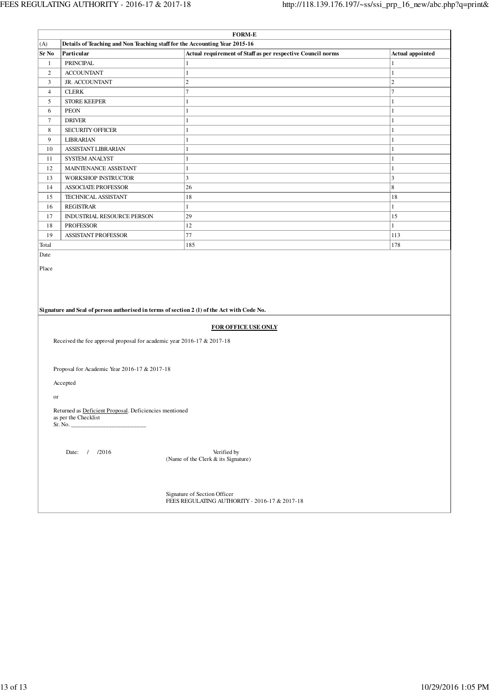$\mathbf{r}$ 

|                |                                                                                | <b>FORM-E</b>                                                                              |                  |
|----------------|--------------------------------------------------------------------------------|--------------------------------------------------------------------------------------------|------------------|
| (A)            | Details of Teaching and Non Teaching staff for the Accounting Year 2015-16     |                                                                                            |                  |
| <b>Sr No</b>   | Particular                                                                     | Actual requirement of Staff as per respective Council norms                                | Actual appointed |
| $\mathbf{1}$   | <b>PRINCIPAL</b>                                                               | $\mathbf{1}$                                                                               | 1                |
| $\overline{2}$ | <b>ACCOUNTANT</b>                                                              | $\mathbf{1}$                                                                               | 1                |
| 3              | JR. ACCOUNTANT                                                                 | $\mathfrak{2}$                                                                             | $\sqrt{2}$       |
| $\overline{4}$ | <b>CLERK</b>                                                                   | $\tau$                                                                                     | $\tau$           |
| 5              | <b>STORE KEEPER</b>                                                            | $\mathbf{1}$                                                                               | 1                |
| 6              | <b>PEON</b>                                                                    | 1                                                                                          | 1                |
| $\tau$         | <b>DRIVER</b>                                                                  | 1                                                                                          | 1                |
| 8              | <b>SECURITY OFFICER</b>                                                        | $\mathbf{1}$                                                                               | 1                |
| 9              | LIBRARIAN                                                                      | $\mathbf{1}$                                                                               | 1                |
| 10             | ASSISTANT LIBRARIAN                                                            | 1                                                                                          | 1                |
| 11             | SYSTEM ANALYST                                                                 | 1                                                                                          | 1                |
| 12             | MAINTENANCE ASSISTANT                                                          | $\mathbf{1}$                                                                               | 1                |
| 13             | WORKSHOP INSTRUCTOR                                                            | 3                                                                                          | 3                |
| 14             | <b>ASSOCIATE PROFESSOR</b>                                                     | 26                                                                                         | $\,$ 8 $\,$      |
| 15             | TECHNICAL ASSISTANT                                                            | 18                                                                                         | 18               |
| 16             | <b>REGISTRAR</b>                                                               | $\mathbf{1}$                                                                               | 1                |
| 17             | INDUSTRIAL RESOURCE PERSON                                                     | 29                                                                                         | 15               |
| 18             | <b>PROFESSOR</b>                                                               | 12                                                                                         | 1                |
| 19             | <b>ASSISTANT PROFESSOR</b>                                                     | $77\,$                                                                                     | 113              |
| Total          |                                                                                | 185                                                                                        | 178              |
|                |                                                                                |                                                                                            |                  |
|                |                                                                                | Signature and Seal of person authorised in terms of section 2 (1) of the Act with Code No. |                  |
|                |                                                                                | FOR OFFICE USE ONLY                                                                        |                  |
|                |                                                                                |                                                                                            |                  |
|                | Received the fee approval proposal for academic year 2016-17 & 2017-18         |                                                                                            |                  |
|                |                                                                                |                                                                                            |                  |
|                | Proposal for Academic Year 2016-17 & 2017-18                                   |                                                                                            |                  |
|                | Accepted                                                                       |                                                                                            |                  |
| or             |                                                                                |                                                                                            |                  |
|                | Returned as Deficient Proposal. Deficiencies mentioned<br>as per the Checklist |                                                                                            |                  |
|                | Sr. No.                                                                        |                                                                                            |                  |
|                |                                                                                |                                                                                            |                  |
|                | Date: / /2016                                                                  | Verified by<br>(Name of the Clerk & its Signature)                                         |                  |
|                |                                                                                |                                                                                            |                  |
|                |                                                                                | Signature of Section Officer<br>FEES REGULATING AUTHORITY - 2016-17 & 2017-18              |                  |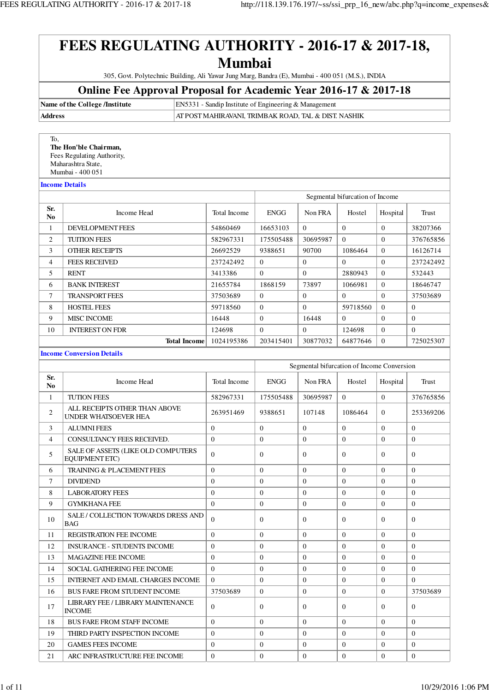305, Govt. Polytechnic Building, Ali Yawar Jung Marg, Bandra (E), Mumbai - 400 051 (M.S.), INDIA

### **Online Fee Approval Proposal for Academic Year 2016-17 & 2017-18**

**Name of the College /Institute** EN5331 - Sandip Institute of Engineering & Management

**Address** AT POST MAHIRAVANI, TRIMBAK ROAD, TAL & DIST. NASHIK

 To, **The Hon'ble Chairman,** Fees Regulating Authority, Maharashtra State,

Mumbai - 400 051

**Income Details**

|                |                         |              | Segmental bifurcation of Income |          |          |          |              |  |
|----------------|-------------------------|--------------|---------------------------------|----------|----------|----------|--------------|--|
| Sr.<br>No.     | Income Head             | Total Income | <b>ENGG</b>                     | Non FRA  | Hostel   | Hospital | Trust        |  |
|                | <b>DEVELOPMENT FEES</b> | 54860469     | 16653103                        | $\Omega$ | $\Omega$ | $\Omega$ | 38207366     |  |
| 2              | <b>TUITION FEES</b>     | 582967331    | 175505488                       | 30695987 | $\Omega$ | $\Omega$ | 376765856    |  |
| 3              | <b>OTHER RECEIPTS</b>   | 26692529     | 9388651                         | 90700    | 1086464  | $\Omega$ | 16126714     |  |
| $\overline{4}$ | <b>FEES RECEIVED</b>    | 237242492    | $\Omega$                        | $\Omega$ | $\Omega$ | $\Omega$ | 237242492    |  |
| 5              | <b>RENT</b>             | 3413386      | $\Omega$                        | $\Omega$ | 2880943  | $\Omega$ | 532443       |  |
| 6              | <b>BANK INTEREST</b>    | 21655784     | 1868159                         | 73897    | 1066981  | $\Omega$ | 18646747     |  |
| $\tau$         | <b>TRANSPORT FEES</b>   | 37503689     | $\Omega$                        | $\Omega$ | $\Omega$ | $\Omega$ | 37503689     |  |
| 8              | <b>HOSTEL FEES</b>      | 59718560     | $\Omega$                        | $\Omega$ | 59718560 | $\Omega$ | $\theta$     |  |
| 9              | <b>MISC INCOME</b>      | 16448        | $\Omega$                        | 16448    | $\Omega$ | $\Omega$ | $\mathbf{0}$ |  |
| 10             | <b>INTEREST ON FDR</b>  | 124698       | $\Omega$                        | $\Omega$ | 124698   | $\Omega$ | $\Omega$     |  |
|                | <b>Total Income</b>     | 1024195386   | 203415401                       | 30877032 | 64877646 | $\Omega$ | 725025307    |  |

### **Income Conversion Details**

|                       |                                                              | Segmental bifurcation of Income Conversion |                |              |          |          |              |
|-----------------------|--------------------------------------------------------------|--------------------------------------------|----------------|--------------|----------|----------|--------------|
| Sr.<br>N <sub>0</sub> | Income Head                                                  | Total Income                               | <b>ENGG</b>    | Non FRA      | Hostel   | Hospital | Trust        |
| $\mathbf{1}$          | <b>TUTION FEES</b>                                           | 582967331                                  | 175505488      | 30695987     | $\Omega$ | $\Omega$ | 376765856    |
| $\overline{c}$        | ALL RECEIPTS OTHER THAN ABOVE<br><b>UNDER WHATSOEVER HEA</b> | 263951469                                  | 9388651        | 107148       | 1086464  | $\theta$ | 253369206    |
| 3                     | <b>ALUMNI FEES</b>                                           | $\theta$                                   | $\Omega$       | $\Omega$     | $\Omega$ | $\theta$ | $\theta$     |
| $\overline{4}$        | CONSULTANCY FEES RECEIVED.                                   | $\theta$                                   | $\Omega$       | $\Omega$     | $\Omega$ | $\theta$ | $\theta$     |
| 5                     | SALE OF ASSETS (LIKE OLD COMPUTERS<br><b>EQUIPMENT ETC)</b>  | $\Omega$                                   | $\Omega$       | $\Omega$     | $\Omega$ | $\Omega$ | $\mathbf{0}$ |
| 6                     | <b>TRAINING &amp; PLACEMENT FEES</b>                         | $\Omega$                                   | $\Omega$       | $\Omega$     | $\Omega$ | $\Omega$ | $\Omega$     |
| 7                     | <b>DIVIDEND</b>                                              | $\Omega$                                   | $\Omega$       | $\Omega$     | $\Omega$ | $\Omega$ | $\Omega$     |
| 8                     | <b>LABORATORY FEES</b>                                       | $\theta$                                   | $\overline{0}$ | $\mathbf{0}$ | $\Omega$ | $\Omega$ | $\mathbf{0}$ |
| 9                     | <b>GYMKHANA FEE</b>                                          | $\theta$                                   | $\Omega$       | $\mathbf{0}$ | $\Omega$ | $\theta$ | $\mathbf{0}$ |
| 10                    | SALE / COLLECTION TOWARDS DRESS AND<br><b>BAG</b>            | $\Omega$                                   | $\Omega$       | $\Omega$     | $\Omega$ | $\Omega$ | $\Omega$     |
| 11                    | <b>REGISTRATION FEE INCOME</b>                               | $\Omega$                                   | $\Omega$       | $\Omega$     | $\Omega$ | $\Omega$ | $\mathbf{0}$ |
| 12                    | <b>INSURANCE - STUDENTS INCOME</b>                           | $\theta$                                   | $\Omega$       | $\mathbf{0}$ | $\Omega$ | $\Omega$ | $\theta$     |
| 13                    | <b>MAGAZINE FEE INCOME</b>                                   | $\Omega$                                   | $\Omega$       | $\Omega$     | $\Omega$ | $\Omega$ | $\Omega$     |
| 14                    | SOCIAL GATHERING FEE INCOME                                  | $\theta$                                   | $\overline{0}$ | $\mathbf{0}$ | $\Omega$ | $\theta$ | $\mathbf{0}$ |
| 15                    | <b>INTERNET AND EMAIL CHARGES INCOME</b>                     | $\Omega$                                   | $\Omega$       | $\Omega$     | $\Omega$ | $\Omega$ | $\Omega$     |
| 16                    | <b>BUS FARE FROM STUDENT INCOME</b>                          | 37503689                                   | $\overline{0}$ | $\mathbf{0}$ | $\Omega$ | $\Omega$ | 37503689     |
| 17                    | LIBRARY FEE / LIBRARY MAINTENANCE<br><b>INCOME</b>           | $\Omega$                                   | $\Omega$       | $\Omega$     | $\Omega$ | $\Omega$ | $\Omega$     |
| 18                    | <b>BUS FARE FROM STAFF INCOME</b>                            | $\Omega$                                   | $\Omega$       | $\Omega$     | $\Omega$ | $\Omega$ | $\theta$     |
| 19                    | THIRD PARTY INSPECTION INCOME                                | $\Omega$                                   | $\Omega$       | $\Omega$     | $\Omega$ | $\Omega$ | $\Omega$     |
| 20                    | <b>GAMES FEES INCOME</b>                                     | $\theta$                                   | $\Omega$       | $\mathbf{0}$ | $\Omega$ | $\theta$ | $\mathbf{0}$ |
| 21                    | ARC INFRASTRUCTURE FEE INCOME                                | $\theta$                                   | $\Omega$       | $\Omega$     | $\Omega$ | $\Omega$ | $\theta$     |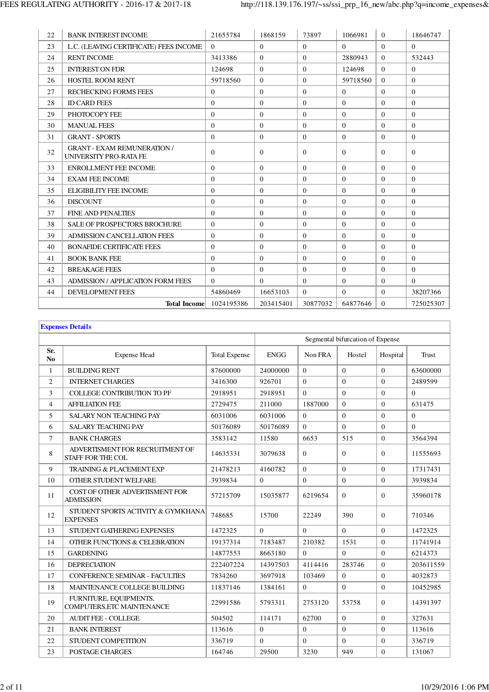| 22 | <b>BANK INTEREST INCOME</b>                                  | 21655784       | 1868159   | 73897        | 1066981  | $\theta$ | 18646747       |
|----|--------------------------------------------------------------|----------------|-----------|--------------|----------|----------|----------------|
| 23 | L.C. (LEAVING CERTIFICATE) FEES INCOME                       | $\theta$       | $\Omega$  | $\theta$     | $\Omega$ | $\Omega$ | $\Omega$       |
| 24 | <b>RENT INCOME</b>                                           | 3413386        | $\Omega$  | $\theta$     | 2880943  | $\Omega$ | 532443         |
| 25 | <b>INTEREST ON FDR</b>                                       | 124698         | $\Omega$  | $\Omega$     | 124698   | $\Omega$ | $\Omega$       |
| 26 | <b>HOSTEL ROOM RENT</b>                                      | 59718560       | $\Omega$  | $\Omega$     | 59718560 | $\Omega$ | $\Omega$       |
| 27 | <b>RECHECKING FORMS FEES</b>                                 | $\overline{0}$ | $\Omega$  | $\Omega$     | $\Omega$ | $\theta$ | $\overline{0}$ |
| 28 | <b>ID CARD FEES</b>                                          | $\Omega$       | $\Omega$  | $\Omega$     | $\Omega$ | $\Omega$ | $\overline{0}$ |
| 29 | PHOTOCOPY FEE                                                | $\overline{0}$ | $\Omega$  | $\Omega$     | $\Omega$ | $\theta$ | $\overline{0}$ |
| 30 | <b>MANUAL FEES</b>                                           | $\Omega$       | $\Omega$  | $\theta$     | $\Omega$ | $\theta$ | $\Omega$       |
| 31 | <b>GRANT - SPORTS</b>                                        | $\overline{0}$ | $\theta$  | $\mathbf{0}$ | $\theta$ | $\Omega$ | $\overline{0}$ |
| 32 | <b>GRANT - EXAM REMUNERATION /</b><br>UNIVERSITY PRO-RATA FE | $\overline{0}$ | $\Omega$  | $\Omega$     | $\Omega$ | $\Omega$ | $\theta$       |
| 33 | <b>ENROLLMENT FEE INCOME</b>                                 | $\Omega$       | $\Omega$  | $\Omega$     | $\Omega$ | $\Omega$ | $\Omega$       |
| 34 | <b>EXAM FEE INCOME</b>                                       | $\Omega$       | $\Omega$  | $\Omega$     | $\Omega$ | $\Omega$ | $\theta$       |
| 35 | <b>ELIGIBILITY FEE INCOME</b>                                | $\Omega$       | $\Omega$  | $\Omega$     | $\Omega$ | $\theta$ | $\Omega$       |
| 36 | <b>DISCOUNT</b>                                              | $\Omega$       | $\Omega$  | $\Omega$     | $\Omega$ | $\Omega$ | $\theta$       |
| 37 | <b>FINE AND PENALTIES</b>                                    | $\Omega$       | $\Omega$  | $\Omega$     | $\Omega$ | $\theta$ | $\Omega$       |
| 38 | SALE OF PROSPECTORS BROCHURE                                 | $\overline{0}$ | $\Omega$  | $\Omega$     | $\Omega$ | $\Omega$ | $\theta$       |
| 39 | <b>ADMISSION CANCELLATION FEES</b>                           | $\Omega$       | $\Omega$  | $\Omega$     | $\Omega$ | $\Omega$ | $\overline{0}$ |
| 40 | <b>BONAFIDE CERTIFICATE FEES</b>                             | $\Omega$       | $\Omega$  | $\Omega$     | $\Omega$ | $\theta$ | $\Omega$       |
| 41 | <b>BOOK BANK FEE</b>                                         | $\Omega$       | $\Omega$  | $\Omega$     | $\Omega$ | $\Omega$ | $\overline{0}$ |
| 42 | <b>BREAKAGE FEES</b>                                         | $\Omega$       | $\Omega$  | $\Omega$     | $\Omega$ | $\theta$ | $\Omega$       |
| 43 | <b>ADMISSION / APPLICATION FORM FEES</b>                     | $\Omega$       | $\Omega$  | $\Omega$     | $\Omega$ | $\Omega$ | $\Omega$       |
| 44 | <b>DEVELOPMENT FEES</b>                                      | 54860469       | 16653103  | $\Omega$     | $\Omega$ | $\theta$ | 38207366       |
|    | <b>Total Income</b>                                          | 1024195386     | 203415401 | 30877032     | 64877646 | $\Omega$ | 725025307      |

| <b>Expenses Details</b> |                                                             |                      |              |                |                                  |              |           |  |  |  |
|-------------------------|-------------------------------------------------------------|----------------------|--------------|----------------|----------------------------------|--------------|-----------|--|--|--|
|                         |                                                             |                      |              |                | Segmental bifurcation of Expense |              |           |  |  |  |
| Sr.<br>N <sub>0</sub>   | <b>Expense Head</b>                                         | <b>Total Expense</b> | <b>ENGG</b>  | Non FRA        | Hostel                           | Hospital     | Trust     |  |  |  |
| $\mathbf{1}$            | <b>BUILDING RENT</b>                                        | 87600000             | 24000000     | $\Omega$       | $\Omega$                         | $\Omega$     | 63600000  |  |  |  |
| $\overline{c}$          | <b>INTERNET CHARGES</b>                                     | 3416300              | 926701       | $\mathbf{0}$   | $\overline{0}$                   | $\mathbf{0}$ | 2489599   |  |  |  |
| 3                       | <b>COLLEGE CONTRIBUTION TO PF</b>                           | 2918951              | 2918951      | $\Omega$       | $\Omega$                         | $\Omega$     | $\Omega$  |  |  |  |
| 4                       | <b>AFFILIATION FEE</b>                                      | 2729475              | 211000       | 1887000        | $\Omega$                         | $\Omega$     | 631475    |  |  |  |
| 5                       | <b>SALARY NON TEACHING PAY</b>                              | 6031006              | 6031006      | $\mathbf{0}$   | $\overline{0}$                   | $\mathbf{0}$ | $\Omega$  |  |  |  |
| 6                       | <b>SALARY TEACHING PAY</b>                                  | 50176089             | 50176089     | $\Omega$       | $\Omega$                         | $\mathbf{0}$ | $\Omega$  |  |  |  |
| $\tau$                  | <b>BANK CHARGES</b>                                         | 3583142              | 11580        | 6653           | 515                              | $\Omega$     | 3564394   |  |  |  |
| 8                       | ADVERTISMENT FOR RECRUITMENT OF<br><b>STAFF FOR THE COL</b> | 14635331             | 3079638      | $\mathbf{0}$   | $\Omega$                         | $\theta$     | 11555693  |  |  |  |
| 9                       | <b>TRAINING &amp; PLACEMENT EXP</b>                         | 21478213             | 4160782      | $\Omega$       | $\Omega$                         | $\Omega$     | 17317431  |  |  |  |
| 10                      | OTHER STUDENT WELFARE                                       | 3939834              | $\mathbf{0}$ | $\mathbf{0}$   | $\overline{0}$                   | $\mathbf{0}$ | 3939834   |  |  |  |
| 11                      | COST OF OTHER ADVERTISMENT FOR<br><b>ADMISSION</b>          | 57215709             | 15035877     | 6219654        | $\theta$                         | $\theta$     | 35960178  |  |  |  |
| 12                      | STUDENT SPORTS ACTIVITY & GYMKHANA<br><b>EXPENSES</b>       | 748685               | 15700        | 22249          | 390                              | $\Omega$     | 710346    |  |  |  |
| 13                      | STUDENT GATHERING EXPENSES                                  | 1472325              | $\Omega$     | $\Omega$       | $\Omega$                         | $\Omega$     | 1472325   |  |  |  |
| 14                      | OTHER FUNCTIONS & CELEBRATION                               | 19137314             | 7183487      | 210382         | 1531                             | $\mathbf{0}$ | 11741914  |  |  |  |
| 15                      | <b>GARDENING</b>                                            | 14877553             | 8663180      | $\Omega$       | $\Omega$                         | $\Omega$     | 6214373   |  |  |  |
| 16                      | <b>DEPRECIATION</b>                                         | 222407224            | 14397503     | 4114416        | 283746                           | $\Omega$     | 203611559 |  |  |  |
| 17                      | <b>CONFERENCE SEMINAR - FACULTIES</b>                       | 7834260              | 3697918      | 103469         | $\Omega$                         | $\mathbf{0}$ | 4032873   |  |  |  |
| 18                      | MAINTENANCE COLLEGE BUILDING                                | 11837146             | 1384161      | $\overline{0}$ | $\Omega$                         | $\mathbf{0}$ | 10452985  |  |  |  |
| 19                      | FURNITURE, EQUIPMENTS,<br>COMPUTERS, ETC MAINTENANCE        | 22991586             | 5793311      | 2753120        | 53758                            | $\theta$     | 14391397  |  |  |  |
| 20                      | <b>AUDIT FEE - COLLEGE</b>                                  | 504502               | 114171       | 62700          | $\Omega$                         | $\Omega$     | 327631    |  |  |  |
| 21                      | <b>BANK INTEREST</b>                                        | 113616               | $\Omega$     | $\theta$       | $\Omega$                         | $\Omega$     | 113616    |  |  |  |
| 22                      | STUDENT COMPETITION                                         | 336719               | $\Omega$     | $\Omega$       | $\Omega$                         | $\mathbf{0}$ | 336719    |  |  |  |
| 23                      | POSTAGE CHARGES                                             | 164746               | 29500        | 3230           | 949                              | $\Omega$     | 131067    |  |  |  |

 $\mathbf{r}$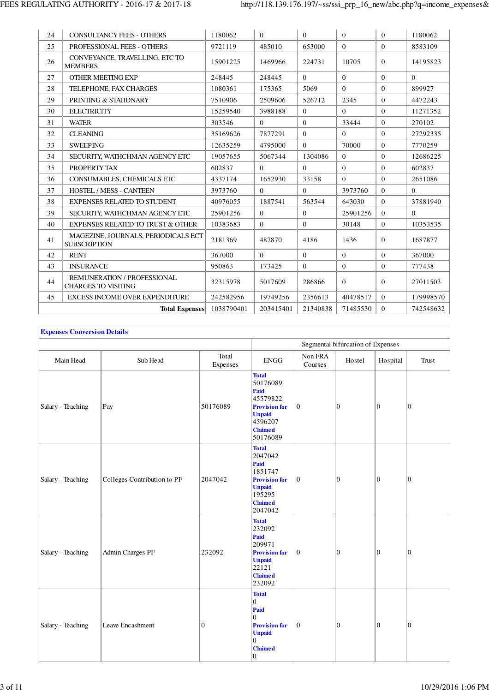| 24 | <b>CONSULTANCY FEES - OTHERS</b>                           | 1180062    | $\Omega$  | $\Omega$ | $\Omega$ | $\theta$ | 1180062        |
|----|------------------------------------------------------------|------------|-----------|----------|----------|----------|----------------|
| 25 | PROFESSIONAL FEES - OTHERS                                 | 9721119    | 485010    | 653000   | $\Omega$ | $\Omega$ | 8583109        |
| 26 | CONVEYANCE, TRAVELLING, ETC TO<br><b>MEMBERS</b>           | 15901225   | 1469966   | 224731   | 10705    | $\theta$ | 14195823       |
| 27 | <b>OTHER MEETING EXP</b>                                   | 248445     | 248445    | $\Omega$ | $\Omega$ | $\theta$ | $\Omega$       |
| 28 | TELEPHONE, FAX CHARGES                                     | 1080361    | 175365    | 5069     | $\Omega$ | $\theta$ | 899927         |
| 29 | PRINTING & STATIONARY                                      | 7510906    | 2509606   | 526712   | 2345     | $\theta$ | 4472243        |
| 30 | <b>ELECTRICITY</b>                                         | 15259540   | 3988188   | $\Omega$ | $\Omega$ | $\theta$ | 11271352       |
| 31 | <b>WATER</b>                                               | 303546     | $\Omega$  | $\Omega$ | 33444    | $\theta$ | 270102         |
| 32 | <b>CLEANING</b>                                            | 35169626   | 7877291   | $\Omega$ | $\Omega$ | $\theta$ | 27292335       |
| 33 | <b>SWEEPING</b>                                            | 12635259   | 4795000   | $\Omega$ | 70000    | $\theta$ | 7770259        |
| 34 | SECURITY, WATHCHMAN AGENCY ETC                             | 19057655   | 5067344   | 1304086  | $\Omega$ | $\theta$ | 12686225       |
| 35 | PROPERTY TAX                                               | 602837     | $\Omega$  | $\Omega$ | $\Omega$ | $\theta$ | 602837         |
| 36 | CONSUMABLES, CHEMICALS ETC                                 | 4337174    | 1652930   | 33158    | $\Omega$ | $\theta$ | 2651086        |
| 37 | <b>HOSTEL / MESS - CANTEEN</b>                             | 3973760    | $\Omega$  | $\Omega$ | 3973760  | $\theta$ | $\overline{0}$ |
| 38 | <b>EXPENSES RELATED TO STUDENT</b>                         | 40976055   | 1887541   | 563544   | 643030   | $\Omega$ | 37881940       |
| 39 | SECURITY, WATHCHMAN AGENCY ETC                             | 25901256   | $\Omega$  | $\Omega$ | 25901256 | $\theta$ | $\Omega$       |
| 40 | <b>EXPENSES RELATED TO TRUST &amp; OTHER</b>               | 10383683   | $\Omega$  | $\Omega$ | 30148    | $\theta$ | 10353535       |
| 41 | MAGEZINE, JOURNALS, PERIODICALS ECT<br><b>SUBSCRIPTION</b> | 2181369    | 487870    | 4186     | 1436     | $\theta$ | 1687877        |
| 42 | <b>RENT</b>                                                | 367000     | $\Omega$  | $\Omega$ | $\Omega$ | $\theta$ | 367000         |
| 43 | <b>INSURANCE</b>                                           | 950863     | 173425    | $\Omega$ | $\Omega$ | $\theta$ | 777438         |
| 44 | REMUNERATION / PROFESSIONAL<br><b>CHARGES TO VISITING</b>  | 32315978   | 5017609   | 286866   | $\Omega$ | $\theta$ | 27011503       |
| 45 | <b>EXCESS INCOME OVER EXPENDITURE</b>                      | 242582956  | 19749256  | 2356613  | 40478517 | $\theta$ | 179998570      |
|    | <b>Total Expenses</b>                                      | 1038790401 | 203415401 | 21340838 | 71485530 | $\theta$ | 742548632      |

| <b>Expenses Conversion Details</b> |                             |                   |                                                                                                                                      |                    |                                   |                  |                  |
|------------------------------------|-----------------------------|-------------------|--------------------------------------------------------------------------------------------------------------------------------------|--------------------|-----------------------------------|------------------|------------------|
|                                    |                             |                   |                                                                                                                                      |                    | Segmental bifurcation of Expenses |                  |                  |
| Main Head                          | Sub Head                    | Total<br>Expenses | <b>ENGG</b>                                                                                                                          | Non FRA<br>Courses | Hostel                            | Hospital         | Trust            |
| Salary - Teaching                  | Pay                         | 50176089          | <b>Total</b><br>50176089<br>Paid<br>45579822<br><b>Provision for</b><br><b>Unpaid</b><br>4596207<br><b>Claimed</b><br>50176089       | $\boldsymbol{0}$   | $\mathbf{0}$                      | $\boldsymbol{0}$ | $\boldsymbol{0}$ |
| Salary - Teaching                  | Colleges Contribution to PF | 2047042           | <b>Total</b><br>2047042<br>Paid<br>1851747<br><b>Provision for</b><br><b>Unpaid</b><br>195295<br><b>Claimed</b><br>2047042           | $\boldsymbol{0}$   | $\boldsymbol{0}$                  | $\boldsymbol{0}$ | $\boldsymbol{0}$ |
| Salary - Teaching                  | Admin Charges PF            | 232092            | <b>Total</b><br>232092<br>Paid<br>209971<br><b>Provision for</b><br><b>Unpaid</b><br>22121<br><b>Claimed</b><br>232092               | $\boldsymbol{0}$   | $\mathbf{0}$                      | $\boldsymbol{0}$ | $\boldsymbol{0}$ |
| Salary - Teaching                  | Leave Encashment            | $\theta$          | <b>Total</b><br>0<br>Paid<br>$\Omega$<br><b>Provision for</b><br><b>Unpaid</b><br>$\overline{0}$<br><b>Claimed</b><br>$\overline{0}$ | $\boldsymbol{0}$   | $\mathbf{0}$                      | $\mathbf{0}$     | $\mathbf{0}$     |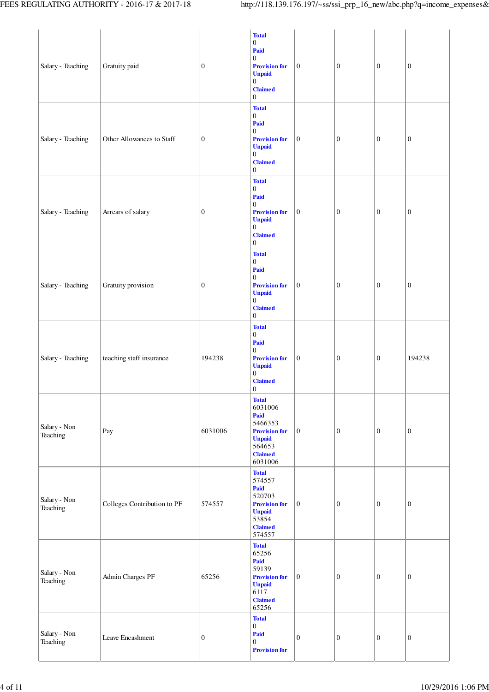|                          |                             |                 | <b>Total</b>                                                                                                                                                  |                  |                  |                  |                  |
|--------------------------|-----------------------------|-----------------|---------------------------------------------------------------------------------------------------------------------------------------------------------------|------------------|------------------|------------------|------------------|
| Salary - Teaching        | Gratuity paid               | $\vert 0 \vert$ | $\boldsymbol{0}$<br>Paid<br>$\overline{0}$<br><b>Provision for</b><br><b>Unpaid</b><br>$\boldsymbol{0}$<br><b>Claimed</b><br>$\boldsymbol{0}$                 | $\boldsymbol{0}$ | $\mathbf{0}$     | $\boldsymbol{0}$ | $\boldsymbol{0}$ |
| Salary - Teaching        | Other Allowances to Staff   | $\vert 0 \vert$ | <b>Total</b><br>$\boldsymbol{0}$<br>Paid<br>$\boldsymbol{0}$<br><b>Provision for</b><br><b>Unpaid</b><br>$\boldsymbol{0}$<br><b>Claimed</b><br>$\overline{0}$ | $\mathbf{0}$     | $\mathbf{0}$     | $\boldsymbol{0}$ | $\boldsymbol{0}$ |
| Salary - Teaching        | Arrears of salary           | $\vert 0 \vert$ | <b>Total</b><br>$\boldsymbol{0}$<br>Paid<br>$\boldsymbol{0}$<br><b>Provision for</b><br><b>Unpaid</b><br>$\overline{0}$<br><b>Claimed</b><br>$\boldsymbol{0}$ | $\boldsymbol{0}$ | $\boldsymbol{0}$ | $\boldsymbol{0}$ | $\boldsymbol{0}$ |
| Salary - Teaching        | Gratuity provision          | $\vert 0 \vert$ | <b>Total</b><br>$\boldsymbol{0}$<br>Paid<br>$\overline{0}$<br><b>Provision for</b><br><b>Unpaid</b><br>$\boldsymbol{0}$<br><b>Claimed</b><br>$\mathbf{0}$     | $\boldsymbol{0}$ | $\boldsymbol{0}$ | $\boldsymbol{0}$ | $\boldsymbol{0}$ |
| Salary - Teaching        | teaching staff insurance    | 194238          | <b>Total</b><br>$\boldsymbol{0}$<br>Paid<br>$\boldsymbol{0}$<br><b>Provision for</b><br><b>Unpaid</b><br>$\overline{0}$<br><b>Claimed</b><br>$\boldsymbol{0}$ | $\boldsymbol{0}$ | $\boldsymbol{0}$ | $\boldsymbol{0}$ | 194238           |
| Salary - Non<br>Teaching | Pay                         | 6031006         | <b>Total</b><br>6031006<br>Paid<br>5466353<br><b>Provision for</b><br><b>Unpaid</b><br>564653<br><b>Claimed</b><br>6031006                                    | $\boldsymbol{0}$ | $\boldsymbol{0}$ | $\boldsymbol{0}$ | $\boldsymbol{0}$ |
| Salary - Non<br>Teaching | Colleges Contribution to PF | 574557          | <b>Total</b><br>574557<br>Paid<br>520703<br><b>Provision for</b><br><b>Unpaid</b><br>53854<br><b>Claimed</b><br>574557                                        | $\boldsymbol{0}$ | $\boldsymbol{0}$ | $\boldsymbol{0}$ | $\boldsymbol{0}$ |
| Salary - Non<br>Teaching | Admin Charges PF            | 65256           | <b>Total</b><br>65256<br>Paid<br>59139<br><b>Provision for</b><br><b>Unpaid</b><br>6117<br><b>Claimed</b><br>65256                                            | $\boldsymbol{0}$ | $\boldsymbol{0}$ | $\boldsymbol{0}$ | $\boldsymbol{0}$ |
| Salary - Non<br>Teaching | Leave Encashment            | $\vert 0 \vert$ | <b>Total</b><br>$\boldsymbol{0}$<br>Paid<br>$\boldsymbol{0}$<br><b>Provision for</b>                                                                          | $\boldsymbol{0}$ | $\mathbf{0}$     | $\boldsymbol{0}$ | $\boldsymbol{0}$ |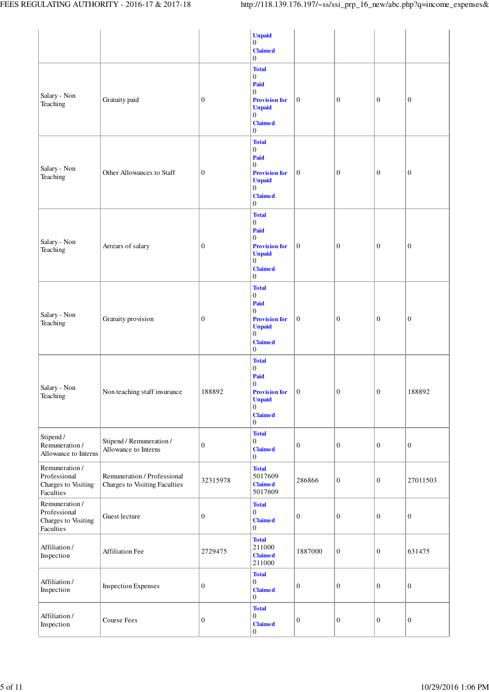|                                                                    |                                                              |                  | <b>Unpaid</b><br>$\boldsymbol{0}$<br><b>Claimed</b><br>$\boldsymbol{0}$                                                                                         |                  |                  |                  |                  |
|--------------------------------------------------------------------|--------------------------------------------------------------|------------------|-----------------------------------------------------------------------------------------------------------------------------------------------------------------|------------------|------------------|------------------|------------------|
| Salary - Non<br>Teaching                                           | Gratuity paid                                                | $\boldsymbol{0}$ | <b>Total</b><br>$\boldsymbol{0}$<br>Paid<br>$\boldsymbol{0}$<br><b>Provision for</b><br><b>Unpaid</b><br>$\boldsymbol{0}$<br><b>Claimed</b><br>$\boldsymbol{0}$ | $\boldsymbol{0}$ | $\boldsymbol{0}$ | $\boldsymbol{0}$ | $\boldsymbol{0}$ |
| Salary - Non<br>Teaching                                           | Other Allowances to Staff                                    | $\boldsymbol{0}$ | <b>Total</b><br>$\boldsymbol{0}$<br>Paid<br>$\boldsymbol{0}$<br><b>Provision for</b><br><b>Unpaid</b><br>$\boldsymbol{0}$<br><b>Claimed</b><br>$\mathbf{0}$     | $\boldsymbol{0}$ | $\boldsymbol{0}$ | $\boldsymbol{0}$ | $\boldsymbol{0}$ |
| Salary - Non<br>Teaching                                           | Arrears of salary                                            | $\mathbf{0}$     | <b>Total</b><br>$\boldsymbol{0}$<br>Paid<br>$\mathbf{0}$<br><b>Provision for</b><br><b>Unpaid</b><br>$\boldsymbol{0}$<br><b>Claimed</b><br>$\boldsymbol{0}$     | $\mathbf{0}$     | $\boldsymbol{0}$ | $\mathbf{0}$     | $\boldsymbol{0}$ |
| Salary - Non<br>Teaching                                           | Gratuity provision                                           | $\boldsymbol{0}$ | <b>Total</b><br>$\boldsymbol{0}$<br>Paid<br>$\boldsymbol{0}$<br><b>Provision for</b><br><b>Unpaid</b><br>$\boldsymbol{0}$<br><b>Claimed</b><br>$\boldsymbol{0}$ | $\mathbf{0}$     | $\boldsymbol{0}$ | $\boldsymbol{0}$ | $\boldsymbol{0}$ |
| Salary - Non<br>Teaching                                           | Non teaching staff insurance                                 | 188892           | <b>Total</b><br>$\boldsymbol{0}$<br>Paid<br>$\boldsymbol{0}$<br><b>Provision for</b><br><b>Unpaid</b><br>$\boldsymbol{0}$<br><b>Claimed</b><br>$\mathbf{0}$     | $\mathbf{0}$     | $\boldsymbol{0}$ | $\mathbf{0}$     | 188892           |
| Stipend /<br>Remuneration /<br>Allowance to Interns                | Stipend / Remuneration /<br>Allowance to Interns             | $\boldsymbol{0}$ | <b>Total</b><br>$\boldsymbol{0}$<br><b>Claimed</b><br>$\boldsymbol{0}$                                                                                          | $\mathbf{0}$     | $\boldsymbol{0}$ | $\mathbf{0}$     | $\boldsymbol{0}$ |
| Remuneration /<br>Professional<br>Charges to Visiting<br>Faculties | Remuneration / Professional<br>Charges to Visiting Faculties | 32315978         | <b>Total</b><br>5017609<br><b>Claimed</b><br>5017609                                                                                                            | 286866           | $\boldsymbol{0}$ | $\mathbf{0}$     | 27011503         |
| Remuneration /<br>Professional<br>Charges to Visiting<br>Faculties | Guest lecture                                                | $\boldsymbol{0}$ | <b>Total</b><br>$\boldsymbol{0}$<br><b>Claimed</b><br>$\mathbf{0}$                                                                                              | $\boldsymbol{0}$ | $\mathbf{0}$     | $\mathbf{0}$     | $\boldsymbol{0}$ |
| Affiliation /<br>Inspection                                        | Affiliation Fee                                              | 2729475          | <b>Total</b><br>211000<br><b>Claimed</b><br>211000                                                                                                              | 1887000          | $\boldsymbol{0}$ | $\mathbf{0}$     | 631475           |
| Affiliation/<br>Inspection                                         | <b>Inspection Expenses</b>                                   | $\boldsymbol{0}$ | <b>Total</b><br>$\overline{0}$<br><b>Claimed</b><br>$\mathbf{0}$                                                                                                | $\boldsymbol{0}$ | $\mathbf{0}$     | $\mathbf{0}$     | $\boldsymbol{0}$ |
| Affiliation/<br>Inspection                                         | Course Fees                                                  | $\mathbf{0}$     | <b>Total</b><br>$\boldsymbol{0}$<br><b>Claimed</b><br>$\boldsymbol{0}$                                                                                          | $\boldsymbol{0}$ | $\boldsymbol{0}$ | $\mathbf{0}$     | $\boldsymbol{0}$ |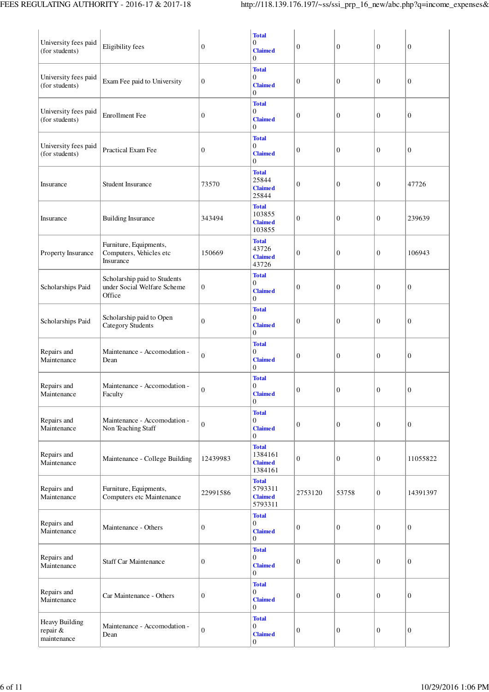| University fees paid<br>(for students)       | Eligibility fees                                                      | $\boldsymbol{0}$ | <b>Total</b><br>$\overline{0}$<br><b>Claimed</b><br>$\theta$         | $\boldsymbol{0}$ | $\boldsymbol{0}$ | $\boldsymbol{0}$ | $\boldsymbol{0}$ |
|----------------------------------------------|-----------------------------------------------------------------------|------------------|----------------------------------------------------------------------|------------------|------------------|------------------|------------------|
| University fees paid<br>(for students)       | Exam Fee paid to University                                           | $\boldsymbol{0}$ | <b>Total</b><br>$\theta$<br><b>Claimed</b><br>$\theta$               | $\boldsymbol{0}$ | $\boldsymbol{0}$ | $\boldsymbol{0}$ | $\boldsymbol{0}$ |
| University fees paid<br>(for students)       | <b>Enrollment</b> Fee                                                 | $\boldsymbol{0}$ | <b>Total</b><br>$\overline{0}$<br><b>Claimed</b><br>$\overline{0}$   | $\boldsymbol{0}$ | $\boldsymbol{0}$ | $\mathbf{0}$     | $\boldsymbol{0}$ |
| University fees paid<br>(for students)       | Practical Exam Fee                                                    | $\boldsymbol{0}$ | <b>Total</b><br>$\overline{0}$<br><b>Claimed</b><br>$\overline{0}$   | $\boldsymbol{0}$ | $\boldsymbol{0}$ | $\boldsymbol{0}$ | $\mathbf{0}$     |
| Insurance                                    | <b>Student Insurance</b>                                              | 73570            | <b>Total</b><br>25844<br><b>Claimed</b><br>25844                     | $\boldsymbol{0}$ | $\boldsymbol{0}$ | $\boldsymbol{0}$ | 47726            |
| Insurance                                    | <b>Building Insurance</b>                                             | 343494           | <b>Total</b><br>103855<br><b>Claimed</b><br>103855                   | $\boldsymbol{0}$ | $\boldsymbol{0}$ | $\boldsymbol{0}$ | 239639           |
| Property Insurance                           | Furniture, Equipments,<br>Computers, Vehicles etc<br>Insurance        | 150669           | <b>Total</b><br>43726<br><b>Claimed</b><br>43726                     | $\boldsymbol{0}$ | $\boldsymbol{0}$ | $\boldsymbol{0}$ | 106943           |
| Scholarships Paid                            | Scholarship paid to Students<br>under Social Welfare Scheme<br>Office | $\boldsymbol{0}$ | <b>Total</b><br>$\overline{0}$<br><b>Claimed</b><br>$\Omega$         | $\boldsymbol{0}$ | $\boldsymbol{0}$ | $\boldsymbol{0}$ | $\boldsymbol{0}$ |
| Scholarships Paid                            | Scholarship paid to Open<br><b>Category Students</b>                  | $\boldsymbol{0}$ | <b>Total</b><br>$\overline{0}$<br><b>Claimed</b><br>$\Omega$         | $\boldsymbol{0}$ | $\boldsymbol{0}$ | $\mathbf{0}$     | $\boldsymbol{0}$ |
| Repairs and<br>Maintenance                   | Maintenance - Accomodation -<br>Dean                                  | $\boldsymbol{0}$ | <b>Total</b><br>$\theta$<br><b>Claimed</b><br>$\Omega$               | $\boldsymbol{0}$ | $\boldsymbol{0}$ | $\boldsymbol{0}$ | $\boldsymbol{0}$ |
| Repairs and<br>Maintenance                   | Maintenance - Accomodation -<br>Faculty                               | $\boldsymbol{0}$ | <b>Total</b><br>$\theta$<br><b>Claimed</b><br>$\boldsymbol{0}$       | $\boldsymbol{0}$ | $\boldsymbol{0}$ | $\boldsymbol{0}$ | $\boldsymbol{0}$ |
| Repairs and<br>Maintenance                   | Maintenance - Accomodation -<br>Non Teaching Staff                    | $\boldsymbol{0}$ | <b>Total</b><br>$\mathbf{0}$<br><b>Claimed</b><br>$\Omega$           | $\boldsymbol{0}$ | $\boldsymbol{0}$ | $\boldsymbol{0}$ | $\boldsymbol{0}$ |
| Repairs and<br>Maintenance                   | Maintenance - College Building                                        | 12439983         | <b>Total</b><br>1384161<br><b>Claimed</b><br>1384161                 | $\boldsymbol{0}$ | $\boldsymbol{0}$ | $\boldsymbol{0}$ | 11055822         |
| Repairs and<br>Maintenance                   | Furniture, Equipments,<br>Computers etc Maintenance                   | 22991586         | <b>Total</b><br>5793311<br><b>Claimed</b><br>5793311                 | 2753120          | 53758            | $\boldsymbol{0}$ | 14391397         |
| Repairs and<br>Maintenance                   | Maintenance - Others                                                  | $\boldsymbol{0}$ | <b>Total</b><br>$\boldsymbol{0}$<br><b>Claimed</b><br>$\overline{0}$ | $\boldsymbol{0}$ | $\boldsymbol{0}$ | $\boldsymbol{0}$ | $\boldsymbol{0}$ |
| Repairs and<br>Maintenance                   | <b>Staff Car Maintenance</b>                                          | $\boldsymbol{0}$ | <b>Total</b><br>$\mathbf{0}$<br><b>Claimed</b><br>$\Omega$           | $\boldsymbol{0}$ | $\boldsymbol{0}$ | $\boldsymbol{0}$ | $\boldsymbol{0}$ |
| Repairs and<br>Maintenance                   | Car Maintenance - Others                                              | $\boldsymbol{0}$ | <b>Total</b><br>$\overline{0}$<br><b>Claimed</b><br>$\overline{0}$   | $\boldsymbol{0}$ | $\boldsymbol{0}$ | $\boldsymbol{0}$ | $\boldsymbol{0}$ |
| Heavy Building<br>repair $\&$<br>maintenance | Maintenance - Accomodation -<br>Dean                                  | $\boldsymbol{0}$ | <b>Total</b><br>$\mathbf{0}$<br><b>Claimed</b><br>$\mathbf{0}$       | $\boldsymbol{0}$ | $\boldsymbol{0}$ | $\boldsymbol{0}$ | $\boldsymbol{0}$ |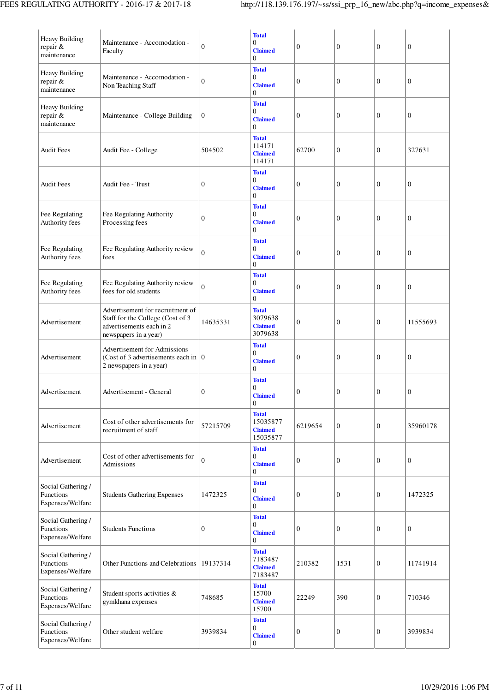| Heavy Building<br>repair &<br>maintenance           | Maintenance - Accomodation -<br>Faculty                                                                                   | 0                | <b>Total</b><br>$\overline{0}$<br><b>Claimed</b><br>$\Omega$         | 0                | $\boldsymbol{0}$ | $\mathbf{0}$     | 0                |
|-----------------------------------------------------|---------------------------------------------------------------------------------------------------------------------------|------------------|----------------------------------------------------------------------|------------------|------------------|------------------|------------------|
| Heavy Building<br>repair &<br>maintenance           | Maintenance - Accomodation -<br>Non Teaching Staff                                                                        | $\overline{0}$   | <b>Total</b><br>0<br><b>Claimed</b><br>$\Omega$                      | 0                | $\boldsymbol{0}$ | $\overline{0}$   | $\boldsymbol{0}$ |
| Heavy Building<br>repair &<br>maintenance           | Maintenance - College Building                                                                                            | $\overline{0}$   | <b>Total</b><br>$\overline{0}$<br><b>Claimed</b><br>$\overline{0}$   | 0                | $\boldsymbol{0}$ | $\mathbf{0}$     | 0                |
| Audit Fees                                          | Audit Fee - College                                                                                                       | 504502           | <b>Total</b><br>114171<br><b>Claimed</b><br>114171                   | 62700            | $\boldsymbol{0}$ | $\boldsymbol{0}$ | 327631           |
| Audit Fees                                          | Audit Fee - Trust                                                                                                         | 0                | <b>Total</b><br>$\overline{0}$<br><b>Claimed</b><br>0                | $\boldsymbol{0}$ | $\boldsymbol{0}$ | $\mathbf{0}$     | $\boldsymbol{0}$ |
| Fee Regulating<br>Authority fees                    | Fee Regulating Authority<br>Processing fees                                                                               | 0                | <b>Total</b><br>$\boldsymbol{0}$<br><b>Claimed</b><br>$\overline{0}$ | $\boldsymbol{0}$ | $\boldsymbol{0}$ | $\mathbf{0}$     | $\boldsymbol{0}$ |
| Fee Regulating<br>Authority fees                    | Fee Regulating Authority review<br>fees                                                                                   | $\overline{0}$   | <b>Total</b><br>$\Omega$<br><b>Claimed</b><br>0                      | $\boldsymbol{0}$ | $\mathbf{0}$     | $\mathbf{0}$     | $\boldsymbol{0}$ |
| Fee Regulating<br>Authority fees                    | Fee Regulating Authority review<br>fees for old students                                                                  | $\overline{0}$   | <b>Total</b><br>$\overline{0}$<br><b>Claimed</b><br>$\overline{0}$   | $\boldsymbol{0}$ | $\mathbf{0}$     | $\mathbf{0}$     | $\boldsymbol{0}$ |
| Advertisement                                       | Advertisement for recruitment of<br>Staff for the College (Cost of 3<br>advertisements each in 2<br>newspapers in a year) | 14635331         | <b>Total</b><br>3079638<br><b>Claimed</b><br>3079638                 | $\boldsymbol{0}$ | $\boldsymbol{0}$ | $\theta$         | 11555693         |
| Advertisement                                       | Advertisement for Admissions<br>(Cost of 3 advertisements each in $\vert 0 \vert$<br>2 newspapers in a year)              |                  | <b>Total</b><br>$\boldsymbol{0}$<br><b>Claimed</b><br>$\overline{0}$ | $\boldsymbol{0}$ | $\boldsymbol{0}$ | $\boldsymbol{0}$ | $\boldsymbol{0}$ |
| Advertisement                                       | Advertisement - General                                                                                                   | $\boldsymbol{0}$ | <b>Total</b><br>$\overline{0}$<br><b>Claimed</b><br>$\boldsymbol{0}$ | $\mathbf{0}$     | $\boldsymbol{0}$ | $\mathbf{0}$     | $\boldsymbol{0}$ |
| Advertisement                                       | Cost of other advertisements for<br>recruitment of staff                                                                  | 57215709         | <b>Total</b><br>15035877<br><b>Claimed</b><br>15035877               | 6219654          | $\mathbf{0}$     | $\overline{0}$   | 35960178         |
| Advertisement                                       | Cost of other advertisements for<br>Admissions                                                                            | $\overline{0}$   | <b>Total</b><br>$\overline{0}$<br><b>Claimed</b><br>$\overline{0}$   | $\boldsymbol{0}$ | $\boldsymbol{0}$ | $\mathbf{0}$     | $\boldsymbol{0}$ |
| Social Gathering /<br>Functions<br>Expenses/Welfare | <b>Students Gathering Expenses</b>                                                                                        | 1472325          | <b>Total</b><br>$\overline{0}$<br><b>Claimed</b><br>0                | $\boldsymbol{0}$ | $\boldsymbol{0}$ | $\theta$         | 1472325          |
| Social Gathering /<br>Functions<br>Expenses/Welfare | <b>Students Functions</b>                                                                                                 | 0                | <b>Total</b><br>$\overline{0}$<br><b>Claimed</b><br>0                | $\boldsymbol{0}$ | $\mathbf{0}$     | $\theta$         | $\boldsymbol{0}$ |
| Social Gathering /<br>Functions<br>Expenses/Welfare | Other Functions and Celebrations                                                                                          | 19137314         | <b>Total</b><br>7183487<br><b>Claimed</b><br>7183487                 | 210382           | 1531             | $\overline{0}$   | 11741914         |
| Social Gathering /<br>Functions<br>Expenses/Welfare | Student sports activities &<br>gymkhana expenses                                                                          | 748685           | <b>Total</b><br>15700<br><b>Claimed</b><br>15700                     | 22249            | 390              | $\boldsymbol{0}$ | 710346           |
| Social Gathering /<br>Functions<br>Expenses/Welfare | Other student welfare                                                                                                     | 3939834          | <b>Total</b><br>$\overline{0}$<br><b>Claimed</b><br>$\boldsymbol{0}$ | $\boldsymbol{0}$ | $\mathbf{0}$     | $\overline{0}$   | 3939834          |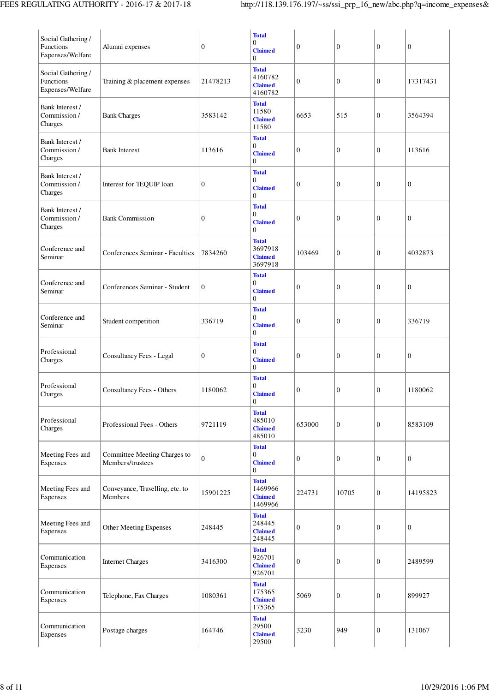| Social Gathering /<br>Functions<br>Expenses/Welfare | Alumni expenses                                  | $\boldsymbol{0}$ | <b>Total</b><br>$\overline{0}$<br><b>Claimed</b><br>$\mathbf{0}$     | $\boldsymbol{0}$ | $\boldsymbol{0}$ | $\boldsymbol{0}$ | $\boldsymbol{0}$ |
|-----------------------------------------------------|--------------------------------------------------|------------------|----------------------------------------------------------------------|------------------|------------------|------------------|------------------|
| Social Gathering /<br>Functions<br>Expenses/Welfare | Training & placement expenses                    | 21478213         | <b>Total</b><br>4160782<br><b>Claimed</b><br>4160782                 | $\boldsymbol{0}$ | $\boldsymbol{0}$ | $\mathbf{0}$     | 17317431         |
| Bank Interest /<br>Commission/<br>Charges           | <b>Bank Charges</b>                              | 3583142          | <b>Total</b><br>11580<br><b>Claimed</b><br>11580                     | 6653             | 515              | $\boldsymbol{0}$ | 3564394          |
| Bank Interest /<br>Commission/<br>Charges           | <b>Bank Interest</b>                             | 113616           | <b>Total</b><br>$\boldsymbol{0}$<br><b>Claimed</b><br>$\Omega$       | 0                | $\mathbf{0}$     | $\boldsymbol{0}$ | 113616           |
| Bank Interest /<br>Commission/<br>Charges           | Interest for TEQUIP loan                         | $\boldsymbol{0}$ | <b>Total</b><br>$\overline{0}$<br><b>Claimed</b><br>$\overline{0}$   | 0                | $\mathbf{0}$     | $\mathbf{0}$     | $\boldsymbol{0}$ |
| Bank Interest /<br>Commission/<br>Charges           | <b>Bank Commission</b>                           | $\boldsymbol{0}$ | <b>Total</b><br>$\boldsymbol{0}$<br><b>Claimed</b><br>$\mathbf{0}$   | 0                | $\boldsymbol{0}$ | $\boldsymbol{0}$ | $\boldsymbol{0}$ |
| Conference and<br>Seminar                           | Conferences Seminar - Faculties                  | 7834260          | <b>Total</b><br>3697918<br><b>Claimed</b><br>3697918                 | 103469           | $\boldsymbol{0}$ | $\mathbf{0}$     | 4032873          |
| Conference and<br>Seminar                           | Conferences Seminar - Student                    | $\boldsymbol{0}$ | <b>Total</b><br>$\boldsymbol{0}$<br><b>Claimed</b><br>$\mathbf{0}$   | 0                | $\boldsymbol{0}$ | $\mathbf{0}$     | $\boldsymbol{0}$ |
| Conference and<br>Seminar                           | Student competition                              | 336719           | <b>Total</b><br>$\overline{0}$<br><b>Claimed</b><br>$\boldsymbol{0}$ | 0                | $\boldsymbol{0}$ | $\mathbf{0}$     | 336719           |
| Professional<br>Charges                             | Consultancy Fees - Legal                         | $\boldsymbol{0}$ | <b>Total</b><br>$\mathbf{0}$<br><b>Claimed</b><br>$\mathbf{0}$       | 0                | $\mathbf{0}$     | $\mathbf{0}$     | $\boldsymbol{0}$ |
| Professional<br>Charges                             | Consultancy Fees - Others                        | 1180062          | <b>Total</b><br>$\mathbf{0}$<br><b>Claimed</b><br>$\boldsymbol{0}$   | $\boldsymbol{0}$ | $\boldsymbol{0}$ | $\mathbf{0}$     | 1180062          |
| Professional<br>Charges                             | Professional Fees - Others                       | 9721119          | <b>Total</b><br>485010<br><b>Claimed</b><br>485010                   | 653000           | $\boldsymbol{0}$ | $\mathbf{0}$     | 8583109          |
| Meeting Fees and<br>Expenses                        | Committee Meeting Charges to<br>Members/trustees | $\boldsymbol{0}$ | <b>Total</b><br>$\boldsymbol{0}$<br><b>Claimed</b><br>$\mathbf{0}$   | $\boldsymbol{0}$ | $\boldsymbol{0}$ | $\boldsymbol{0}$ | $\boldsymbol{0}$ |
| Meeting Fees and<br>Expenses                        | Conveyance, Travelling, etc. to<br>Members       | 15901225         | <b>Total</b><br>1469966<br><b>Claimed</b><br>1469966                 | 224731           | 10705            | $\boldsymbol{0}$ | 14195823         |
| Meeting Fees and<br>Expenses                        | Other Meeting Expenses                           | 248445           | <b>Total</b><br>248445<br><b>Claimed</b><br>248445                   | $\boldsymbol{0}$ | $\boldsymbol{0}$ | $\boldsymbol{0}$ | $\boldsymbol{0}$ |
| Communication<br>Expenses                           | <b>Internet Charges</b>                          | 3416300          | <b>Total</b><br>926701<br><b>Claimed</b><br>926701                   | $\boldsymbol{0}$ | $\boldsymbol{0}$ | $\mathbf{0}$     | 2489599          |
| Communication<br>Expenses                           | Telephone, Fax Charges                           | 1080361          | <b>Total</b><br>175365<br><b>Claimed</b><br>175365                   | 5069             | $\boldsymbol{0}$ | $\mathbf{0}$     | 899927           |
| Communication<br>Expenses                           | Postage charges                                  | 164746           | <b>Total</b><br>29500<br><b>Claimed</b><br>29500                     | 3230             | 949              | $\mathbf{0}$     | 131067           |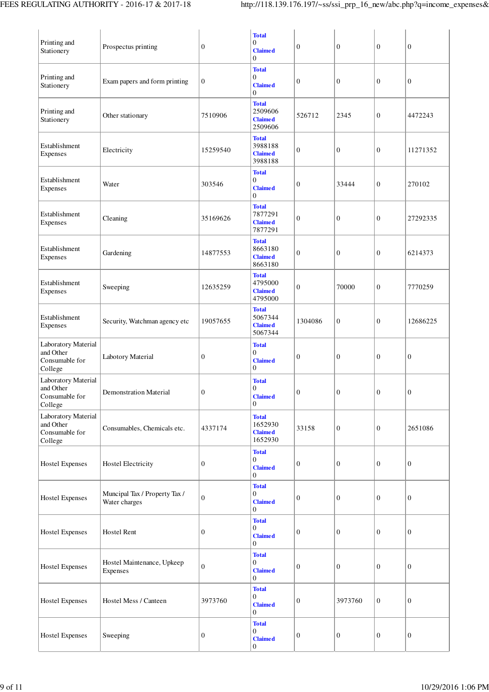| Printing and<br>Stationery                                    | Prospectus printing                            | $\boldsymbol{0}$ | <b>Total</b><br>$\boldsymbol{0}$<br><b>Claimed</b><br>$\boldsymbol{0}$ | 0                | $\boldsymbol{0}$ | $\boldsymbol{0}$ | $\boldsymbol{0}$ |
|---------------------------------------------------------------|------------------------------------------------|------------------|------------------------------------------------------------------------|------------------|------------------|------------------|------------------|
| Printing and<br>Stationery                                    | Exam papers and form printing                  | $\boldsymbol{0}$ | <b>Total</b><br>$\boldsymbol{0}$<br><b>Claimed</b><br>$\mathbf{0}$     | 0                | $\boldsymbol{0}$ | $\boldsymbol{0}$ | $\boldsymbol{0}$ |
| Printing and<br>Stationery                                    | Other stationary                               | 7510906          | <b>Total</b><br>2509606<br><b>Claimed</b><br>2509606                   | 526712           | 2345             | $\boldsymbol{0}$ | 4472243          |
| Establishment<br>Expenses                                     | Electricity                                    | 15259540         | <b>Total</b><br>3988188<br><b>Claimed</b><br>3988188                   | 0                | $\boldsymbol{0}$ | $\boldsymbol{0}$ | 11271352         |
| Establishment<br>Expenses                                     | Water                                          | 303546           | <b>Total</b><br>$\mathbf{0}$<br><b>Claimed</b><br>$\boldsymbol{0}$     | 0                | 33444            | $\boldsymbol{0}$ | 270102           |
| Establishment<br>Expenses                                     | Cleaning                                       | 35169626         | <b>Total</b><br>7877291<br><b>Claimed</b><br>7877291                   | $\boldsymbol{0}$ | $\boldsymbol{0}$ | $\boldsymbol{0}$ | 27292335         |
| Establishment<br>Expenses                                     | Gardening                                      | 14877553         | <b>Total</b><br>8663180<br><b>Claimed</b><br>8663180                   | $\boldsymbol{0}$ | $\boldsymbol{0}$ | $\mathbf{0}$     | 6214373          |
| Establishment<br>Expenses                                     | Sweeping                                       | 12635259         | <b>Total</b><br>4795000<br><b>Claimed</b><br>4795000                   | $\boldsymbol{0}$ | 70000            | $\boldsymbol{0}$ | 7770259          |
| Establishment<br>Expenses                                     | Security, Watchman agency etc                  | 19057655         | <b>Total</b><br>5067344<br><b>Claimed</b><br>5067344                   | 1304086          | $\boldsymbol{0}$ | $\boldsymbol{0}$ | 12686225         |
| Laboratory Material<br>and Other<br>Consumable for<br>College | Labotory Material                              | $\boldsymbol{0}$ | <b>Total</b><br>$\mathbf{0}$<br><b>Claimed</b><br>$\boldsymbol{0}$     | 0                | $\boldsymbol{0}$ | $\boldsymbol{0}$ | $\boldsymbol{0}$ |
| Laboratory Material<br>and Other<br>Consumable for<br>College | <b>Demonstration Material</b>                  | $\boldsymbol{0}$ | <b>Total</b><br>$\overline{0}$<br>$Claimed$<br>$\theta$                | $\boldsymbol{0}$ | $\boldsymbol{0}$ | $\boldsymbol{0}$ | $\boldsymbol{0}$ |
| Laboratory Material<br>and Other<br>Consumable for<br>College | Consumables, Chemicals etc.                    | 4337174          | <b>Total</b><br>1652930<br><b>Claimed</b><br>1652930                   | 33158            | $\boldsymbol{0}$ | $\boldsymbol{0}$ | 2651086          |
| <b>Hostel Expenses</b>                                        | <b>Hostel Electricity</b>                      | $\mathbf{0}$     | <b>Total</b><br>$\boldsymbol{0}$<br><b>Claimed</b><br>$\overline{0}$   | $\boldsymbol{0}$ | $\boldsymbol{0}$ | $\mathbf{0}$     | $\mathbf{0}$     |
| <b>Hostel Expenses</b>                                        | Muncipal Tax / Property Tax /<br>Water charges | $\boldsymbol{0}$ | <b>Total</b><br>$\boldsymbol{0}$<br><b>Claimed</b><br>$\overline{0}$   | $\boldsymbol{0}$ | $\boldsymbol{0}$ | $\mathbf{0}$     | $\boldsymbol{0}$ |
| <b>Hostel Expenses</b>                                        | Hostel Rent                                    | $\boldsymbol{0}$ | <b>Total</b><br>$\boldsymbol{0}$<br><b>Claimed</b><br>$\overline{0}$   | $\boldsymbol{0}$ | $\mathbf{0}$     | $\mathbf{0}$     | $\boldsymbol{0}$ |
| <b>Hostel Expenses</b>                                        | Hostel Maintenance, Upkeep<br>Expenses         | $\boldsymbol{0}$ | <b>Total</b><br>$\boldsymbol{0}$<br><b>Claimed</b><br>$\overline{0}$   | 0                | $\boldsymbol{0}$ | $\mathbf{0}$     | $\boldsymbol{0}$ |
| <b>Hostel Expenses</b>                                        | Hostel Mess / Canteen                          | 3973760          | <b>Total</b><br>$\boldsymbol{0}$<br><b>Claimed</b><br>$\theta$         | $\boldsymbol{0}$ | 3973760          | $\boldsymbol{0}$ | $\boldsymbol{0}$ |
| <b>Hostel Expenses</b>                                        | Sweeping                                       | $\boldsymbol{0}$ | <b>Total</b><br>$\mathbf{0}$<br><b>Claimed</b><br>$\boldsymbol{0}$     | $\boldsymbol{0}$ | $\boldsymbol{0}$ | $\boldsymbol{0}$ | $\boldsymbol{0}$ |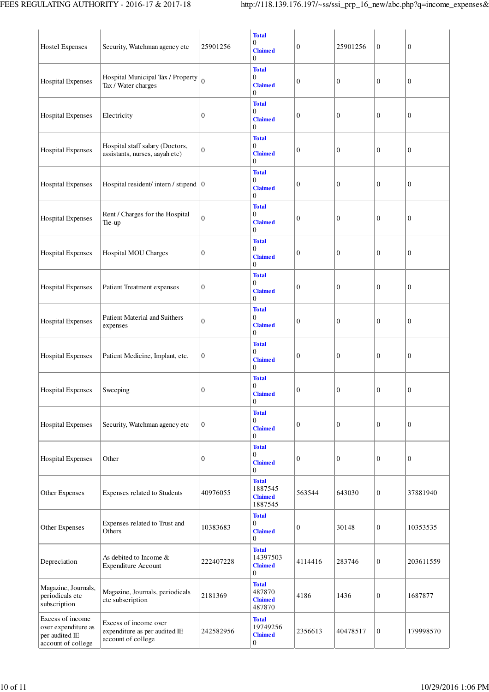| <b>Hostel Expenses</b>                                                          | Security, Watchman agency etc                                                | 25901256         | <b>Total</b><br>$\mathbf{0}$<br><b>Claimed</b><br>$\Omega$         | $\boldsymbol{0}$ | 25901256         | $\boldsymbol{0}$ | $\boldsymbol{0}$ |
|---------------------------------------------------------------------------------|------------------------------------------------------------------------------|------------------|--------------------------------------------------------------------|------------------|------------------|------------------|------------------|
| <b>Hospital Expenses</b>                                                        | Hospital Municipal Tax / Property<br>Tax / Water charges                     | $\theta$         | <b>Total</b><br>$\mathbf{0}$<br><b>Claimed</b><br>$\Omega$         | $\boldsymbol{0}$ | $\boldsymbol{0}$ | $\overline{0}$   | $\boldsymbol{0}$ |
| <b>Hospital Expenses</b>                                                        | Electricity                                                                  | 0                | <b>Total</b><br>$\mathbf{0}$<br><b>Claimed</b><br>$\Omega$         | $\mathbf{0}$     | $\mathbf{0}$     | $\overline{0}$   | $\boldsymbol{0}$ |
| <b>Hospital Expenses</b>                                                        | Hospital staff salary (Doctors,<br>assistants, nurses, aayah etc)            | 0                | <b>Total</b><br>$\mathbf{0}$<br><b>Claimed</b><br>$\Omega$         | $\boldsymbol{0}$ | $\boldsymbol{0}$ | $\boldsymbol{0}$ | $\boldsymbol{0}$ |
| <b>Hospital Expenses</b>                                                        | Hospital resident/intern/stipend $ 0\rangle$                                 |                  | <b>Total</b><br>$\mathbf{0}$<br><b>Claimed</b><br>$\Omega$         | $\boldsymbol{0}$ | $\boldsymbol{0}$ | $\overline{0}$   | $\boldsymbol{0}$ |
| <b>Hospital Expenses</b>                                                        | Rent / Charges for the Hospital<br>Tie-up                                    | $\boldsymbol{0}$ | <b>Total</b><br>$\Omega$<br><b>Claimed</b><br>$\Omega$             | $\boldsymbol{0}$ | $\boldsymbol{0}$ | $\boldsymbol{0}$ | $\boldsymbol{0}$ |
| <b>Hospital Expenses</b>                                                        | Hospital MOU Charges                                                         | 0                | <b>Total</b><br>$\mathbf{0}$<br><b>Claimed</b><br>$\Omega$         | $\boldsymbol{0}$ | $\overline{0}$   | $\boldsymbol{0}$ | $\boldsymbol{0}$ |
| <b>Hospital Expenses</b>                                                        | Patient Treatment expenses                                                   | 0                | <b>Total</b><br>$\overline{0}$<br><b>Claimed</b><br>$\Omega$       | $\boldsymbol{0}$ | $\boldsymbol{0}$ | $\boldsymbol{0}$ | $\boldsymbol{0}$ |
| <b>Hospital Expenses</b>                                                        | <b>Patient Material and Suithers</b><br>expenses                             | 0                | <b>Total</b><br>$\mathbf{0}$<br><b>Claimed</b><br>$\Omega$         | $\boldsymbol{0}$ | $\boldsymbol{0}$ | $\boldsymbol{0}$ | $\boldsymbol{0}$ |
| <b>Hospital Expenses</b>                                                        | Patient Medicine, Implant, etc.                                              | $\boldsymbol{0}$ | <b>Total</b><br>$\mathbf{0}$<br><b>Claimed</b><br>$\Omega$         | $\boldsymbol{0}$ | $\boldsymbol{0}$ | $\boldsymbol{0}$ | $\boldsymbol{0}$ |
| <b>Hospital Expenses</b>                                                        | Sweeping                                                                     | 0                | <b>Total</b><br>$\mathbf{0}$<br><b>Claimed</b><br>$\boldsymbol{0}$ | $\boldsymbol{0}$ | $\boldsymbol{0}$ | $\boldsymbol{0}$ | $\boldsymbol{0}$ |
| <b>Hospital Expenses</b>                                                        | Security, Watchman agency etc                                                | $\boldsymbol{0}$ | <b>Total</b><br>$\mathbf{0}$<br><b>Claimed</b><br>$\overline{0}$   | $\boldsymbol{0}$ | $\boldsymbol{0}$ | $\boldsymbol{0}$ | $\boldsymbol{0}$ |
| Hospital Expenses                                                               | Other                                                                        | 0                | <b>Total</b><br>$\mathbf{0}$<br><b>Claimed</b><br>$\mathbf{0}$     | $\boldsymbol{0}$ | $\boldsymbol{0}$ | $\mathbf{0}$     | $\boldsymbol{0}$ |
| Other Expenses                                                                  | Expenses related to Students                                                 | 40976055         | <b>Total</b><br>1887545<br><b>Claimed</b><br>1887545               | 563544           | 643030           | $\boldsymbol{0}$ | 37881940         |
| Other Expenses                                                                  | Expenses related to Trust and<br>Others                                      | 10383683         | <b>Total</b><br>$\boldsymbol{0}$<br><b>Claimed</b><br>$\mathbf{0}$ | $\boldsymbol{0}$ | 30148            | $\mathbf{0}$     | 10353535         |
| Depreciation                                                                    | As debited to Income &<br><b>Expenditure Account</b>                         | 222407228        | <b>Total</b><br>14397503<br><b>Claimed</b><br>$\mathbf{0}$         | 4114416          | 283746           | $\boldsymbol{0}$ | 203611559        |
| Magazine, Journals,<br>periodicals etc<br>subscription                          | Magazine, Journals, periodicals<br>etc subscription                          | 2181369          | <b>Total</b><br>487870<br><b>Claimed</b><br>487870                 | 4186             | 1436             | $\mathbf{0}$     | 1687877          |
| Excess of income<br>over expenditure as<br>per audited IE<br>account of college | Excess of income over<br>expenditure as per audited IE<br>account of college | 242582956        | <b>Total</b><br>19749256<br><b>Claimed</b><br>$\mathbf{0}$         | 2356613          | 40478517         | $\boldsymbol{0}$ | 179998570        |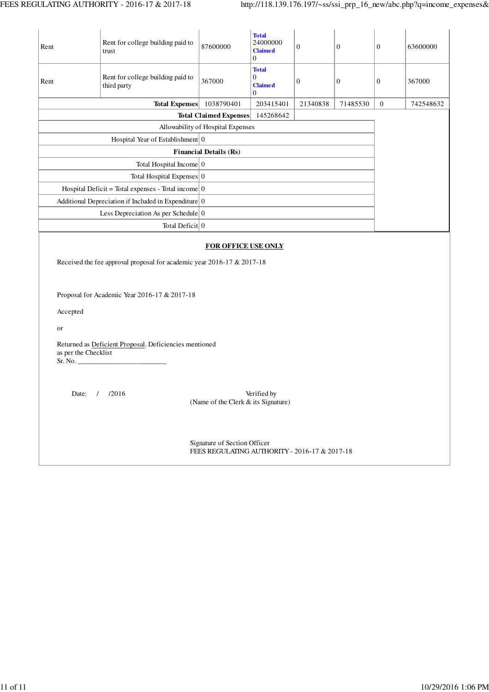| Rent                                                                | Rent for college building paid to<br>trust                                                                             | 87600000                                                           | <b>Total</b><br>24000000<br><b>Claimed</b><br>$\boldsymbol{0}$       | $\boldsymbol{0}$ | $\boldsymbol{0}$ | $\boldsymbol{0}$ | 63600000  |  |  |  |
|---------------------------------------------------------------------|------------------------------------------------------------------------------------------------------------------------|--------------------------------------------------------------------|----------------------------------------------------------------------|------------------|------------------|------------------|-----------|--|--|--|
| Rent                                                                | Rent for college building paid to<br>third party                                                                       | 367000                                                             | <b>Total</b><br>$\boldsymbol{0}$<br><b>Claimed</b><br>$\overline{0}$ | $\boldsymbol{0}$ | $\mathbf{0}$     | $\mathbf{0}$     | 367000    |  |  |  |
|                                                                     | <b>Total Expenses</b>                                                                                                  | 1038790401                                                         | 203415401                                                            | 21340838         | 71485530         | $\boldsymbol{0}$ | 742548632 |  |  |  |
|                                                                     |                                                                                                                        | <b>Total Claimed Expenses</b><br>Allowability of Hospital Expenses | 145268642                                                            |                  |                  |                  |           |  |  |  |
|                                                                     |                                                                                                                        |                                                                    |                                                                      |                  |                  |                  |           |  |  |  |
|                                                                     |                                                                                                                        |                                                                    |                                                                      |                  |                  |                  |           |  |  |  |
|                                                                     |                                                                                                                        |                                                                    |                                                                      |                  |                  |                  |           |  |  |  |
|                                                                     |                                                                                                                        |                                                                    |                                                                      |                  |                  |                  |           |  |  |  |
|                                                                     | Total Hospital Expenses 0                                                                                              |                                                                    |                                                                      |                  |                  |                  |           |  |  |  |
|                                                                     | Hospital Deficit = Total expenses - Total income $\vert 0 \vert$                                                       |                                                                    |                                                                      |                  |                  |                  |           |  |  |  |
|                                                                     | Additional Depreciation if Included in Expenditure $\vert 0 \vert$                                                     |                                                                    |                                                                      |                  |                  |                  |           |  |  |  |
|                                                                     | Less Depreciation As per Schedule $\vert 0 \rangle$                                                                    |                                                                    |                                                                      |                  |                  |                  |           |  |  |  |
|                                                                     | Total Deficit 0                                                                                                        |                                                                    |                                                                      |                  |                  |                  |           |  |  |  |
| Accepted                                                            | Received the fee approval proposal for academic year 2016-17 & 2017-18<br>Proposal for Academic Year 2016-17 & 2017-18 | <b>FOR OFFICE USE ONLY</b>                                         |                                                                      |                  |                  |                  |           |  |  |  |
| or                                                                  |                                                                                                                        |                                                                    |                                                                      |                  |                  |                  |           |  |  |  |
|                                                                     | Returned as Deficient Proposal. Deficiencies mentioned<br>as per the Checklist                                         |                                                                    |                                                                      |                  |                  |                  |           |  |  |  |
| Date: / /2016<br>Verified by<br>(Name of the Clerk & its Signature) |                                                                                                                        |                                                                    |                                                                      |                  |                  |                  |           |  |  |  |
|                                                                     |                                                                                                                        |                                                                    |                                                                      |                  |                  |                  |           |  |  |  |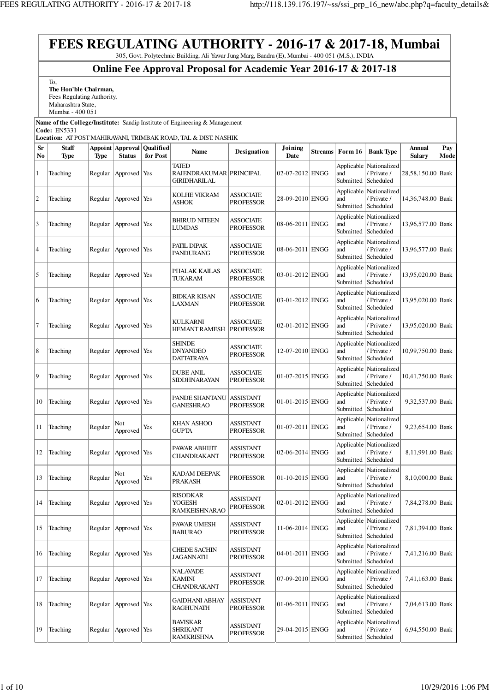**FEES REGULATING AUTHORITY - 2016-17 & 2017-18, Mumbai** 305, Govt. Polytechnic Building, Ali Yawar Jung Marg, Bandra (E), Mumbai - 400 051 (M.S.), INDIA **Online Fee Approval Proposal for Academic Year 2016-17 & 2017-18** To, **The Hon'ble Chairman,** Fees Regulating Authority, Maharashtra State, Mumbai - 400 051 **Name of the College/Institute:** Sandip Institute of Engineering & Management **Code:** EN5331 **Location:** AT POST MAHIRAVANI, TRIMBAK ROAD, TAL & DIST. NASHIK **Sr No Staff Type Appoint Approval Qualified Type Status for Post Name Designation Joining Date Streams** Form 16 **Bank Type Annual**<br>Date **Salary Salary Pay Mode** 1 Teaching Regular Approved Yes TATED RAJENDRAKUMAR **GIRIDHARILAL** 02-07-2012 ENGG Applicable and Submitted Nationalized / Private / Scheduled 28,58,150.00 Bank  $\begin{array}{|l|l|}\n2 & \text{Teaching} & \text{Regular} \\
\end{array}$   $\begin{array}{|l|l|}\n\end{array}$   $\begin{array}{|l|l|}\n\end{array}$   $\begin{array}{|l|l|}\n\end{array}$   $\begin{array}{|l|l|}\n\end{array}$   $\begin{array}{|l|l|}\n\end{array}$   $\begin{array}{|l|l|}\n\end{array}$   $\begin{array}{|l|l|}\n\end{array}$   $\begin{array}{|l|l|}\n\end{array}$   $\begin{array}{|l|l|}\n\end{array}$   $\begin{array$ ASHOK ASSOCIATE<br>PROFESSOR 28-09-2010 ENGG Applicable and Submitted Nationalized / Private / Scheduled 14,36,748.00 Bank  $\begin{array}{c|c|c|c} \hline \end{array}$  Teaching Regular Approved Yes BHIRUD NITEEN LUMDAS ASSOCIATE<br>PROFESSOR 08-06-2011 ENGG Applicable and Submitted Nationalized / Private / Scheduled 13,96,577.00 Bank  $\begin{array}{c|c|c|c} \hline \end{array}$  Teaching Regular Approved Yes PATIL DIPAK PANDURANG **ASSOCIATE** ASSOCIALE 08-06-2011 ENGG Applicable and Submitted Nationalized / Private / Scheduled 13,96,577.00 Bank  $\begin{array}{c|c|c|c|c} 5 & \text{Regular} & \text{Approved} & \text{Yes} & \text{PHALAK KAILAS} \end{array}$ TUKARAM **ASSOCIATE** PROFESSOR 03-01-2012 ENGG **Applicable** and Submitted Nationalized / Private / Scheduled 13,95,020.00 Bank 6 Teaching Regular Approved Yes BIDKAR KISAN LAXMAN ASSOCIATE<br>PROFESSOR 03-01-2012 ENGG Applicable and Submitted Nationalized / Private / Scheduled 13,95,020.00 Bank  $7 \left| \frac{\text{Teaching}}{\text{Regular}} \right| \times \text{Approved} \times \text{Yes}$ HEMANT RAMESH ASSOCIATE<br>PROFESSOR 02-01-2012 ENGG Applicable and Submitted Nationalized / Private / Scheduled 13,95,020.00 Bank 8 Teaching Regular Approved Yes **SHINDE** DNYANDEO DATTATRAYA ASSOCIATE<br>PROFESSOR 12-07-2010 ENGG Applicable and Submitted Nationalized / Private / Scheduled 10,99,750.00 Bank 9  $\vert$ Teaching  $\vert$  Regular  $\vert$  Approved  $\vert$  Yes  $\vert$  DUBE ANIL SIDDHNARAYAN **ASSOCIATE** ASSOCIALE | 01-07-2015 ENGG Applicable and Submitted Nationalized / Private / Scheduled 10,41,750.00 Bank 10 Teaching Regular Approved Yes PANDE SHANTANU GANESHRAO ASSISTANT  $PROFESOR$  01-01-2015 ENGG Applicable and Submitted Nationalized / Private / Scheduled 9,32,537.00 Bank 11 Teaching Regular  $\begin{array}{c} \end{array}$  Not Not <br>Approved Yes **KHAN ASHOO GUPTA ASSISTANT**  $\frac{\text{ASSIS} \text{IAN1}}{\text{PROFESSOR}}$  01-07-2011 ENGG Applicable and Submitted Nationalized / Private / Scheduled 9,23,654.00 Bank 12 Teaching Regular Approved Yes PAWAR ABHIJIT CHANDRAKANT ASSISTANT  $PROFESOR$  02-06-2014 ENGG Applicable and Submitted Nationalized / Private / Scheduled 8,11,991.00 Bank 13 Teaching  $\begin{array}{c|c}\n\text{Regular} \\
\text{Approx} \\
\text{Approved}\n\end{array}$ Yes **KADAM DEEPAK**<br>PRAKASH PROFESSOR  $|01-10-2015|$  ENGG Applicable and Submitted Nationalized / Private / Scheduled 8,10,000.00 Bank 14 Teaching Regular Approved Yes RISODKAR YOGESH RAMKEISHNARAO ASSISTANT<br>PROFESSOR 02-01-2012 ENGG Applicable and Submitted Nationalized / Private / Scheduled 7,84,278.00 Bank 15 Teaching Regular Approved Yes PAWAR UMESH BABURAO ASSISTANT  $PROFESSOR$  11-06-2014 ENGG Applicable and Submitted Nationalized / Private / Scheduled 7,81,394.00 Bank 16 Teaching Regular Approved Yes CHEDE SACHIN JAGANNATH ASSISTANT  $\frac{\text{ASSISIAN1}}{\text{PROFESSOR}}$  04-01-2011 ENGG Applicable and Submitted Nationalized / Private / Scheduled 7,41,216.00 Bank 17 Teaching Regular Approved Yes NALAVADE KAMINI CHANDRAKANT ASSISTANT  $\frac{\text{ASSISIAN1}}{\text{PROFESSOR}}$  07-09-2010 ENGG Applicable and Submitted Nationalized / Private / Scheduled 7,41,163.00 Bank 18 Teaching Regular Approved Yes GAIDHANI ABHAY RAGHUNATH ASSISTANT  $\frac{\text{Also JAN1}}{\text{PROFESSOR}}$  01-06-2011 ENGG Applicable and Submitted Nationalized / Private / Scheduled 7,04,613.00 Bank 19 Teaching Regular Approved Yes BAVISKAR SHRIKANT RAMKRISHNA ASSISTANT ASSISTANT 29-04-2015 ENGG Applicable and Submitted Scheduled **Nationalized** / Private / 6,94,550.00 Bank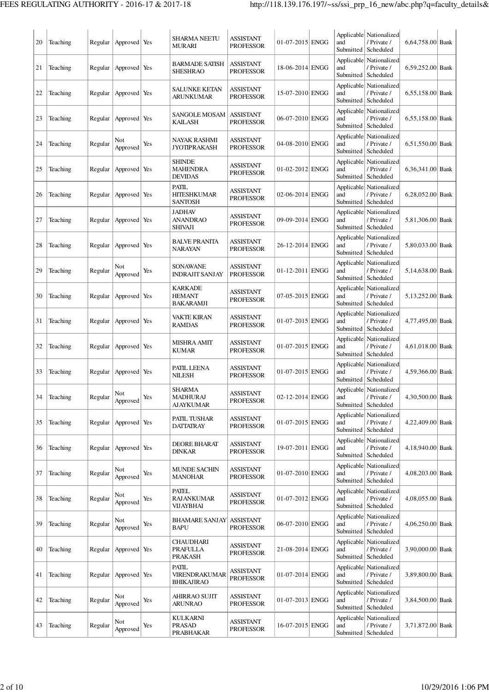| 20 | Teaching | Regular | Approved Yes    |     | <b>SHARMA NEETU</b><br>MURARI                        | <b>ASSISTANT</b><br><b>PROFESSOR</b> | 01-07-2015 ENGG   | and<br>Submitted               | Applicable Nationalized<br>/ Private /<br>Scheduled             | 6,64,758.00 Bank |  |
|----|----------|---------|-----------------|-----|------------------------------------------------------|--------------------------------------|-------------------|--------------------------------|-----------------------------------------------------------------|------------------|--|
| 21 | Teaching | Regular | Approved Yes    |     | <b>BARMADE SATISH</b><br><b>SHESHRAO</b>             | <b>ASSISTANT</b><br>PROFESSOR        | 18-06-2014 ENGG   | and<br>Submitted               | Applicable Nationalized<br>/ Private /<br>Scheduled             | 6,59,252.00 Bank |  |
| 22 | Teaching | Regular | Approved Yes    |     | <b>SALUNKE KETAN</b><br>ARUNKUMAR                    | ASSISTANT<br>PROFESSOR               | 15-07-2010 ENGG   | and<br>Submitted               | Applicable Nationalized<br>/ Private /<br>Scheduled             | 6,55,158.00 Bank |  |
| 23 | Teaching | Regular | Approved Yes    |     | <b>SANGOLE MOSAM</b><br>KAILASH                      | <b>ASSISTANT</b><br>PROFESSOR        | 06-07-2010 ENGG   | and<br>Submitted               | Applicable Nationalized<br>/ Private /<br>Scheduled             | 6,55,158.00 Bank |  |
| 24 | Teaching | Regular | Not<br>Approved | Yes | NAYAK RASHMI<br><b>JYOTIPRAKASH</b>                  | ASSISTANT<br><b>PROFESSOR</b>        | 04-08-2010 ENGG   | and<br>Submitted               | Applicable Nationalized<br>/ Private /<br>Scheduled             | 6,51,550.00 Bank |  |
| 25 | Teaching | Regular | Approved Yes    |     | <b>SHINDE</b><br>MAHENDRA<br><b>DEVIDAS</b>          | ASSISTANT<br>PROFESSOR               | 01-02-2012 ENGG   | and<br>Submitted               | Applicable Nationalized<br>/ Private /<br>Scheduled             | 6,36,341.00 Bank |  |
| 26 | Teaching | Regular | Approved Yes    |     | PATIL<br><b>HITESHKUMAR</b><br><b>SANTOSH</b>        | ASSISTANT<br><b>PROFESSOR</b>        | 02-06-2014 ENGG   | and                            | Applicable Nationalized<br>/ Private /<br>Submitted   Scheduled | 6,28,052.00 Bank |  |
| 27 | Teaching | Regular | Approved Yes    |     | <b>JADHAV</b><br><b>ANANDRAO</b><br><b>SHIVAJI</b>   | ASSISTANT<br><b>PROFESSOR</b>        | 09-09-2014 ENGG   | Applicable<br>and<br>Submitted | Nationalized<br>/ Private /<br>Scheduled                        | 5,81,306.00 Bank |  |
| 28 | Teaching | Regular | Approved Yes    |     | <b>BALVE PRANITA</b><br><b>NARAYAN</b>               | <b>ASSISTANT</b><br><b>PROFESSOR</b> | 26-12-2014 ENGG   | Applicable<br>and<br>Submitted | Nationalized<br>/ Private /<br>Scheduled                        | 5,80,033.00 Bank |  |
| 29 | Teaching | Regular | Not<br>Approved | Yes | <b>SONAWANE</b><br><b>INDRAJIT SANJAY</b>            | ASSISTANT<br><b>PROFESSOR</b>        | 01-12-2011 ENGG   | and<br>Submitted               | Applicable   Nationalized<br>/ Private /<br>Scheduled           | 5,14,638.00 Bank |  |
| 30 | Teaching | Regular | Approved Yes    |     | <b>KARKADE</b><br><b>HEMANT</b><br>BAKARAMJI         | ASSISTANT<br>PROFESSOR               | 07-05-2015 ENGG   | and<br>Submitted               | Applicable   Nationalized<br>/ Private /<br>Scheduled           | 5,13,252.00 Bank |  |
| 31 | Teaching | Regular | Approved Yes    |     | <b>VAKTE KIRAN</b><br><b>RAMDAS</b>                  | ASSISTANT<br><b>PROFESSOR</b>        | 01-07-2015 ENGG   | and<br>Submitted               | Applicable   Nationalized<br>/ Private /<br>Scheduled           | 4,77,495.00 Bank |  |
| 32 | Teaching | Regular | Approved Yes    |     | MISHRA AMIT<br><b>KUMAR</b>                          | ASSISTANT<br>PROFESSOR               | 01-07-2015 ENGG   | and<br>Submitted               | Applicable Nationalized<br>/ Private /<br>Scheduled             | 4,61,018.00 Bank |  |
| 33 | Teaching | Regular | Approved Yes    |     | PATIL LEENA<br><b>NILESH</b>                         | <b>ASSISTANT</b><br><b>PROFESSOR</b> | 01-07-2015 ENGG   | and<br>Submitted               | Applicable Nationalized<br>/ Private /<br>Scheduled             | 4,59,366.00 Bank |  |
| 34 | Teaching | Regular | Not<br>Approved | Yes | <b>SHARMA</b><br><b>MADHURAJ</b><br><b>AJAYKUMAR</b> | ASSISTANT<br><b>PROFESSOR</b>        | 02-12-2014 ENGG   | and                            | Applicable Nationalized<br>/ Private /<br>Submitted   Scheduled | 4,30,500.00 Bank |  |
| 35 | Teaching | Regular | Approved Yes    |     | PATIL TUSHAR<br><b>DATTATRAY</b>                     | <b>ASSISTANT</b><br><b>PROFESSOR</b> | $01-07-2015$ ENGG | Applicable<br>and<br>Submitted | Nationalized<br>/ Private /<br>Scheduled                        | 4,22,409.00 Bank |  |
| 36 | Teaching | Regular | Approved Yes    |     | <b>DEORE BHARAT</b><br><b>DINKAR</b>                 | ASSISTANT<br><b>PROFESSOR</b>        | 19-07-2011 ENGG   | and<br>Submitted               | Applicable Nationalized<br>/ Private /<br>Scheduled             | 4,18,940.00 Bank |  |
| 37 | Teaching | Regular | Not<br>Approved | Yes | <b>MUNDE SACHIN</b><br><b>MANOHAR</b>                | <b>ASSISTANT</b><br>PROFESSOR        | 01-07-2010 ENGG   | and                            | Applicable Nationalized<br>/ Private /<br>Submitted Scheduled   | 4,08,203.00 Bank |  |
| 38 | Teaching | Regular | Not<br>Approved | Yes | <b>PATEL</b><br><b>RAJANKUMAR</b><br>VIJAYBHAI       | ASSISTANT<br><b>PROFESSOR</b>        | 01-07-2012 ENGG   | and<br>Submitted               | Applicable Nationalized<br>/ Private /<br>Scheduled             | 4,08,055.00 Bank |  |
| 39 | Teaching | Regular | Not<br>Approved | Yes | <b>BHAMARE SANJAY</b><br><b>BAPU</b>                 | <b>ASSISTANT</b><br>PROFESSOR        | 06-07-2010 ENGG   | and<br>Submitted               | Applicable Nationalized<br>/ Private /<br>Scheduled             | 4,06,250.00 Bank |  |
| 40 | Teaching | Regular | Approved Yes    |     | <b>CHAUDHARI</b><br>PRAFULLA<br>PRAKASH              | <b>ASSISTANT</b><br><b>PROFESSOR</b> | 21-08-2014 ENGG   | and                            | Applicable Nationalized<br>/ Private /<br>Submitted   Scheduled | 3,90,000.00 Bank |  |
| 41 | Teaching | Regular | Approved Yes    |     | <b>PATIL</b><br>VIRENDRAKUMAR<br><b>BHIKAJIRAO</b>   | ASSISTANT<br><b>PROFESSOR</b>        | 01-07-2014 ENGG   | and<br>Submitted               | Applicable Nationalized<br>/ Private /<br>Scheduled             | 3,89,800.00 Bank |  |
| 42 | Teaching | Regular | Not<br>Approved | Yes | AHIRRAO SUJIT<br><b>ARUNRAO</b>                      | <b>ASSISTANT</b><br><b>PROFESSOR</b> | 01-07-2013 ENGG   | Applicable<br>and<br>Submitted | Nationalized<br>/ Private /<br>Scheduled                        | 3,84,500.00 Bank |  |
| 43 | Teaching | Regular | Not<br>Approved | Yes | KULKARNI<br><b>PRASAD</b><br><b>PRABHAKAR</b>        | ASSISTANT<br><b>PROFESSOR</b>        | 16-07-2015 ENGG   | and                            | Applicable Nationalized<br>/ Private /<br>Submitted   Scheduled | 3,71,872.00 Bank |  |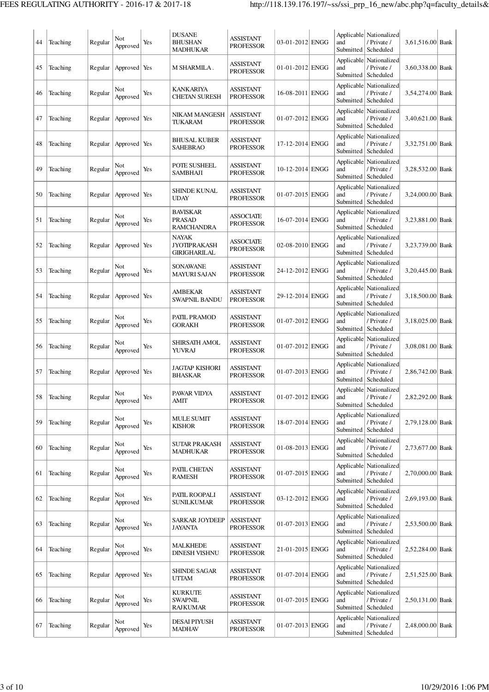| 44 | Teaching | Regular | Not<br>Approved | Yes | <b>DUSANE</b><br><b>BHUSHAN</b><br><b>MADHUKAR</b>    | <b>ASSISTANT</b><br><b>PROFESSOR</b> | 03-01-2012 ENGG | and<br>Submitted               | Applicable Nationalized<br>/ Private /<br>Scheduled               | 3,61,516.00 Bank |  |
|----|----------|---------|-----------------|-----|-------------------------------------------------------|--------------------------------------|-----------------|--------------------------------|-------------------------------------------------------------------|------------------|--|
| 45 | Teaching | Regular | Approved Yes    |     | M SHARMILA .                                          | ASSISTANT<br><b>PROFESSOR</b>        | 01-01-2012 ENGG | and<br>Submitted               | Applicable Nationalized<br>/ Private /<br>Scheduled               | 3,60,338.00 Bank |  |
| 46 | Teaching | Regular | Not<br>Approved | Yes | <b>KANKARIYA</b><br><b>CHETAN SURESH</b>              | ASSISTANT<br><b>PROFESSOR</b>        | 16-08-2011 ENGG | and<br>Submitted               | Applicable Nationalized<br>/ Private /<br>Scheduled               | 3,54,274.00 Bank |  |
| 47 | Teaching | Regular | Approved        | Yes | NIKAM MANGESH<br>TUKARAM                              | <b>ASSISTANT</b><br><b>PROFESSOR</b> | 01-07-2012 ENGG | and<br>Submitted               | Applicable Nationalized<br>/ Private /<br>Scheduled               | 3,40,621.00 Bank |  |
| 48 | Teaching | Regular | Approved        | Yes | <b>BHUSAL KUBER</b><br><b>SAHEBRAO</b>                | <b>ASSISTANT</b><br><b>PROFESSOR</b> | 17-12-2014 ENGG | and<br>Submitted               | Applicable   Nationalized<br>/ Private /<br>Scheduled             | 3,32,751.00 Bank |  |
| 49 | Teaching | Regular | Not<br>Approved | Yes | POTE SUSHEEL<br><b>SAMBHAJI</b>                       | ASSISTANT<br><b>PROFESSOR</b>        | 10-12-2014 ENGG | and<br>Submitted               | Applicable Nationalized<br>/ Private /<br>Scheduled               | 3,28,532.00 Bank |  |
| 50 | Teaching | Regular | Approved Yes    |     | <b>SHINDE KUNAL</b><br><b>UDAY</b>                    | ASSISTANT<br><b>PROFESSOR</b>        | 01-07-2015 ENGG | and<br>Submitted               | Applicable Nationalized<br>/ Private /<br>Scheduled               | 3,24,000.00 Bank |  |
| 51 | Teaching | Regular | Not<br>Approved | Yes | <b>BAVISKAR</b><br><b>PRASAD</b><br><b>RAMCHANDRA</b> | <b>ASSOCIATE</b><br><b>PROFESSOR</b> | 16-07-2014 ENGG | Applicable<br>and<br>Submitted | Nationalized<br>/ Private /<br>Scheduled                          | 3,23,881.00 Bank |  |
| 52 | Teaching | Regular | Approved Yes    |     | <b>NAYAK</b><br><b>JYOTIPRAKASH</b><br>GIRIGHARILAL   | ASSOCIATE<br><b>PROFESSOR</b>        | 02-08-2010 ENGG | and<br>Submitted               | Applicable   Nationalized  <br>/ Private /<br>Scheduled           | 3,23,739.00 Bank |  |
| 53 | Teaching | Regular | Not<br>Approved | Yes | <b>SONAWANE</b><br>MAYURI SAJAN                       | ASSISTANT<br><b>PROFESSOR</b>        | 24-12-2012 ENGG | and<br>Submitted               | Applicable Nationalized<br>/ Private /<br>Scheduled               | 3,20,445.00 Bank |  |
| 54 | Teaching | Regular | Approved Yes    |     | AMBEKAR<br><b>SWAPNIL BANDU</b>                       | ASSISTANT<br><b>PROFESSOR</b>        | 29-12-2014 ENGG | and<br>Submitted               | Applicable Nationalized<br>/ Private /<br>Scheduled               | 3,18,500.00 Bank |  |
| 55 | Teaching | Regular | Not<br>Approved | Yes | PATIL PRAMOD<br><b>GORAKH</b>                         | ASSISTANT<br><b>PROFESSOR</b>        | 01-07-2012 ENGG | and<br>Submitted               | Applicable   Nationalized<br>/ Private /<br>Scheduled             | 3,18,025.00 Bank |  |
| 56 | Teaching | Regular | Not<br>Approved | Yes | SHIRSATH AMOL<br><b>YUVRAJ</b>                        | ASSISTANT<br><b>PROFESSOR</b>        | 01-07-2012 ENGG | and<br>Submitted               | Applicable Nationalized<br>/ Private /<br>Scheduled               | 3,08,081.00 Bank |  |
| 57 | Teaching | Regular | Approved Yes    |     | <b>JAGTAP KISHORI</b><br><b>BHASKAR</b>               | ASSISTANT<br><b>PROFESSOR</b>        | 01-07-2013 ENGG | Applicable<br>and<br>Submitted | Nationalized<br>/ Private /<br>Scheduled                          | 2,86,742.00 Bank |  |
| 58 | Teaching | Regular | Not<br>Approved | Yes | PAWAR VIDYA<br><b>AMIT</b>                            | <b>ASSISTANT</b><br><b>PROFESSOR</b> | 01-07-2012 ENGG | and<br>Submitted               | Applicable Nationalized<br>/ Private /<br>Scheduled               | 2,82,292.00 Bank |  |
| 59 | Teaching | Regular | Not<br>Approved | Yes | <b>MULE SUMIT</b><br><b>KISHOR</b>                    | ASSISTANT<br><b>PROFESSOR</b>        | 18-07-2014 ENGG | Applicable<br>and<br>Submitted | Nationalized<br>/ Private /<br>Scheduled                          | 2,79,128.00 Bank |  |
| 60 | Teaching | Regular | Not<br>Approved | Yes | <b>SUTAR PRAKASH</b><br><b>MADHUKAR</b>               | ASSISTANT<br><b>PROFESSOR</b>        | 01-08-2013 ENGG | and                            | Applicable Nationalized<br>/ Private /<br>Submitted   Scheduled   | 2,73,677.00 Bank |  |
| 61 | Teaching | Regular | Not<br>Approved | Yes | PATIL CHETAN<br><b>RAMESH</b>                         | <b>ASSISTANT</b><br><b>PROFESSOR</b> | 01-07-2015 ENGG | and<br>Submitted               | Applicable Nationalized<br>/ Private /<br>Scheduled               | 2,70,000.00 Bank |  |
| 62 | Teaching | Regular | Not<br>Approved | Yes | PATIL ROOPALI<br><b>SUNILKUMAR</b>                    | <b>ASSISTANT</b><br><b>PROFESSOR</b> | 03-12-2012 ENGG | and<br>Submitted               | Applicable   Nationalized<br>/ Private /<br>Scheduled             | 2,69,193.00 Bank |  |
| 63 | Teaching | Regular | Not<br>Approved | Yes | <b>SARKAR JOYDEEP</b><br><b>JAYANTA</b>               | <b>ASSISTANT</b><br><b>PROFESSOR</b> | 01-07-2013 ENGG | and                            | Applicable Nationalized<br>/ Private /<br>Submitted   Scheduled   | 2,53,500.00 Bank |  |
| 64 | Teaching | Regular | Not<br>Approved | Yes | MALKHEDE<br><b>DINESH VISHNU</b>                      | ASSISTANT<br><b>PROFESSOR</b>        | 21-01-2015 ENGG | Applicable<br>and<br>Submitted | Nationalized<br>/ Private /<br>Scheduled                          | 2,52,284.00 Bank |  |
| 65 | Teaching | Regular | Approved Yes    |     | <b>SHINDE SAGAR</b><br><b>UTTAM</b>                   | ASSISTANT<br><b>PROFESSOR</b>        | 01-07-2014 ENGG | Applicable<br>and<br>Submitted | Nationalized<br>/ Private /<br>Scheduled                          | 2,51,525.00 Bank |  |
| 66 | Teaching | Regular | Not<br>Approved | Yes | <b>KURKUTE</b><br><b>SWAPNIL</b><br>RAJKUMAR          | ASSISTANT<br><b>PROFESSOR</b>        | 01-07-2015 ENGG | Applicable<br>and              | Nationalized<br>/ Private /<br>Submitted   Scheduled              | 2,50,131.00 Bank |  |
| 67 | Teaching | Regular | Not<br>Approved | Yes | <b>DESAI PIYUSH</b><br><b>MADHAV</b>                  | ASSISTANT<br><b>PROFESSOR</b>        | 01-07-2013 ENGG | and                            | Applicable   Nationalized<br>/ Private /<br>Submitted   Scheduled | 2,48,000.00 Bank |  |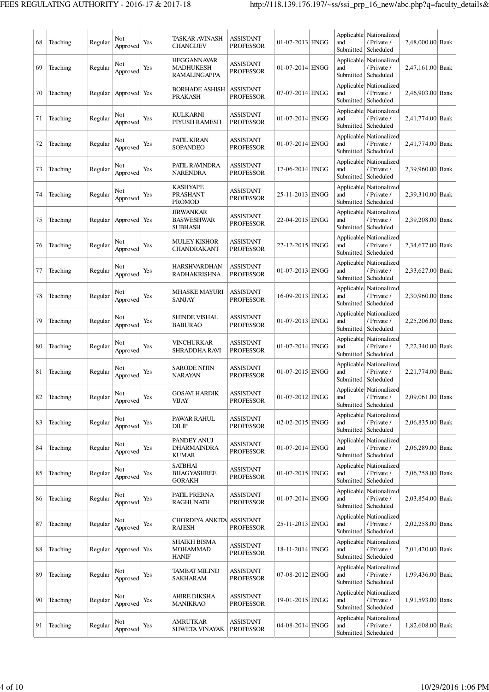| 68 | Teaching | Regular | Not<br>Approved | Yes | TASKAR AVINASH<br><b>CHANGDEV</b>                       | <b>ASSISTANT</b><br><b>PROFESSOR</b> | 01-07-2013 ENGG | and<br>Submitted               | Applicable Nationalized<br>/ Private /<br>Scheduled   | 2,48,000.00 Bank |  |
|----|----------|---------|-----------------|-----|---------------------------------------------------------|--------------------------------------|-----------------|--------------------------------|-------------------------------------------------------|------------------|--|
| 69 | Teaching | Regular | Not<br>Approved | Yes | <b>HEGGANNAVAR</b><br>MADHUKESH<br>RAMALINGAPPA         | ASSISTANT<br><b>PROFESSOR</b>        | 01-07-2014 ENGG | Applicable<br>and<br>Submitted | Nationalized<br>/ Private /<br>Scheduled              | 2,47,161.00 Bank |  |
| 70 | Teaching | Regular | Approved Yes    |     | <b>BORHADE ASHISH</b><br><b>PRAKASH</b>                 | <b>ASSISTANT</b><br><b>PROFESSOR</b> | 07-07-2014 ENGG | and<br>Submitted               | Applicable Nationalized<br>/ Private /<br>Scheduled   | 2,46,903.00 Bank |  |
| 71 | Teaching | Regular | Not<br>Approved | Yes | KULKARNI<br>PIYUSH RAMESH                               | <b>ASSISTANT</b><br><b>PROFESSOR</b> | 01-07-2014 ENGG | and<br>Submitted               | Applicable Nationalized<br>/ Private /<br>Scheduled   | 2,41,774.00 Bank |  |
| 72 | Teaching | Regular | Not<br>Approved | Yes | PATIL KIRAN<br><b>SOPANDEO</b>                          | <b>ASSISTANT</b><br><b>PROFESSOR</b> | 01-07-2014 ENGG | and<br>Submitted               | Applicable   Nationalized<br>/ Private /<br>Scheduled | 2,41,774.00 Bank |  |
| 73 | Teaching | Regular | Not<br>Approved | Yes | PATIL RAVINDRA<br><b>NARENDRA</b>                       | <b>ASSISTANT</b><br><b>PROFESSOR</b> | 17-06-2014 ENGG | and<br>Submitted               | Applicable   Nationalized<br>/ Private /<br>Scheduled | 2,39,960.00 Bank |  |
| 74 | Teaching | Regular | Not<br>Approved | Yes | <b>KASHYAPE</b><br><b>PRASHANT</b><br><b>PROMOD</b>     | <b>ASSISTANT</b><br><b>PROFESSOR</b> | 25-11-2013 ENGG | Applicable<br>and              | Nationalized<br>/ Private /<br>Submitted   Scheduled  | 2,39,310.00 Bank |  |
| 75 | Teaching | Regular | Approved Yes    |     | <b>JIRWANKAR</b><br><b>BASWESHWAR</b><br><b>SUBHASH</b> | <b>ASSISTANT</b><br><b>PROFESSOR</b> | 22-04-2015 ENGG | Applicable<br>and<br>Submitted | Nationalized<br>/ Private /<br>Scheduled              | 2,39,208.00 Bank |  |
| 76 | Teaching | Regular | Not<br>Approved | Yes | <b>MULEY KISHOR</b><br>CHANDRAKANT                      | <b>ASSISTANT</b><br><b>PROFESSOR</b> | 22-12-2015 ENGG | Applicable<br>and<br>Submitted | Nationalized<br>/ Private /<br>Scheduled              | 2,34,677.00 Bank |  |
| 77 | Teaching | Regular | Not<br>Approved | Yes | <b>HARSHVARDHAN</b><br>RADHAKRISHNA.                    | <b>ASSISTANT</b><br><b>PROFESSOR</b> | 01-07-2013 ENGG | and<br>Submitted               | Applicable Nationalized<br>/ Private /<br>Scheduled   | 2,33,627.00 Bank |  |
| 78 | Teaching | Regular | Not<br>Approved | Yes | <b>MHASKE MAYURI</b><br>SANJAY                          | <b>ASSISTANT</b><br><b>PROFESSOR</b> | 16-09-2013 ENGG | and<br>Submitted               | Applicable Nationalized<br>/ Private /<br>Scheduled   | 2,30,960.00 Bank |  |
| 79 | Teaching | Regular | Not<br>Approved | Yes | <b>SHINDE VISHAL</b><br><b>BABURAO</b>                  | <b>ASSISTANT</b><br><b>PROFESSOR</b> | 01-07-2013 ENGG | and<br>Submitted               | Applicable   Nationalized<br>/ Private /<br>Scheduled | 2,25,206.00 Bank |  |
| 80 | Teaching | Regular | Not<br>Approved | Yes | VINCHURKAR<br>SHRADDHA RAVI                             | <b>ASSISTANT</b><br><b>PROFESSOR</b> | 01-07-2014 ENGG | and<br>Submitted               | Applicable   Nationalized<br>/ Private /<br>Scheduled | 2,22,340.00 Bank |  |
| 81 | Teaching | Regular | Not<br>Approved | Yes | <b>SARODE NITIN</b><br><b>NARAYAN</b>                   | <b>ASSISTANT</b><br><b>PROFESSOR</b> | 01-07-2015 ENGG | Applicable<br>and              | Nationalized<br>/ Private /<br>Submitted   Scheduled  | 2,21,774.00 Bank |  |
| 82 | Teaching | Regular | Not<br>Approved | Yes | <b>GOSAVI HARDIK</b><br><b>VIJAY</b>                    | ASSISTANT<br><b>PROFESSOR</b>        | 01-07-2012 ENGG | and<br>Submitted               | Applicable   Nationalized<br>/ Private /<br>Scheduled | 2,09,061.00 Bank |  |
| 83 | Teaching | Regular | Not<br>Approved | Yes | PAWAR RAHUL<br>DILIP                                    | <b>ASSISTANT</b><br><b>PROFESSOR</b> | 02-02-2015 ENGG | Applicable<br>and<br>Submitted | Nationalized<br>/ Private /<br>Scheduled              | 2,06,835.00 Bank |  |
| 84 | Teaching | Regular | Not<br>Approved | Yes | PANDEY ANUJ<br><b>DHARMAINDRA</b><br><b>KUMAR</b>       | <b>ASSISTANT</b><br><b>PROFESSOR</b> | 01-07-2014 ENGG | and<br>Submitted               | Applicable Nationalized<br>/ Private /<br>Scheduled   | 2,06,289.00 Bank |  |
| 85 | Teaching | Regular | Not<br>Approved | Yes | <b>SATBHAI</b><br><b>BHAGYASHREE</b><br><b>GORAKH</b>   | ASSISTANT<br><b>PROFESSOR</b>        | 01-07-2015 ENGG | and<br>Submitted               | Applicable Nationalized<br>/ Private /<br>Scheduled   | 2,06,258.00 Bank |  |
| 86 | Teaching | Regular | Not<br>Approved | Yes | PATIL PRERNA<br><b>RAGHUNATH</b>                        | ASSISTANT<br><b>PROFESSOR</b>        | 01-07-2014 ENGG | and<br>Submitted               | Applicable Nationalized<br>/ Private /<br>Scheduled   | 2,03,854.00 Bank |  |
| 87 | Teaching | Regular | Not<br>Approved | Yes | CHORDIYA ANKITA ASSISTANT<br><b>RAJESH</b>              | <b>PROFESSOR</b>                     | 25-11-2013 ENGG | and<br>Submitted               | Applicable   Nationalized<br>/ Private /<br>Scheduled | 2,02,258.00 Bank |  |
| 88 | Teaching | Regular | Approved Yes    |     | <b>SHAIKH BISMA</b><br><b>MOHAMMAD</b><br><b>HANIF</b>  | ASSISTANT<br><b>PROFESSOR</b>        | 18-11-2014 ENGG | Applicable<br>and              | Nationalized<br>/ Private /<br>Submitted   Scheduled  | 2,01,420.00 Bank |  |
| 89 | Teaching | Regular | Not<br>Approved | Yes | TAMBAT MILIND<br><b>SAKHARAM</b>                        | ASSISTANT<br><b>PROFESSOR</b>        | 07-08-2012 ENGG | Applicable<br>and<br>Submitted | Nationalized<br>/ Private /<br>Scheduled              | 1,99,436.00 Bank |  |
| 90 | Teaching | Regular | Not<br>Approved | Yes | AHIRE DIKSHA<br><b>MANIKRAO</b>                         | ASSISTANT<br><b>PROFESSOR</b>        | 19-01-2015 ENGG | Applicable<br>and<br>Submitted | Nationalized<br>/ Private /<br>Scheduled              | 1,91,593.00 Bank |  |
| 91 | Teaching | Regular | Not<br>Approved | Yes | AMRUTKAR<br>SHWETA VINAYAK                              | ASSISTANT<br><b>PROFESSOR</b>        | 04-08-2014 ENGG | Applicable<br>and              | Nationalized<br>/ Private /<br>Submitted   Scheduled  | 1,82,608.00 Bank |  |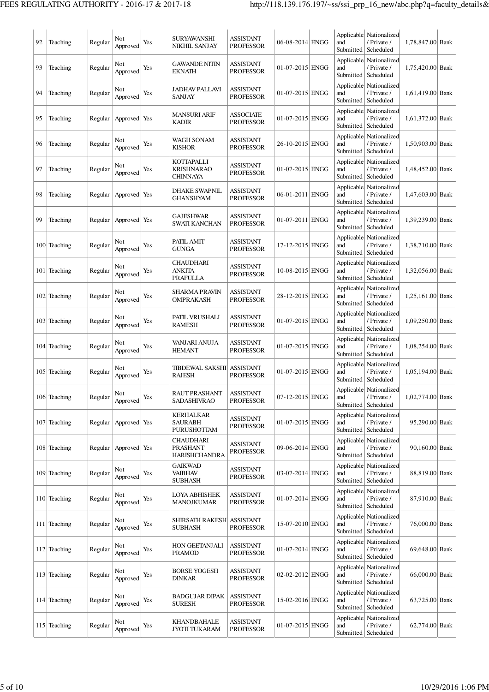| 92 | Teaching     | Regular | Not<br>Approved | Yes | <b>SURYAWANSHI</b><br><b>NIKHIL SANJAY</b>                  | <b>ASSISTANT</b><br><b>PROFESSOR</b> | 06-08-2014 ENGG   | and                            | Applicable Nationalized<br>/ Private /<br>Submitted   Scheduled | 1,78,847.00 Bank |  |
|----|--------------|---------|-----------------|-----|-------------------------------------------------------------|--------------------------------------|-------------------|--------------------------------|-----------------------------------------------------------------|------------------|--|
| 93 | Teaching     | Regular | Not<br>Approved | Yes | GAWANDE NITIN<br><b>EKNATH</b>                              | ASSISTANT<br><b>PROFESSOR</b>        | $01-07-2015$ ENGG | and<br>Submitted               | Applicable Nationalized<br>/ Private /<br>Scheduled             | 1,75,420.00 Bank |  |
| 94 | Teaching     | Regular | Not<br>Approved | Yes | JADHAV PALLAVI<br><b>SANJAY</b>                             | ASSISTANT<br><b>PROFESSOR</b>        | 01-07-2015 ENGG   | and<br>Submitted               | Applicable Nationalized<br>/ Private /<br>Scheduled             | 1,61,419.00 Bank |  |
| 95 | Teaching     | Regular | Approved Yes    |     | <b>MANSURI ARIF</b><br><b>KADIR</b>                         | <b>ASSOCIATE</b><br><b>PROFESSOR</b> | 01-07-2015 ENGG   | and<br>Submitted               | Applicable Nationalized<br>/ Private /<br>Scheduled             | 1,61,372.00 Bank |  |
| 96 | Teaching     | Regular | Not<br>Approved | Yes | <b>WAGH SONAM</b><br><b>KISHOR</b>                          | <b>ASSISTANT</b><br><b>PROFESSOR</b> | 26-10-2015 ENGG   | and<br>Submitted               | Applicable Nationalized<br>/ Private /<br>Scheduled             | 1,50,903.00 Bank |  |
| 97 | Teaching     | Regular | Not<br>Approved | Yes | KOTTAPALLI<br><b>KRISHNARAO</b><br><b>CHINNAYA</b>          | <b>ASSISTANT</b><br><b>PROFESSOR</b> | 01-07-2015 ENGG   | and<br>Submitted               | Applicable   Nationalized<br>/ Private /<br>Scheduled           | 1,48,452.00 Bank |  |
| 98 | Teaching     | Regular | Approved Yes    |     | <b>DHAKE SWAPNIL</b><br><b>GHANSHYAM</b>                    | ASSISTANT<br><b>PROFESSOR</b>        | 06-01-2011 ENGG   | and                            | Applicable Nationalized<br>/ Private /<br>Submitted   Scheduled | 1,47,603.00 Bank |  |
| 99 | Teaching     | Regular | Approved Yes    |     | <b>GAJESHWAR</b><br><b>SWATI KANCHAN</b>                    | ASSISTANT<br><b>PROFESSOR</b>        | $01-07-2011$ ENGG | Applicable<br>and              | Nationalized<br>/ Private /<br>Submitted   Scheduled            | 1,39,239.00 Bank |  |
|    | 100 Teaching | Regular | Not<br>Approved | Yes | PATIL AMIT<br><b>GUNGA</b>                                  | <b>ASSISTANT</b><br><b>PROFESSOR</b> | 17-12-2015 ENGG   | Applicable<br>and<br>Submitted | Nationalized<br>/ Private /<br>Scheduled                        | 1,38,710.00 Bank |  |
|    | 101 Teaching | Regular | Not<br>Approved | Yes | <b>CHAUDHARI</b><br>ANKITA<br>PRAFULLA                      | ASSISTANT<br><b>PROFESSOR</b>        | 10-08-2015 ENGG   | and<br>Submitted               | Applicable Nationalized<br>/ Private /<br>Scheduled             | 1,32,056.00 Bank |  |
|    | 102 Teaching | Regular | Not<br>Approved | Yes | SHARMA PRAVIN<br>OMPRAKASH                                  | <b>ASSISTANT</b><br><b>PROFESSOR</b> | 28-12-2015 ENGG   | and<br>Submitted               | Applicable   Nationalized<br>/ Private /<br>Scheduled           | 1,25,161.00 Bank |  |
|    | 103 Teaching | Regular | Not<br>Approved | Yes | PATIL VRUSHALI<br><b>RAMESH</b>                             | ASSISTANT<br><b>PROFESSOR</b>        | $01-07-2015$ ENGG | and<br>Submitted               | Applicable Nationalized<br>/ Private /<br>Scheduled             | 1,09,250.00 Bank |  |
|    | 104 Teaching | Regular | Not<br>Approved | Yes | VANJARI ANUJA<br><b>HEMANT</b>                              | ASSISTANT<br><b>PROFESSOR</b>        | 01-07-2015 ENGG   | and<br>Submitted               | Applicable Nationalized<br>/ Private /<br>Scheduled             | 1,08,254.00 Bank |  |
|    | 105 Teaching | Regular | Not<br>Approved | Yes | TIBDEWAL SAKSHI<br><b>RAJESH</b>                            | <b>ASSISTANT</b><br><b>PROFESSOR</b> | $01-07-2015$ ENGG | Applicable<br>and              | Nationalized<br>/ Private /<br>Submitted   Scheduled            | 1,05,194.00 Bank |  |
|    | 106 Teaching | Regular | Not<br>Approved | Yes | RAUT PRASHANT<br><b>SADASHIVRAO</b>                         | <b>ASSISTANT</b><br><b>PROFESSOR</b> | 07-12-2015 ENGG   | and                            | Applicable Nationalized<br>/ Private /<br>Submitted   Scheduled | 1,02,774.00 Bank |  |
|    | 107 Teaching | Regular | Approved Yes    |     | KERHALKAR<br>SAURABH<br>PURUSHOTTAM                         | <b>ASSISTANT</b><br><b>PROFESSOR</b> | $01-07-2015$ ENGG | Applicable<br>and<br>Submitted | Nationalized<br>/ Private /<br>Scheduled                        | 95,290.00 Bank   |  |
|    | 108 Teaching | Regular | Approved Yes    |     | <b>CHAUDHARI</b><br><b>PRASHANT</b><br><b>HARISHCHANDRA</b> | ASSISTANT<br><b>PROFESSOR</b>        | 09-06-2014 ENGG   | and<br>Submitted               | Applicable Nationalized<br>/ Private /<br>Scheduled             | 90,160.00 Bank   |  |
|    | 109 Teaching | Regular | Not<br>Approved | Yes | <b>GAIKWAD</b><br>VAIBHAV<br><b>SUBHASH</b>                 | <b>ASSISTANT</b><br><b>PROFESSOR</b> | 03-07-2014 ENGG   | and<br>Submitted               | Applicable Nationalized<br>/ Private /<br>Scheduled             | 88,819.00 Bank   |  |
|    | 110 Teaching | Regular | Not<br>Approved | Yes | LOYA ABHISHEK<br><b>MANOJKUMAR</b>                          | ASSISTANT<br><b>PROFESSOR</b>        | 01-07-2014 ENGG   | and<br>Submitted               | Applicable Nationalized<br>/ Private /<br>Scheduled             | 87,910.00 Bank   |  |
|    | 111 Teaching | Regular | Not<br>Approved | Yes | SHIRSATH RAKESH  ASSISTANT<br><b>SUBHASH</b>                | <b>PROFESSOR</b>                     | 15-07-2010 ENGG   | and<br>Submitted               | Applicable Nationalized<br>/ Private /<br>Scheduled             | 76,000.00 Bank   |  |
|    | 112 Teaching | Regular | Not<br>Approved | Yes | HON GEETANJALI<br><b>PRAMOD</b>                             | <b>ASSISTANT</b><br><b>PROFESSOR</b> | 01-07-2014 ENGG   | Applicable<br>and              | Nationalized<br>/ Private /<br>Submitted   Scheduled            | 69,648.00 Bank   |  |
|    | 113 Teaching | Regular | Not<br>Approved | Yes | <b>BORSE YOGESH</b><br><b>DINKAR</b>                        | <b>ASSISTANT</b><br><b>PROFESSOR</b> | 02-02-2012 ENGG   | Applicable<br>and              | Nationalized<br>/ Private /<br>Submitted   Scheduled            | 66,000.00 Bank   |  |
|    | 114 Teaching | Regular | Not<br>Approved | Yes | <b>BADGUJAR DIPAK</b><br><b>SURESH</b>                      | <b>ASSISTANT</b><br><b>PROFESSOR</b> | 15-02-2016 ENGG   | Applicable<br>and<br>Submitted | Nationalized<br>/ Private /<br>Scheduled                        | 63,725.00 Bank   |  |
|    | 115 Teaching | Regular | Not<br>Approved | Yes | KHANDBAHALE<br><b>JYOTI TUKARAM</b>                         | ASSISTANT<br><b>PROFESSOR</b>        | $01-07-2015$ ENGG | and                            | Applicable Nationalized<br>/ Private /<br>Submitted   Scheduled | 62,774.00 Bank   |  |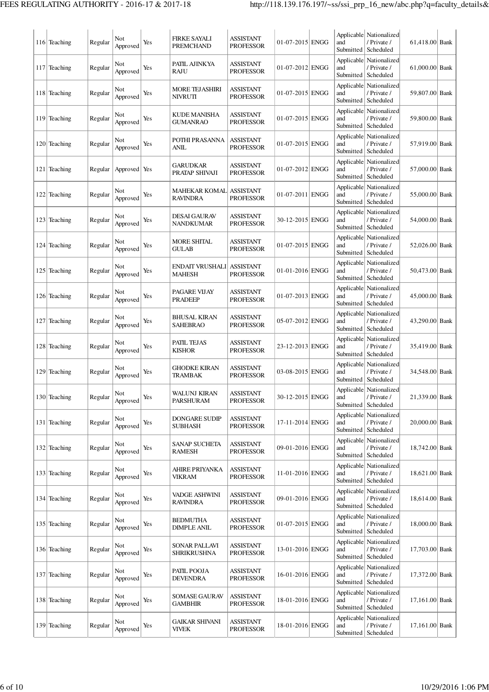|     | 116 Teaching | Regular | Not<br>Approved | Yes | FIRKE SAYALI<br>PREMCHAND             | <b>ASSISTANT</b><br><b>PROFESSOR</b> | 01-07-2015 ENGG   | and<br>Submitted               | Applicable Nationalized<br>/ Private /<br>Scheduled               | 61,418.00 Bank   |  |
|-----|--------------|---------|-----------------|-----|---------------------------------------|--------------------------------------|-------------------|--------------------------------|-------------------------------------------------------------------|------------------|--|
|     | 117 Teaching | Regular | Not<br>Approved | Yes | PATIL AJINKYA<br>RAJU                 | <b>ASSISTANT</b><br><b>PROFESSOR</b> | 01-07-2012 ENGG   | Applicable<br>and<br>Submitted | Nationalized<br>/ Private /<br>Scheduled                          | 61,000.00 Bank   |  |
|     | 118 Teaching | Regular | Not<br>Approved | Yes | MORE TEJASHIRI<br>NIVRUTI             | ASSISTANT<br><b>PROFESSOR</b>        | 01-07-2015 ENGG   | Applicable<br>and<br>Submitted | Nationalized<br>/ Private /<br>Scheduled                          | 59,807.00 Bank   |  |
| 119 | Teaching     | Regular | Not<br>Approved | Yes | KUDE MANISHA<br><b>GUMANRAO</b>       | <b>ASSISTANT</b><br><b>PROFESSOR</b> | 01-07-2015 ENGG   | and<br>Submitted               | Applicable Nationalized<br>/ Private /<br>Scheduled               | 59,800.00 Bank   |  |
|     | 120 Teaching | Regular | Not<br>Approved | Yes | POTHI PRASANNA<br>ANIL                | ASSISTANT<br><b>PROFESSOR</b>        | 01-07-2015 ENGG   | and<br>Submitted               | Applicable Nationalized<br>/ Private /<br>Scheduled               | 57,919.00 Bank   |  |
| 121 | Teaching     | Regular | Approved        | Yes | GARUDKAR<br>PRATAP SHIVAJI            | <b>ASSISTANT</b><br><b>PROFESSOR</b> | 01-07-2012 ENGG   | Applicable<br>and<br>Submitted | Nationalized<br>/ Private /<br>Scheduled                          | 57,000.00 Bank   |  |
|     | 122 Teaching | Regular | Not<br>Approved | Yes | MAHEKAR KOMAL<br><b>RAVINDRA</b>      | <b>ASSISTANT</b><br><b>PROFESSOR</b> | $01-07-2011$ ENGG | Applicable<br>and              | Nationalized<br>/ Private /<br>Submitted   Scheduled              | 55,000.00 Bank   |  |
|     | 123 Teaching | Regular | Not<br>Approved | Yes | DESAI GAURAV<br>NANDKUMAR             | <b>ASSISTANT</b><br><b>PROFESSOR</b> | 30-12-2015 ENGG   | Applicable<br>and<br>Submitted | Nationalized<br>/ Private /<br>Scheduled                          | 54,000.00 Bank   |  |
|     | 124 Teaching | Regular | Not<br>Approved | Yes | MORE SHITAL<br><b>GULAB</b>           | ASSISTANT<br><b>PROFESSOR</b>        | 01-07-2015 ENGG   | Applicable<br>and<br>Submitted | Nationalized<br>/ Private /<br>Scheduled                          | 52,026.00 Bank   |  |
|     | 125 Teaching | Regular | Not<br>Approved | Yes | ENDAIT VRUSHALI<br>MAHESH             | <b>ASSISTANT</b><br><b>PROFESSOR</b> | 01-01-2016 ENGG   | and<br>Submitted               | Applicable   Nationalized<br>/ Private /<br>Scheduled             | 50,473.00 Bank   |  |
|     | 126 Teaching | Regular | Not<br>Approved | Yes | PAGARE VIJAY<br>PRADEEP               | <b>ASSISTANT</b><br><b>PROFESSOR</b> | 01-07-2013 ENGG   | and<br>Submitted               | Applicable Nationalized<br>/ Private /<br>Scheduled               | 45,000.00 Bank   |  |
| 127 | Teaching     | Regular | Not<br>Approved | Yes | BHUSAL KIRAN<br>SAHEBRAO              | ASSISTANT<br><b>PROFESSOR</b>        | 05-07-2012 ENGG   | and<br>Submitted               | Applicable   Nationalized<br>/ Private /<br>Scheduled             | 43,290.00 Bank   |  |
|     | 128 Teaching | Regular | Not<br>Approved | Yes | PATIL TEJAS<br><b>KISHOR</b>          | <b>ASSISTANT</b><br><b>PROFESSOR</b> | 23-12-2013 ENGG   | Applicable<br>and<br>Submitted | Nationalized<br>/ Private /<br>Scheduled                          | 35,419.00 Bank   |  |
|     | 129 Teaching | Regular | Not<br>Approved | Yes | <b>GHODKE KIRAN</b><br>TRAMBAK        | <b>ASSISTANT</b><br><b>PROFESSOR</b> | 03-08-2015 ENGG   | Applicable<br>and<br>Submitted | Nationalized<br>/ Private /<br>Scheduled                          | 34,548.00 Bank   |  |
|     | 130 Teaching | Regular | Not<br>Approved | Yes | <b>WALUNJ KIRAN</b><br>PARSHURAM      | ASSISTANT<br><b>PROFESSOR</b>        | 30-12-2015 ENGG   | and<br>Submitted               | Applicable Nationalized<br>/ Private /<br>Scheduled               | 21,339.00 Bank   |  |
|     | 131 Teaching | Regular | Not<br>Approved | Yes | <b>DONGARE SUDIP</b><br>SUBHASH       | <b>ASSISTANT</b><br><b>PROFESSOR</b> | 17-11-2014 ENGG   | Applicable<br>and<br>Submitted | Nationalized<br>/ Private /<br>Scheduled                          | 20,000.00 Bank   |  |
|     | 132 Teaching | Regular | Not<br>Approved | Yes | <b>SANAP SUCHETA</b><br><b>RAMESH</b> | ASSISTANT<br><b>PROFESSOR</b>        | 09-01-2016 ENGG   | and<br>Submitted               | Applicable Nationalized<br>/ Private /<br>Scheduled               | 18,742.00 Bank   |  |
|     | 133 Teaching | Regular | Not<br>Approved | Yes | AHIRE PRIYANKA<br><b>VIKRAM</b>       | <b>ASSISTANT</b><br><b>PROFESSOR</b> | 11-01-2016 ENGG   | and<br>Submitted               | Applicable Nationalized<br>/ Private /<br>Scheduled               | 18,621.00 Bank   |  |
|     | 134 Teaching | Regular | Not<br>Approved | Yes | VADGE ASHWINI<br><b>RAVINDRA</b>      | <b>ASSISTANT</b><br><b>PROFESSOR</b> | 09-01-2016 ENGG   | and<br>Submitted               | Applicable Nationalized<br>/ Private /<br>Scheduled               | 18,614.00 Bank   |  |
|     | 135 Teaching | Regular | Not<br>Approved | Yes | BEDMUTHA<br>DIMPLE ANIL               | <b>ASSISTANT</b><br><b>PROFESSOR</b> | $01-07-2015$ ENGG | and<br>Submitted               | Applicable Nationalized<br>/ Private /<br>Scheduled               | 18,000.00 Bank   |  |
|     | 136 Teaching | Regular | Not<br>Approved | Yes | <b>SONAR PALLAVI</b><br>SHRIKRUSHNA   | <b>ASSISTANT</b><br><b>PROFESSOR</b> | 13-01-2016 ENGG   | Applicable<br>and              | Nationalized<br>/ Private /<br>Submitted   Scheduled              | 17,703.00 Bank   |  |
|     | 137 Teaching | Regular | Not<br>Approved | Yes | PATIL POOJA<br>DEVENDRA               | <b>ASSISTANT</b><br><b>PROFESSOR</b> | 16-01-2016 ENGG   | Applicable<br>and<br>Submitted | Nationalized<br>/ Private /<br>Scheduled                          | 17,372.00 Bank   |  |
|     | 138 Teaching | Regular | Not<br>Approved | Yes | <b>SOMASE GAURAV</b><br>GAMBHIR       | <b>ASSISTANT</b><br><b>PROFESSOR</b> | 18-01-2016  ENGG  | Applicable<br>and<br>Submitted | Nationalized<br>/ Private /<br>Scheduled                          | 17,161.00 Bank   |  |
|     | 139 Teaching | Regular | Not<br>Approved | Yes | GAIKAR SHIVANI<br>VIVEK               | ASSISTANT<br><b>PROFESSOR</b>        | 18-01-2016  ENGG  | and                            | Applicable   Nationalized<br>/ Private /<br>Submitted   Scheduled | $17,161.00$ Bank |  |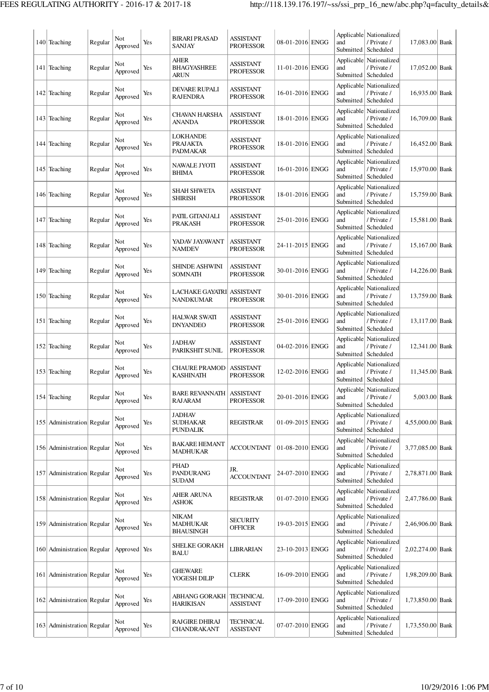| 140 Teaching               | Regular | Not<br>Approved | Yes | BIRARI PRASAD<br>SANJAY                             | ASSISTANT<br><b>PROFESSOR</b>        | 08-01-2016 ENGG | and                            | Applicable Nationalized<br>/ Private /<br>Submitted   Scheduled | 17,083.00 Bank   |  |
|----------------------------|---------|-----------------|-----|-----------------------------------------------------|--------------------------------------|-----------------|--------------------------------|-----------------------------------------------------------------|------------------|--|
| 141 Teaching               | Regular | Not<br>Approved | Yes | <b>AHER</b><br><b>BHAGYASHREE</b><br>ARUN           | ASSISTANT<br><b>PROFESSOR</b>        | 11-01-2016 ENGG | Applicable<br>and              | Nationalized<br>/ Private /<br>Submitted   Scheduled            | 17,052.00 Bank   |  |
| 142 Teaching               | Regular | Not<br>Approved | Yes | DEVARE RUPALI<br><b>RAJENDRA</b>                    | ASSISTANT<br><b>PROFESSOR</b>        | 16-01-2016 ENGG | Applicable<br>and<br>Submitted | Nationalized<br>/ Private /<br>Scheduled                        | 16,935.00 Bank   |  |
| 143 Teaching               | Regular | Not<br>Approved | Yes | CHAVAN HARSHA<br><b>ANANDA</b>                      | ASSISTANT<br><b>PROFESSOR</b>        | 18-01-2016 ENGG | and<br>Submitted               | Applicable   Nationalized<br>/ Private /<br>Scheduled           | 16,709.00 Bank   |  |
| 144 Teaching               | Regular | Not<br>Approved | Yes | LOKHANDE<br>PRAJAKTA<br>PADMAKAR                    | <b>ASSISTANT</b><br><b>PROFESSOR</b> | 18-01-2016 ENGG | and<br>Submitted               | Applicable Nationalized<br>/ Private /<br>Scheduled             | 16,452.00 Bank   |  |
| 145 Teaching               | Regular | Not<br>Approved | Yes | <b>NAWALE JYOTI</b><br><b>BHIMA</b>                 | <b>ASSISTANT</b><br><b>PROFESSOR</b> | 16-01-2016 ENGG | and<br>Submitted               | Applicable   Nationalized<br>/ Private /<br>Scheduled           | 15,970.00 Bank   |  |
| 146 Teaching               | Regular | Not<br>Approved | Yes | SHAH SHWETA<br><b>SHIRISH</b>                       | ASSISTANT<br><b>PROFESSOR</b>        | 18-01-2016 ENGG | and                            | Applicable   Nationalized<br>/ Private /<br>Submitted Scheduled | 15,759.00 Bank   |  |
| 147 Teaching               | Regular | Not<br>Approved | Yes | PATIL GITANJALI<br><b>PRAKASH</b>                   | ASSISTANT<br><b>PROFESSOR</b>        | 25-01-2016 ENGG | Applicable<br>and              | Nationalized<br>/ Private /<br>Submitted   Scheduled            | 15,581.00 Bank   |  |
| 148 Teaching               | Regular | Not<br>Approved | Yes | YADAV JAYAWANT<br><b>NAMDEV</b>                     | ASSISTANT<br><b>PROFESSOR</b>        | 24-11-2015 ENGG | Applicable<br>and              | Nationalized<br>/ Private /<br>Submitted   Scheduled            | 15,167.00 Bank   |  |
| 149 Teaching               | Regular | Not<br>Approved | Yes | SHINDE ASHWINI<br>SOMNATH                           | <b>ASSISTANT</b><br><b>PROFESSOR</b> | 30-01-2016 ENGG | and                            | Applicable Nationalized<br>/ Private /<br>Submitted   Scheduled | 14,226.00 Bank   |  |
| 150 Teaching               | Regular | Not<br>Approved | Yes | LACHAKE GAYATRI<br><b>NANDKUMAR</b>                 | <b>ASSISTANT</b><br><b>PROFESSOR</b> | 30-01-2016 ENGG | and<br>Submitted               | Applicable   Nationalized<br>/ Private /<br>Scheduled           | 13,759.00 Bank   |  |
| 151 Teaching               | Regular | Not<br>Approved | Yes | <b>HALWAR SWATI</b><br><b>DNYANDEO</b>              | <b>ASSISTANT</b><br><b>PROFESSOR</b> | 25-01-2016 ENGG | and<br>Submitted               | Applicable Nationalized<br>/ Private /<br>Scheduled             | 13,117.00 Bank   |  |
| 152 Teaching               | Regular | Not<br>Approved | Yes | <b>JADHAV</b><br>PARIKSHIT SUNIL                    | <b>ASSISTANT</b><br><b>PROFESSOR</b> | 04-02-2016 ENGG | and<br>Submitted               | Applicable Nationalized<br>/ Private /<br>Scheduled             | 12,341.00 Bank   |  |
| 153 Teaching               | Regular | Not<br>Approved | Yes | <b>CHAURE PRAMOD</b><br>KASHINATH                   | <b>ASSISTANT</b><br><b>PROFESSOR</b> | 12-02-2016 ENGG | and<br>Submitted               | Applicable Nationalized<br>/ Private /<br>Scheduled             | 11,345.00 Bank   |  |
| 154 Teaching               | Regular | Not<br>Approved | Yes | <b>BARE REVANNATH   ASSISTANT</b><br>RAJARAM        | <b>PROFESSOR</b>                     | 20-01-2016 ENGG | and                            | Applicable Nationalized<br>/ Private /<br>Submitted   Scheduled | 5,003.00 Bank    |  |
| 155 Administration Regular |         | Not<br>Approved | Yes | <b>JADHAV</b><br><b>SUDHAKAR</b><br><b>PUNDALIK</b> | <b>REGISTRAR</b>                     | 01-09-2015 ENGG | and                            | Applicable Nationalized<br>/ Private /<br>Submitted Scheduled   | 4,55,000.00 Bank |  |
| 156 Administration Regular |         | Not<br>Approved | Yes | BAKARE HEMANT<br><b>MADHUKAR</b>                    | <b>ACCOUNTANT</b>                    | 01-08-2010 ENGG | and                            | Applicable Nationalized<br>/ Private /<br>Submitted Scheduled   | 3,77,085.00 Bank |  |
| 157 Administration Regular |         | Not<br>Approved | Yes | PHAD<br><b>PANDURANG</b><br><b>SUDAM</b>            | JR.<br><b>ACCOUNTANT</b>             | 24-07-2010 ENGG | and                            | Applicable Nationalized<br>/ Private /<br>Submitted   Scheduled | 2,78,871.00 Bank |  |
| 158 Administration Regular |         | Not<br>Approved | Yes | AHER ARUNA<br><b>ASHOK</b>                          | <b>REGISTRAR</b>                     | 01-07-2010 ENGG | and                            | Applicable Nationalized<br>/ Private /<br>Submitted   Scheduled | 2,47,786.00 Bank |  |
| 159 Administration Regular |         | Not<br>Approved | Yes | NIKAM<br>MADHUKAR<br>BHAUSINGH                      | <b>SECURITY</b><br><b>OFFICER</b>    | 19-03-2015 ENGG | and                            | Applicable Nationalized<br>/ Private /<br>Submitted   Scheduled | 2,46,906.00 Bank |  |
| 160 Administration Regular |         | Approved Yes    |     | <b>SHELKE GORAKH</b><br><b>BALU</b>                 | LIBRARIAN                            | 23-10-2013 ENGG | and                            | Applicable Nationalized<br>/ Private /<br>Submitted   Scheduled | 2,02,274.00 Bank |  |
| 161 Administration Regular |         | Not<br>Approved | Yes | GHEWARE<br>YOGESH DILIP                             | <b>CLERK</b>                         | 16-09-2010 ENGG | and                            | Applicable Nationalized<br>/ Private /<br>Submitted   Scheduled | 1,98,209.00 Bank |  |
| 162 Administration Regular |         | Not<br>Approved | Yes | ABHANG GORAKH<br><b>HARIKISAN</b>                   | TECHNICAL<br><b>ASSISTANT</b>        | 17-09-2010 ENGG | and                            | Applicable Nationalized<br>/ Private /<br>Submitted   Scheduled | 1,73,850.00 Bank |  |
| 163 Administration Regular |         | Not<br>Approved | Yes | RAJGIRE DHIRAJ<br>CHANDRAKANT                       | TECHNICAL<br><b>ASSISTANT</b>        | 07-07-2010 ENGG | and                            | Applicable Nationalized<br>/ Private /<br>Submitted   Scheduled | 1,73,550.00 Bank |  |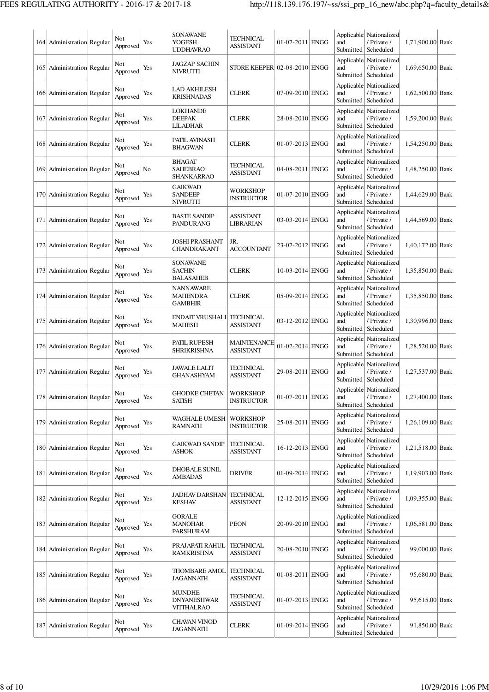| 164   Administration   Regular | Not<br>Approved | Yes | <b>SONAWANE</b><br>YOGESH<br><b>UDDHAVRAO</b>            | TECHNICAL<br><b>ASSISTANT</b>        | 01-07-2011 ENGG   | and<br>Submitted  | Applicable Nationalized<br>/ Private /<br>Scheduled               | 1,71,900.00 Bank |  |
|--------------------------------|-----------------|-----|----------------------------------------------------------|--------------------------------------|-------------------|-------------------|-------------------------------------------------------------------|------------------|--|
| 165 Administration Regular     | Not<br>Approved | Yes | <b>JAGZAP SACHIN</b><br>NIVRUTTI                         | STORE KEEPER 02-08-2010 ENGG         |                   | and               | Applicable Nationalized<br>/ Private /<br>Submitted   Scheduled   | 1,69,650.00 Bank |  |
| 166   Administration   Regular | Not<br>Approved | Yes | LAD AKHILESH<br><b>KRISHNADAS</b>                        | <b>CLERK</b>                         | 07-09-2010 ENGG   | and               | Applicable Nationalized<br>/ Private /<br>Submitted   Scheduled   | 1,62,500.00 Bank |  |
| 167 Administration Regular     | Not<br>Approved | Yes | <b>LOKHANDE</b><br><b>DEEPAK</b><br><b>LILADHAR</b>      | <b>CLERK</b>                         | 28-08-2010 ENGG   | and               | Applicable   Nationalized<br>/ Private /<br>Submitted   Scheduled | 1,59,200.00 Bank |  |
| 168 Administration Regular     | Not<br>Approved | Yes | PATIL AVINASH<br><b>BHAGWAN</b>                          | <b>CLERK</b>                         | 01-07-2013 ENGG   | and               | Applicable Nationalized<br>/ Private /<br>Submitted   Scheduled   | 1,54,250.00 Bank |  |
| 169 Administration Regular     | Not<br>Approved | No  | <b>BHAGAT</b><br>SAHEBRAO<br><b>SHANKARRAO</b>           | TECHNICAL<br>ASSISTANT               | 04-08-2011 ENGG   | and               | Applicable Nationalized<br>/ Private /<br>Submitted   Scheduled   | 1,48,250.00 Bank |  |
| 170 Administration Regular     | Not<br>Approved | Yes | <b>GAIKWAD</b><br><b>SANDEEP</b><br><b>NIVRUTTI</b>      | WORKSHOP<br>INSTRUCTOR               | 01-07-2010 ENGG   | Applicable<br>and | Nationalized<br>/ Private /<br>Submitted   Scheduled              | 1,44,629.00 Bank |  |
| 171 Administration Regular     | Not<br>Approved | Yes | <b>BASTE SANDIP</b><br>PANDURANG                         | <b>ASSISTANT</b><br>LIBRARIAN        | 03-03-2014 ENGG   | and               | Applicable Nationalized<br>/ Private /<br>Submitted   Scheduled   | 1,44,569.00 Bank |  |
| 172 Administration Regular     | Not<br>Approved | Yes | JOSHI PRASHANT<br>CHANDRAKANT                            | JR.<br><b>ACCOUNTANT</b>             | 23-07-2012 ENGG   | and               | Applicable Nationalized<br>/ Private /<br>Submitted   Scheduled   | 1,40,172.00 Bank |  |
| 173 Administration Regular     | Not<br>Approved | Yes | <b>SONAWANE</b><br><b>SACHIN</b><br><b>BALASAHEB</b>     | <b>CLERK</b>                         | 10-03-2014 ENGG   | and               | Applicable Nationalized<br>/ Private /<br>Submitted   Scheduled   | 1,35,850.00 Bank |  |
| 174 Administration Regular     | Not<br>Approved | Yes | <b>NANNAWARE</b><br><b>MAHENDRA</b><br><b>GAMBHIR</b>    | <b>CLERK</b>                         | 05-09-2014 ENGG   | and               | Applicable Nationalized<br>/ Private /<br>Submitted   Scheduled   | 1,35,850.00 Bank |  |
| 175 Administration Regular     | Not<br>Approved | Yes | <b>ENDAIT VRUSHALI</b><br><b>MAHESH</b>                  | <b>TECHNICAL</b><br><b>ASSISTANT</b> | 03-12-2012 ENGG   | and               | Applicable   Nationalized<br>/ Private /<br>Submitted   Scheduled | 1,30,996.00 Bank |  |
| 176 Administration Regular     | Not<br>Approved | Yes | PATIL RUPESH<br>SHRIKRISHNA                              | MAINTENANCE<br><b>ASSISTANT</b>      | $01-02-2014$ ENGG | and               | Applicable Nationalized<br>/ Private /<br>Submitted   Scheduled   | 1,28,520.00 Bank |  |
| 177 Administration Regular     | Not<br>Approved | Yes | <b>JAWALE LALIT</b><br><b>GHANASHYAM</b>                 | TECHNICAL<br>ASSISTANT               | 29-08-2011 ENGG   | Applicable<br>and | Nationalized<br>/ Private /<br>Submitted   Scheduled              | 1,27,537.00 Bank |  |
| 178 Administration Regular     | Not<br>Approved | Yes | GHODKE CHETAN<br><b>SATISH</b>                           | <b>WORKSHOP</b><br><b>INSTRUCTOR</b> | 01-07-2011 ENGG   | and               | Applicable Nationalized<br>/ Private /<br>Submitted   Scheduled   | 1,27,400.00 Bank |  |
| 179 Administration Regular     | Not<br>Approved | Yes | WAGHALE UMESH<br><b>RAMNATH</b>                          | <b>WORKSHOP</b><br>INSTRUCTOR        | 25-08-2011 ENGG   | Applicable<br>and | Nationalized<br>/ Private /<br>Submitted   Scheduled              | 1,26,109.00 Bank |  |
| 180 Administration Regular     | Not<br>Approved | Yes | <b>GAIKWAD SANDIP</b><br>ASHOK                           | TECHNICAL<br><b>ASSISTANT</b>        | 16-12-2013 ENGG   | and               | Applicable Nationalized<br>/ Private /<br>Submitted   Scheduled   | 1,21,518.00 Bank |  |
| 181 Administration Regular     | Not<br>Approved | Yes | <b>DHOBALE SUNIL</b><br>AMBADAS                          | <b>DRIVER</b>                        | 01-09-2014 ENGG   | and               | Applicable Nationalized<br>/ Private /<br>Submitted   Scheduled   | 1,19,903.00 Bank |  |
| 182 Administration Regular     | Not<br>Approved | Yes | <b>JADHAV DARSHAN</b><br><b>KESHAV</b>                   | <b>TECHNICAL</b><br>ASSISTANT        | 12-12-2015 ENGG   | and               | Applicable   Nationalized<br>/ Private /<br>Submitted   Scheduled | 1,09,355.00 Bank |  |
| 183 Administration Regular     | Not<br>Approved | Yes | GORALE<br><b>MANOHAR</b><br>PARSHURAM                    | <b>PEON</b>                          | 20-09-2010 ENGG   | and               | Applicable Nationalized<br>/ Private /<br>Submitted   Scheduled   | 1,06,581.00 Bank |  |
| 184 Administration Regular     | Not<br>Approved | Yes | PRAJAPATI RAHUL<br>RAMKRISHNA                            | TECHNICAL<br>ASSISTANT               | 20-08-2010 ENGG   | Applicable<br>and | Nationalized<br>/ Private /<br>Submitted   Scheduled              | 99,000.00 Bank   |  |
| 185 Administration Regular     | Not<br>Approved | Yes | THOMBARE AMOL<br>JAGANNATH                               | TECHNICAL<br>ASSISTANT               | $01-08-2011$ ENGG | and               | Applicable Nationalized<br>/ Private /<br>Submitted   Scheduled   | 95,680.00 Bank   |  |
| 186 Administration Regular     | Not<br>Approved | Yes | <b>MUNDHE</b><br><b>DNYANESHWAR</b><br><b>VITTHALRAO</b> | TECHNICAL<br>ASSISTANT               | 01-07-2013 ENGG   | Applicable<br>and | Nationalized<br>/ Private /<br>Submitted   Scheduled              | 95,615.00 Bank   |  |
| 187 Administration Regular     | Not<br>Approved | Yes | CHAVAN VINOD<br>JAGANNATH                                | <b>CLERK</b>                         | 01-09-2014 ENGG   | and               | Applicable   Nationalized<br>/ Private /<br>Submitted   Scheduled | 91,850.00 Bank   |  |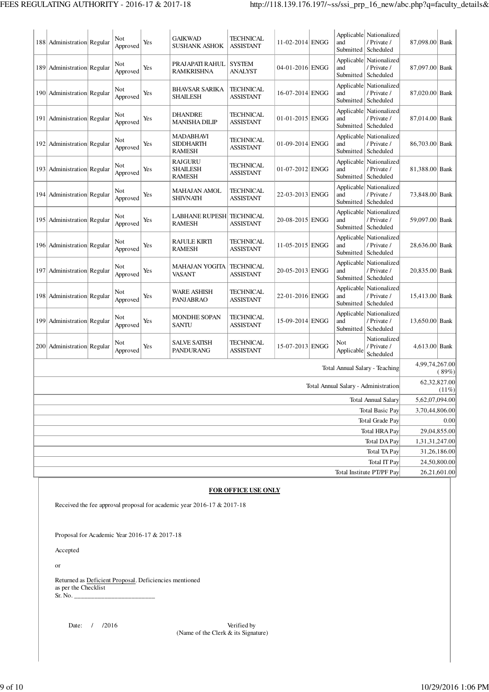| 188 Administration Regular     | Not<br>Approved | Yes | <b>GAIKWAD</b><br><b>SUSHANK ASHOK</b>                | <b>TECHNICAL</b><br><b>ASSISTANT</b> | 11-02-2014 ENGG   | and<br>Submitted               | Applicable Nationalized<br>/ Private /<br>Scheduled             | 87,098.00 Bank |                          |
|--------------------------------|-----------------|-----|-------------------------------------------------------|--------------------------------------|-------------------|--------------------------------|-----------------------------------------------------------------|----------------|--------------------------|
| 189 Administration Regular     | Not<br>Approved | Yes | PRAJAPATI RAHUL<br><b>RAMKRISHNA</b>                  | <b>SYSTEM</b><br><b>ANALYST</b>      | 04-01-2016 ENGG   | and<br>Submitted               | Applicable Nationalized<br>/ Private /<br>Scheduled             | 87,097.00 Bank |                          |
| 190 Administration Regular     | Not<br>Approved | Yes | <b>BHAVSAR SARIKA</b><br>SHAILESH                     | TECHNICAL<br><b>ASSISTANT</b>        | 16-07-2014 ENGG   | Applicable<br>and<br>Submitted | Nationalized<br>/ Private /<br>Scheduled                        | 87,020.00 Bank |                          |
| 191   Administration   Regular | Not<br>Approved | Yes | <b>DHANDRE</b><br><b>MANISHA DILIP</b>                | TECHNICAL<br><b>ASSISTANT</b>        | $01-01-2015$ ENGG | Applicable<br>and<br>Submitted | Nationalized<br>/ Private /<br>Scheduled                        | 87,014.00 Bank |                          |
| 192 Administration Regular     | Not<br>Approved | Yes | <b>MADABHAVI</b><br><b>SIDDHARTH</b><br><b>RAMESH</b> | <b>TECHNICAL</b><br><b>ASSISTANT</b> | 01-09-2014 ENGG   | Applicable<br>and              | Nationalized<br>/ Private /<br>Submitted   Scheduled            | 86,703.00 Bank |                          |
| 193 Administration Regular     | Not<br>Approved | Yes | <b>RAJGURU</b><br><b>SHAILESH</b><br><b>RAMESH</b>    | TECHNICAL<br>ASSISTANT               | $01-07-2012$ ENGG | and                            | Applicable Nationalized<br>/ Private /<br>Submitted   Scheduled | 81,388.00 Bank |                          |
| 194 Administration Regular     | Not<br>Approved | Yes | <b>MAHAJAN AMOL</b><br><b>SHIVNATH</b>                | <b>TECHNICAL</b><br><b>ASSISTANT</b> | 22-03-2013 ENGG   | and<br>Submitted               | Applicable Nationalized<br>/ Private /<br>Scheduled             | 73,848.00 Bank |                          |
| 195 Administration Regular     | Not<br>Approved | Yes | <b>LABHANE RUPESH</b><br><b>RAMESH</b>                | <b>TECHNICAL</b><br><b>ASSISTANT</b> | 20-08-2015 ENGG   | and<br>Submitted               | Applicable Nationalized<br>/ Private /<br>Scheduled             | 59,097.00 Bank |                          |
| 196 Administration Regular     | Not<br>Approved | Yes | <b>RAJULE KIRTI</b><br><b>RAMESH</b>                  | TECHNICAL<br><b>ASSISTANT</b>        | 11-05-2015 ENGG   | and                            | Applicable Nationalized<br>/ Private /<br>Submitted   Scheduled | 28,636.00 Bank |                          |
| 197 Administration Regular     | Not<br>Approved | Yes | MAHAJAN YOGITA<br>VASANT                              | <b>TECHNICAL</b><br><b>ASSISTANT</b> | 20-05-2013 ENGG   | Applicable<br>and<br>Submitted | Nationalized<br>/ Private /<br>Scheduled                        | 20,835.00 Bank |                          |
| 198 Administration Regular     | Not<br>Approved | Yes | <b>WARE ASHISH</b><br><b>PANJABRAO</b>                | TECHNICAL<br><b>ASSISTANT</b>        | 22-01-2016 ENGG   | Applicable<br>and<br>Submitted | Nationalized<br>/ Private /<br>Scheduled                        | 15,413.00 Bank |                          |
| 199 Administration Regular     | Not<br>Approved | Yes | <b>MONDHE SOPAN</b><br><b>SANTU</b>                   | TECHNICAL<br><b>ASSISTANT</b>        | 15-09-2014 ENGG   | Applicable<br>and<br>Submitted | Nationalized<br>/ Private /<br>Scheduled                        | 13,650.00 Bank |                          |
| 200 Administration Regular     | Not<br>Approved | Yes | <b>SALVE SATISH</b><br>PANDURANG                      | TECHNICAL<br><b>ASSISTANT</b>        | 15-07-2013 ENGG   | Not<br>Applicable              | Nationalized<br>/ Private /<br>Scheduled                        | 4,613.00 Bank  |                          |
|                                |                 |     |                                                       |                                      |                   |                                | Total Annual Salary - Teaching                                  | 4,99,74,267.00 | (89%)                    |
|                                |                 |     |                                                       |                                      |                   |                                | Total Annual Salary - Administration                            |                | 62,32,827.00<br>$(11\%)$ |
|                                |                 |     |                                                       |                                      |                   |                                | Total Annual Salary                                             | 5,62,07,094.00 |                          |
|                                |                 |     |                                                       |                                      |                   |                                | <b>Total Basic Pay</b><br>Total Grade Pay                       | 3,70,44,806.00 |                          |
|                                |                 |     |                                                       |                                      |                   |                                | <b>Total HRA Pay</b>                                            |                | 0.00<br>29,04,855.00     |
|                                |                 |     |                                                       |                                      |                   |                                | <b>Total DA Pay</b>                                             | 1,31,31,247.00 |                          |
|                                |                 |     |                                                       |                                      |                   |                                | Total TA Pay                                                    |                | 31,26,186.00             |
|                                |                 |     |                                                       |                                      |                   |                                | Total IT Pay                                                    |                | 24,50,800.00             |
|                                |                 |     |                                                       |                                      |                   |                                | Total Institute PT/PF Pay                                       |                | 26,21,601.00             |

### **FOR OFFICE USE ONLY**

Received the fee approval proposal for academic year 2016-17 & 2017-18

Proposal for Academic Year 2016-17 & 2017-18

Accepted

or

 Returned as Deficient Proposal. Deficiencies mentioned as per the Checklist  $Sr. No.$ 

Date: / /2016 Verified by (Name of the Clerk & its Signature)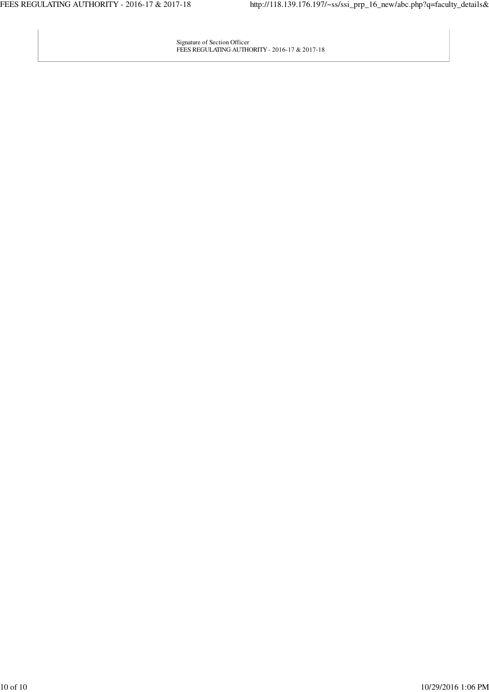Signature of Section Officer FEES REGULATING AUTHORITY - 2016-17 & 2017-18